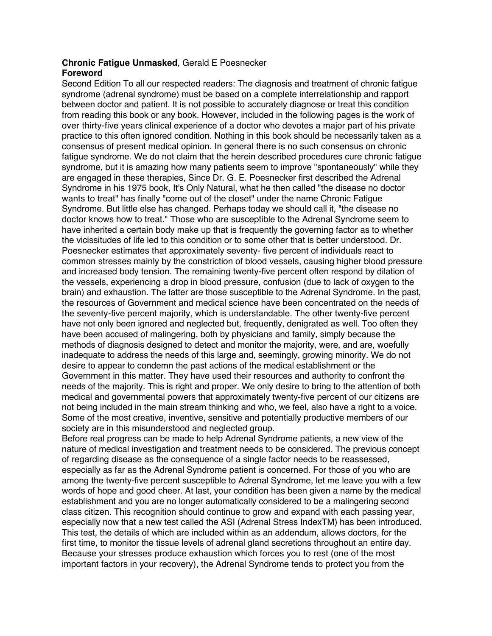# **Chronic Fatigue Unmasked**, Gerald E Poesnecker **Foreword**

Second Edition To all our respected readers: The diagnosis and treatment of chronic fatigue syndrome (adrenal syndrome) must be based on a complete interrelationship and rapport between doctor and patient. It is not possible to accurately diagnose or treat this condition from reading this book or any book. However, included in the following pages is the work of over thirty-five years clinical experience of a doctor who devotes a major part of his private practice to this often ignored condition. Nothing in this book should be necessarily taken as a consensus of present medical opinion. In general there is no such consensus on chronic fatigue syndrome. We do not claim that the herein described procedures cure chronic fatigue syndrome, but it is amazing how many patients seem to improve "spontaneously" while they are engaged in these therapies, Since Dr. G. E. Poesnecker first described the Adrenal Syndrome in his 1975 book, It's Only Natural, what he then called "the disease no doctor wants to treat" has finally "come out of the closet" under the name Chronic Fatigue Syndrome. But little else has changed. Perhaps today we should call it, "the disease no doctor knows how to treat." Those who are susceptible to the Adrenal Syndrome seem to have inherited a certain body make up that is frequently the governing factor as to whether the vicissitudes of life led to this condition or to some other that is better understood. Dr. Poesnecker estimates that approximately seventy- five percent of individuals react to common stresses mainly by the constriction of blood vessels, causing higher blood pressure and increased body tension. The remaining twenty-five percent often respond by dilation of the vessels, experiencing a drop in blood pressure, confusion (due to lack of oxygen to the brain) and exhaustion. The latter are those susceptible to the Adrenal Syndrome. In the past, the resources of Government and medical science have been concentrated on the needs of the seventy-five percent majority, which is understandable. The other twenty-five percent have not only been ignored and neglected but, frequently, denigrated as well. Too often they have been accused of malingering, both by physicians and family, simply because the methods of diagnosis designed to detect and monitor the majority, were, and are, woefully inadequate to address the needs of this large and, seemingly, growing minority. We do not desire to appear to condemn the past actions of the medical establishment or the Government in this matter. They have used their resources and authority to confront the needs of the majority. This is right and proper. We only desire to bring to the attention of both medical and governmental powers that approximately twenty-five percent of our citizens are not being included in the main stream thinking and who, we feel, also have a right to a voice. Some of the most creative, inventive, sensitive and potentially productive members of our society are in this misunderstood and neglected group.

Before real progress can be made to help Adrenal Syndrome patients, a new view of the nature of medical investigation and treatment needs to be considered. The previous concept of regarding disease as the consequence of a single factor needs to be reassessed, especially as far as the Adrenal Syndrome patient is concerned. For those of you who are among the twenty-five percent susceptible to Adrenal Syndrome, let me leave you with a few words of hope and good cheer. At last, your condition has been given a name by the medical establishment and you are no longer automatically considered to be a malingering second class citizen. This recognition should continue to grow and expand with each passing year, especially now that a new test called the ASI (Adrenal Stress IndexTM) has been introduced. This test, the details of which are included within as an addendum, allows doctors, for the first time, to monitor the tissue levels of adrenal gland secretions throughout an entire day. Because your stresses produce exhaustion which forces you to rest (one of the most important factors in your recovery), the Adrenal Syndrome tends to protect you from the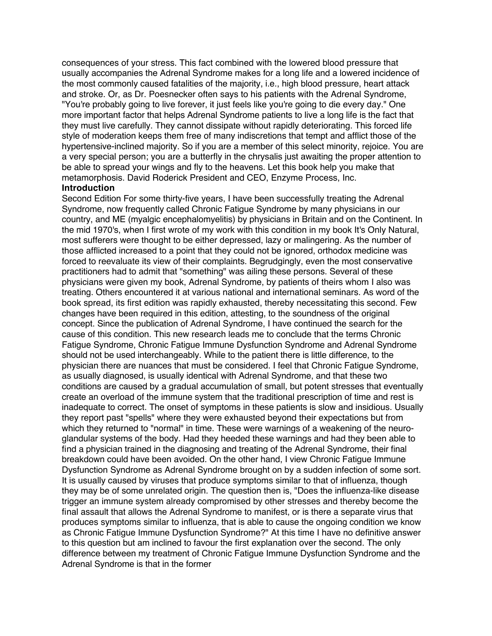consequences of your stress. This fact combined with the lowered blood pressure that usually accompanies the Adrenal Syndrome makes for a long life and a lowered incidence of the most commonly caused fatalities of the majority, i.e., high blood pressure, heart attack and stroke. Or, as Dr. Poesnecker often says to his patients with the Adrenal Syndrome, "You're probably going to live forever, it just feels like you're going to die every day." One more important factor that helps Adrenal Syndrome patients to live a long life is the fact that they must live carefully. They cannot dissipate without rapidly deteriorating. This forced life style of moderation keeps them free of many indiscretions that tempt and afflict those of the hypertensive-inclined majority. So if you are a member of this select minority, rejoice. You are a very special person; you are a butterfly in the chrysalis just awaiting the proper attention to be able to spread your wings and fly to the heavens. Let this book help you make that metamorphosis. David Roderick President and CEO, Enzyme Process, Inc.

# **Introduction**

Second Edition For some thirty-five years, I have been successfully treating the Adrenal Syndrome, now frequently called Chronic Fatigue Syndrome by many physicians in our country, and ME (myalgic encephalomyelitis) by physicians in Britain and on the Continent. In the mid 1970's, when I first wrote of my work with this condition in my book It's Only Natural, most sufferers were thought to be either depressed, lazy or malingering. As the number of those afflicted increased to a point that they could not be ignored, orthodox medicine was forced to reevaluate its view of their complaints. Begrudgingly, even the most conservative practitioners had to admit that "something" was ailing these persons. Several of these physicians were given my book, Adrenal Syndrome, by patients of theirs whom I also was treating. Others encountered it at various national and international seminars. As word of the book spread, its first edition was rapidly exhausted, thereby necessitating this second. Few changes have been required in this edition, attesting, to the soundness of the original concept. Since the publication of Adrenal Syndrome, I have continued the search for the cause of this condition. This new research leads me to conclude that the terms Chronic Fatigue Syndrome, Chronic Fatigue Immune Dysfunction Syndrome and Adrenal Syndrome should not be used interchangeably. While to the patient there is little difference, to the physician there are nuances that must be considered. I feel that Chronic Fatigue Syndrome, as usually diagnosed, is usually identical with Adrenal Syndrome, and that these two conditions are caused by a gradual accumulation of small, but potent stresses that eventually create an overload of the immune system that the traditional prescription of time and rest is inadequate to correct. The onset of symptoms in these patients is slow and insidious. Usually they report past "spells" where they were exhausted beyond their expectations but from which they returned to "normal" in time. These were warnings of a weakening of the neuroglandular systems of the body. Had they heeded these warnings and had they been able to find a physician trained in the diagnosing and treating of the Adrenal Syndrome, their final breakdown could have been avoided. On the other hand, I view Chronic Fatigue Immune Dysfunction Syndrome as Adrenal Syndrome brought on by a sudden infection of some sort. It is usually caused by viruses that produce symptoms similar to that of influenza, though they may be of some unrelated origin. The question then is, "Does the influenza-like disease trigger an immune system already compromised by other stresses and thereby become the final assault that allows the Adrenal Syndrome to manifest, or is there a separate virus that produces symptoms similar to influenza, that is able to cause the ongoing condition we know as Chronic Fatigue Immune Dysfunction Syndrome?" At this time I have no definitive answer to this question but am inclined to favour the first explanation over the second. The only difference between my treatment of Chronic Fatigue Immune Dysfunction Syndrome and the Adrenal Syndrome is that in the former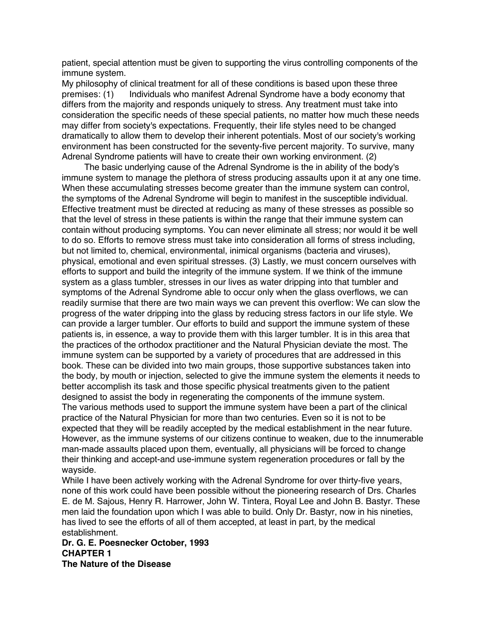patient, special attention must be given to supporting the virus controlling components of the immune system.

My philosophy of clinical treatment for all of these conditions is based upon these three premises: (1) Individuals who manifest Adrenal Syndrome have a body economy that differs from the majority and responds uniquely to stress. Any treatment must take into consideration the specific needs of these special patients, no matter how much these needs may differ from society's expectations. Frequently, their life styles need to be changed dramatically to allow them to develop their inherent potentials. Most of our society's working environment has been constructed for the seventy-five percent majority. To survive, many Adrenal Syndrome patients will have to create their own working environment. (2)

The basic underlying cause of the Adrenal Syndrome is the in ability of the body's immune system to manage the plethora of stress producing assaults upon it at any one time. When these accumulating stresses become greater than the immune system can control, the symptoms of the Adrenal Syndrome will begin to manifest in the susceptible individual. Effective treatment must be directed at reducing as many of these stresses as possible so that the level of stress in these patients is within the range that their immune system can contain without producing symptoms. You can never eliminate all stress; nor would it be well to do so. Efforts to remove stress must take into consideration all forms of stress including, but not limited to, chemical, environmental, inimical organisms (bacteria and viruses), physical, emotional and even spiritual stresses. (3) Lastly, we must concern ourselves with efforts to support and build the integrity of the immune system. If we think of the immune system as a glass tumbler, stresses in our lives as water dripping into that tumbler and symptoms of the Adrenal Syndrome able to occur only when the glass overflows, we can readily surmise that there are two main ways we can prevent this overflow: We can slow the progress of the water dripping into the glass by reducing stress factors in our life style. We can provide a larger tumbler. Our efforts to build and support the immune system of these patients is, in essence, a way to provide them with this larger tumbler. It is in this area that the practices of the orthodox practitioner and the Natural Physician deviate the most. The immune system can be supported by a variety of procedures that are addressed in this book. These can be divided into two main groups, those supportive substances taken into the body, by mouth or injection, selected to give the immune system the elements it needs to better accomplish its task and those specific physical treatments given to the patient designed to assist the body in regenerating the components of the immune system. The various methods used to support the immune system have been a part of the clinical practice of the Natural Physician for more than two centuries. Even so it is not to be expected that they will be readily accepted by the medical establishment in the near future. However, as the immune systems of our citizens continue to weaken, due to the innumerable man-made assaults placed upon them, eventually, all physicians will be forced to change their thinking and accept-and use-immune system regeneration procedures or fall by the wayside.

While I have been actively working with the Adrenal Syndrome for over thirty-five years, none of this work could have been possible without the pioneering research of Drs. Charles E. de M. Sajous, Henry R. Harrower, John W. Tintera, Royal Lee and John B. Bastyr. These men laid the foundation upon which I was able to build. Only Dr. Bastyr, now in his nineties, has lived to see the efforts of all of them accepted, at least in part, by the medical establishment.

**Dr. G. E. Poesnecker October, 1993 CHAPTER 1 The Nature of the Disease**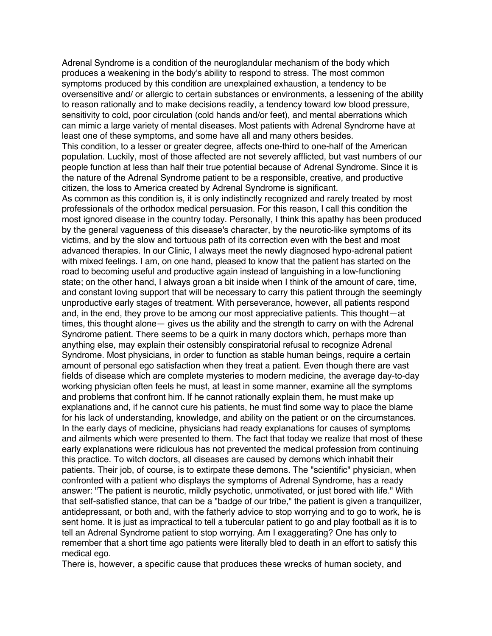Adrenal Syndrome is a condition of the neuroglandular mechanism of the body which produces a weakening in the body's ability to respond to stress. The most common symptoms produced by this condition are unexplained exhaustion, a tendency to be oversensitive and/ or allergic to certain substances or environments, a lessening of the ability to reason rationally and to make decisions readily, a tendency toward low blood pressure, sensitivity to cold, poor circulation (cold hands and/or feet), and mental aberrations which can mimic a large variety of mental diseases. Most patients with Adrenal Syndrome have at least one of these symptoms, and some have all and many others besides.

This condition, to a lesser or greater degree, affects one-third to one-half of the American population. Luckily, most of those affected are not severely afflicted, but vast numbers of our people function at less than half their true potential because of Adrenal Syndrome. Since it is the nature of the Adrenal Syndrome patient to be a responsible, creative, and productive citizen, the loss to America created by Adrenal Syndrome is significant.

As common as this condition is, it is only indistinctly recognized and rarely treated by most professionals of the orthodox medical persuasion. For this reason, I call this condition the most ignored disease in the country today. Personally, I think this apathy has been produced by the general vagueness of this disease's character, by the neurotic-like symptoms of its victims, and by the slow and tortuous path of its correction even with the best and most advanced therapies. In our Clinic, I always meet the newly diagnosed hypo-adrenal patient with mixed feelings. I am, on one hand, pleased to know that the patient has started on the road to becoming useful and productive again instead of languishing in a low-functioning state; on the other hand, I always groan a bit inside when I think of the amount of care, time, and constant loving support that will be necessary to carry this patient through the seemingly unproductive early stages of treatment. With perseverance, however, all patients respond and, in the end, they prove to be among our most appreciative patients. This thought—at times, this thought alone— gives us the ability and the strength to carry on with the Adrenal Syndrome patient. There seems to be a quirk in many doctors which, perhaps more than anything else, may explain their ostensibly conspiratorial refusal to recognize Adrenal Syndrome. Most physicians, in order to function as stable human beings, require a certain amount of personal ego satisfaction when they treat a patient. Even though there are vast fields of disease which are complete mysteries to modern medicine, the average day-to-day working physician often feels he must, at least in some manner, examine all the symptoms and problems that confront him. If he cannot rationally explain them, he must make up explanations and, if he cannot cure his patients, he must find some way to place the blame for his lack of understanding, knowledge, and ability on the patient or on the circumstances. In the early days of medicine, physicians had ready explanations for causes of symptoms and ailments which were presented to them. The fact that today we realize that most of these early explanations were ridiculous has not prevented the medical profession from continuing this practice. To witch doctors, all diseases are caused by demons which inhabit their patients. Their job, of course, is to extirpate these demons. The "scientific" physician, when confronted with a patient who displays the symptoms of Adrenal Syndrome, has a ready answer: "The patient is neurotic, mildly psychotic, unmotivated, or just bored with life." With that self-satisfied stance, that can be a "badge of our tribe," the patient is given a tranquilizer, antidepressant, or both and, with the fatherly advice to stop worrying and to go to work, he is sent home. It is just as impractical to tell a tubercular patient to go and play football as it is to tell an Adrenal Syndrome patient to stop worrying. Am I exaggerating? One has only to remember that a short time ago patients were literally bled to death in an effort to satisfy this medical ego.

There is, however, a specific cause that produces these wrecks of human society, and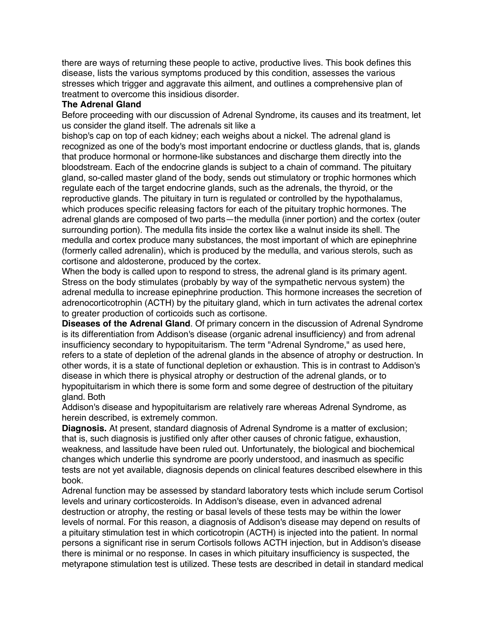there are ways of returning these people to active, productive lives. This book defines this disease, lists the various symptoms produced by this condition, assesses the various stresses which trigger and aggravate this ailment, and outlines a comprehensive plan of treatment to overcome this insidious disorder.

### **The Adrenal Gland**

Before proceeding with our discussion of Adrenal Syndrome, its causes and its treatment, let us consider the gland itself. The adrenals sit like a

bishop's cap on top of each kidney; each weighs about a nickel. The adrenal gland is recognized as one of the body's most important endocrine or ductless glands, that is, glands that produce hormonal or hormone-like substances and discharge them directly into the bloodstream. Each of the endocrine glands is subject to a chain of command. The pituitary gland, so-called master gland of the body, sends out stimulatory or trophic hormones which regulate each of the target endocrine glands, such as the adrenals, the thyroid, or the reproductive glands. The pituitary in turn is regulated or controlled by the hypothalamus, which produces specific releasing factors for each of the pituitary trophic hormones. The adrenal glands are composed of two parts—the medulla (inner portion) and the cortex (outer surrounding portion). The medulla fits inside the cortex like a walnut inside its shell. The medulla and cortex produce many substances, the most important of which are epinephrine (formerly called adrenalin), which is produced by the medulla, and various sterols, such as cortisone and aldosterone, produced by the cortex.

When the body is called upon to respond to stress, the adrenal gland is its primary agent. Stress on the body stimulates (probably by way of the sympathetic nervous system) the adrenal medulla to increase epinephrine production. This hormone increases the secretion of adrenocorticotrophin (ACTH) by the pituitary gland, which in turn activates the adrenal cortex to greater production of corticoids such as cortisone.

**Diseases of the Adrenal Gland**. Of primary concern in the discussion of Adrenal Syndrome is its differentiation from Addison's disease (organic adrenal insufficiency) and from adrenal insufficiency secondary to hypopituitarism. The term "Adrenal Syndrome," as used here, refers to a state of depletion of the adrenal glands in the absence of atrophy or destruction. In other words, it is a state of functional depletion or exhaustion. This is in contrast to Addison's disease in which there is physical atrophy or destruction of the adrenal glands, or to hypopituitarism in which there is some form and some degree of destruction of the pituitary gland. Both

Addison's disease and hypopituitarism are relatively rare whereas Adrenal Syndrome, as herein described, is extremely common.

**Diagnosis.** At present, standard diagnosis of Adrenal Syndrome is a matter of exclusion; that is, such diagnosis is justified only after other causes of chronic fatigue, exhaustion, weakness, and lassitude have been ruled out. Unfortunately, the biological and biochemical changes which underlie this syndrome are poorly understood, and inasmuch as specific tests are not yet available, diagnosis depends on clinical features described elsewhere in this book.

Adrenal function may be assessed by standard laboratory tests which include serum Cortisol levels and urinary corticosteroids. In Addison's disease, even in advanced adrenal destruction or atrophy, the resting or basal levels of these tests may be within the lower levels of normal. For this reason, a diagnosis of Addison's disease may depend on results of a pituitary stimulation test in which corticotropin (ACTH) is injected into the patient. In normal persons a significant rise in serum Cortisols follows ACTH injection, but in Addison's disease there is minimal or no response. In cases in which pituitary insufficiency is suspected, the metyrapone stimulation test is utilized. These tests are described in detail in standard medical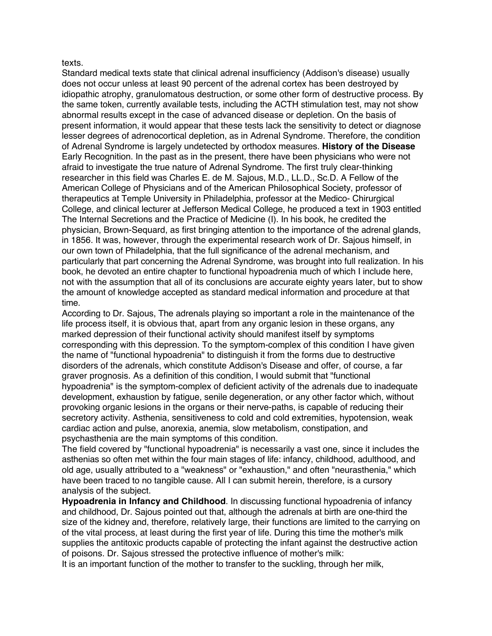#### texts.

Standard medical texts state that clinical adrenal insufficiency (Addison's disease) usually does not occur unless at least 90 percent of the adrenal cortex has been destroyed by idiopathic atrophy, granulomatous destruction, or some other form of destructive process. By the same token, currently available tests, including the ACTH stimulation test, may not show abnormal results except in the case of advanced disease or depletion. On the basis of present information, it would appear that these tests lack the sensitivity to detect or diagnose lesser degrees of adrenocortical depletion, as in Adrenal Syndrome. Therefore, the condition of Adrenal Syndrome is largely undetected by orthodox measures. **History of the Disease**  Early Recognition. In the past as in the present, there have been physicians who were not afraid to investigate the true nature of Adrenal Syndrome. The first truly clear-thinking researcher in this field was Charles E. de M. Sajous, M.D., LL.D., Sc.D. A Fellow of the American College of Physicians and of the American Philosophical Society, professor of therapeutics at Temple University in Philadelphia, professor at the Medico- Chirurgical College, and clinical lecturer at Jefferson Medical College, he produced a text in 1903 entitled The Internal Secretions and the Practice of Medicine (I). In his book, he credited the physician, Brown-Sequard, as first bringing attention to the importance of the adrenal glands, in 1856. It was, however, through the experimental research work of Dr. Sajous himself, in our own town of Philadelphia, that the full significance of the adrenal mechanism, and particularly that part concerning the Adrenal Syndrome, was brought into full realization. In his book, he devoted an entire chapter to functional hypoadrenia much of which I include here, not with the assumption that all of its conclusions are accurate eighty years later, but to show the amount of knowledge accepted as standard medical information and procedure at that time.

According to Dr. Sajous, The adrenals playing so important a role in the maintenance of the life process itself, it is obvious that, apart from any organic lesion in these organs, any marked depression of their functional activity should manifest itself by symptoms corresponding with this depression. To the symptom-complex of this condition I have given the name of "functional hypoadrenia" to distinguish it from the forms due to destructive disorders of the adrenals, which constitute Addison's Disease and offer, of course, a far graver prognosis. As a definition of this condition, I would submit that "functional hypoadrenia" is the symptom-complex of deficient activity of the adrenals due to inadequate development, exhaustion by fatigue, senile degeneration, or any other factor which, without provoking organic lesions in the organs or their nerve-paths, is capable of reducing their secretory activity. Asthenia, sensitiveness to cold and cold extremities, hypotension, weak cardiac action and pulse, anorexia, anemia, slow metabolism, constipation, and psychasthenia are the main symptoms of this condition.

The field covered by "functional hypoadrenia" is necessarily a vast one, since it includes the asthenias so often met within the four main stages of life: infancy, childhood, adulthood, and old age, usually attributed to a "weakness" or "exhaustion," and often "neurasthenia," which have been traced to no tangible cause. All I can submit herein, therefore, is a cursory analysis of the subject.

**Hypoadrenia in Infancy and Childhood**. In discussing functional hypoadrenia of infancy and childhood, Dr. Sajous pointed out that, although the adrenals at birth are one-third the size of the kidney and, therefore, relatively large, their functions are limited to the carrying on of the vital process, at least during the first year of life. During this time the mother's milk supplies the antitoxic products capable of protecting the infant against the destructive action of poisons. Dr. Sajous stressed the protective influence of mother's milk:

It is an important function of the mother to transfer to the suckling, through her milk,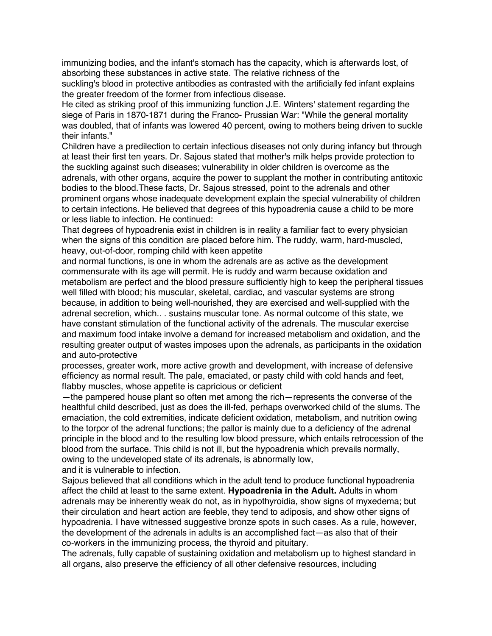immunizing bodies, and the infant's stomach has the capacity, which is afterwards lost, of absorbing these substances in active state. The relative richness of the

suckling's blood in protective antibodies as contrasted with the artificially fed infant explains the greater freedom of the former from infectious disease.

He cited as striking proof of this immunizing function J.E. Winters' statement regarding the siege of Paris in 1870-1871 during the Franco- Prussian War: "While the general mortality was doubled, that of infants was lowered 40 percent, owing to mothers being driven to suckle their infants."

Children have a predilection to certain infectious diseases not only during infancy but through at least their first ten years. Dr. Sajous stated that mother's milk helps provide protection to the suckling against such diseases; vulnerability in older children is overcome as the adrenals, with other organs, acquire the power to supplant the mother in contributing antitoxic bodies to the blood.These facts, Dr. Sajous stressed, point to the adrenals and other prominent organs whose inadequate development explain the special vulnerability of children to certain infections. He believed that degrees of this hypoadrenia cause a child to be more or less liable to infection. He continued:

That degrees of hypoadrenia exist in children is in reality a familiar fact to every physician when the signs of this condition are placed before him. The ruddy, warm, hard-muscled, heavy, out-of-door, romping child with keen appetite

and normal functions, is one in whom the adrenals are as active as the development commensurate with its age will permit. He is ruddy and warm because oxidation and metabolism are perfect and the blood pressure sufficiently high to keep the peripheral tissues well filled with blood; his muscular, skeletal, cardiac, and vascular systems are strong because, in addition to being well-nourished, they are exercised and well-supplied with the adrenal secretion, which.. . sustains muscular tone. As normal outcome of this state, we have constant stimulation of the functional activity of the adrenals. The muscular exercise and maximum food intake involve a demand for increased metabolism and oxidation, and the resulting greater output of wastes imposes upon the adrenals, as participants in the oxidation and auto-protective

processes, greater work, more active growth and development, with increase of defensive efficiency as normal result. The pale, emaciated, or pasty child with cold hands and feet, flabby muscles, whose appetite is capricious or deficient

—the pampered house plant so often met among the rich—represents the converse of the healthful child described, just as does the ill-fed, perhaps overworked child of the slums. The emaciation, the cold extremities, indicate deficient oxidation, metabolism, and nutrition owing to the torpor of the adrenal functions; the pallor is mainly due to a deficiency of the adrenal principle in the blood and to the resulting low blood pressure, which entails retrocession of the blood from the surface. This child is not ill, but the hypoadrenia which prevails normally, owing to the undeveloped state of its adrenals, is abnormally low,

and it is vulnerable to infection.

Sajous believed that all conditions which in the adult tend to produce functional hypoadrenia affect the child at least to the same extent. **Hypoadrenia in the Adult.** Adults in whom adrenals may be inherently weak do not, as in hypothyroidia, show signs of myxedema; but their circulation and heart action are feeble, they tend to adiposis, and show other signs of hypoadrenia. I have witnessed suggestive bronze spots in such cases. As a rule, however, the development of the adrenals in adults is an accomplished fact—as also that of their co-workers in the immunizing process, the thyroid and pituitary.

The adrenals, fully capable of sustaining oxidation and metabolism up to highest standard in all organs, also preserve the efficiency of all other defensive resources, including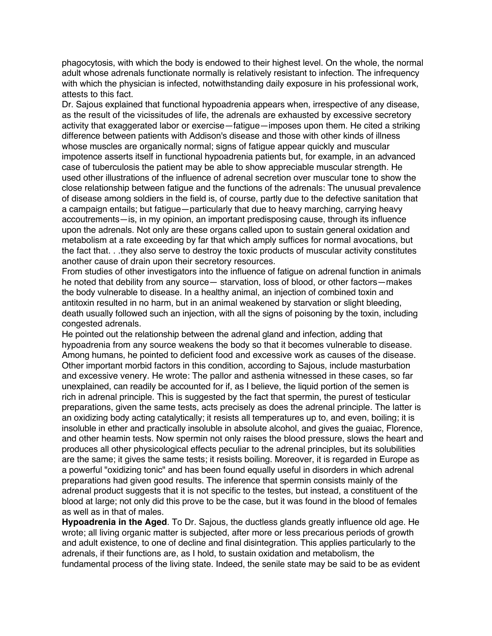phagocytosis, with which the body is endowed to their highest level. On the whole, the normal adult whose adrenals functionate normally is relatively resistant to infection. The infrequency with which the physician is infected, notwithstanding daily exposure in his professional work, attests to this fact.

Dr. Sajous explained that functional hypoadrenia appears when, irrespective of any disease, as the result of the vicissitudes of life, the adrenals are exhausted by excessive secretory activity that exaggerated labor or exercise—fatigue—imposes upon them. He cited a striking difference between patients with Addison's disease and those with other kinds of illness whose muscles are organically normal; signs of fatigue appear quickly and muscular impotence asserts itself in functional hypoadrenia patients but, for example, in an advanced case of tuberculosis the patient may be able to show appreciable muscular strength. He used other illustrations of the influence of adrenal secretion over muscular tone to show the close relationship between fatigue and the functions of the adrenals: The unusual prevalence of disease among soldiers in the field is, of course, partly due to the defective sanitation that a campaign entails; but fatigue—particularly that due to heavy marching, carrying heavy accoutrements—is, in my opinion, an important predisposing cause, through its influence upon the adrenals. Not only are these organs called upon to sustain general oxidation and metabolism at a rate exceeding by far that which amply suffices for normal avocations, but the fact that. . .they also serve to destroy the toxic products of muscular activity constitutes another cause of drain upon their secretory resources.

From studies of other investigators into the influence of fatigue on adrenal function in animals he noted that debility from any source— starvation, loss of blood, or other factors—makes the body vulnerable to disease. In a healthy animal, an injection of combined toxin and antitoxin resulted in no harm, but in an animal weakened by starvation or slight bleeding, death usually followed such an injection, with all the signs of poisoning by the toxin, including congested adrenals.

He pointed out the relationship between the adrenal gland and infection, adding that hypoadrenia from any source weakens the body so that it becomes vulnerable to disease. Among humans, he pointed to deficient food and excessive work as causes of the disease. Other important morbid factors in this condition, according to Sajous, include masturbation and excessive venery. He wrote: The pallor and asthenia witnessed in these cases, so far unexplained, can readily be accounted for if, as I believe, the liquid portion of the semen is rich in adrenal principle. This is suggested by the fact that spermin, the purest of testicular preparations, given the same tests, acts precisely as does the adrenal principle. The latter is an oxidizing body acting catalytically; it resists all temperatures up to, and even, boiling; it is insoluble in ether and practically insoluble in absolute alcohol, and gives the guaiac, Florence, and other heamin tests. Now spermin not only raises the blood pressure, slows the heart and produces all other physicological effects peculiar to the adrenal principles, but its solubilities are the same; it gives the same tests; it resists boiling. Moreover, it is regarded in Europe as a powerful "oxidizing tonic" and has been found equally useful in disorders in which adrenal preparations had given good results. The inference that spermin consists mainly of the adrenal product suggests that it is not specific to the testes, but instead, a constituent of the blood at large; not only did this prove to be the case, but it was found in the blood of females as well as in that of males.

**Hypoadrenia in the Aged**. To Dr. Sajous, the ductless glands greatly influence old age. He wrote; all living organic matter is subjected, after more or less precarious periods of growth and adult existence, to one of decline and final disintegration. This applies particularly to the adrenals, if their functions are, as I hold, to sustain oxidation and metabolism, the fundamental process of the living state. Indeed, the senile state may be said to be as evident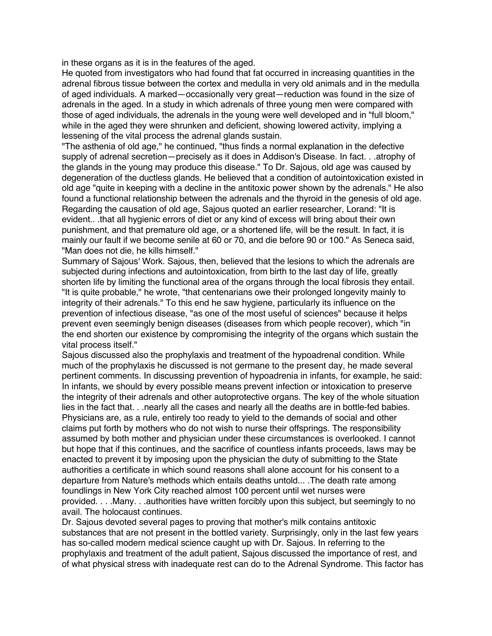in these organs as it is in the features of the aged.

He quoted from investigators who had found that fat occurred in increasing quantities in the adrenal fibrous tissue between the cortex and medulla in very old animals and in the medulla of aged individuals. A marked—occasionally very great—reduction was found in the size of adrenals in the aged. In a study in which adrenals of three young men were compared with those of aged individuals, the adrenals in the young were well developed and in "full bloom," while in the aged they were shrunken and deficient, showing lowered activity, implying a lessening of the vital process the adrenal glands sustain.

"The asthenia of old age," he continued, "thus finds a normal explanation in the defective supply of adrenal secretion—precisely as it does in Addison's Disease. In fact. . .atrophy of the glands in the young may produce this disease." To Dr. Sajous, old age was caused by degeneration of the ductless glands. He believed that a condition of autointoxication existed in old age "quite in keeping with a decline in the antitoxic power shown by the adrenals." He also found a functional relationship between the adrenals and the thyroid in the genesis of old age. Regarding the causation of old age, Sajous quoted an earlier researcher, Lorand: "It is evident.. .that all hygienic errors of diet or any kind of excess will bring about their own punishment, and that premature old age, or a shortened life, will be the result. In fact, it is mainly our fault if we become senile at 60 or 70, and die before 90 or 100." As Seneca said, "Man does not die, he kills himself."

Summary of Sajous' Work. Sajous, then, believed that the lesions to which the adrenals are subjected during infections and autointoxication, from birth to the last day of life, greatly shorten life by limiting the functional area of the organs through the local fibrosis they entail. "It is quite probable," he wrote, "that centenarians owe their prolonged longevity mainly to integrity of their adrenals." To this end he saw hygiene, particularly its influence on the prevention of infectious disease, "as one of the most useful of sciences" because it helps prevent even seemingly benign diseases (diseases from which people recover), which "in the end shorten our existence by compromising the integrity of the organs which sustain the vital process itself."

Sajous discussed also the prophylaxis and treatment of the hypoadrenal condition. While much of the prophylaxis he discussed is not germane to the present day, he made several pertinent comments. In discussing prevention of hypoadrenia in infants, for example, he said: In infants, we should by every possible means prevent infection or intoxication to preserve the integrity of their adrenals and other autoprotective organs. The key of the whole situation lies in the fact that. . .nearly all the cases and nearly all the deaths are in bottle-fed babies. Physicians are, as a rule, entirely too ready to yield to the demands of social and other claims put forth by mothers who do not wish to nurse their offsprings. The responsibility assumed by both mother and physician under these circumstances is overlooked. I cannot but hope that if this continues, and the sacrifice of countless infants proceeds, laws may be enacted to prevent it by imposing upon the physician the duty of submitting to the State authorities a certificate in which sound reasons shall alone account for his consent to a departure from Nature's methods which entails deaths untold... .The death rate among foundlings in New York City reached almost 100 percent until wet nurses were provided. . . .Many. . .authorities have written forcibly upon this subject, but seemingly to no avail. The holocaust continues.

Dr. Sajous devoted several pages to proving that mother's milk contains antitoxic substances that are not present in the bottled variety. Surprisingly, only in the last few years has so-called modern medical science caught up with Dr. Sajous. In referring to the prophylaxis and treatment of the adult patient, Sajous discussed the importance of rest, and of what physical stress with inadequate rest can do to the Adrenal Syndrome. This factor has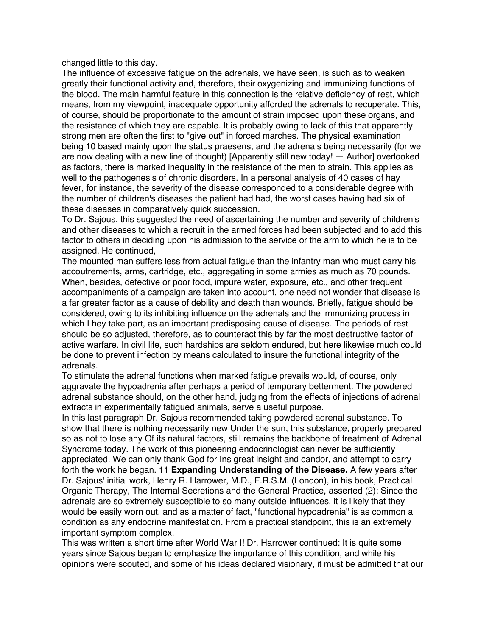changed little to this day.

The influence of excessive fatigue on the adrenals, we have seen, is such as to weaken greatly their functional activity and, therefore, their oxygenizing and immunizing functions of the blood. The main harmful feature in this connection is the relative deficiency of rest, which means, from my viewpoint, inadequate opportunity afforded the adrenals to recuperate. This, of course, should be proportionate to the amount of strain imposed upon these organs, and the resistance of which they are capable. It is probably owing to lack of this that apparently strong men are often the first to "give out" in forced marches. The physical examination being 10 based mainly upon the status praesens, and the adrenals being necessarily (for we are now dealing with a new line of thought) [Apparently still new today! — Author] overlooked as factors, there is marked inequality in the resistance of the men to strain. This applies as well to the pathogenesis of chronic disorders. In a personal analysis of 40 cases of hay fever, for instance, the severity of the disease corresponded to a considerable degree with the number of children's diseases the patient had had, the worst cases having had six of these diseases in comparatively quick succession.

To Dr. Sajous, this suggested the need of ascertaining the number and severity of children's and other diseases to which a recruit in the armed forces had been subjected and to add this factor to others in deciding upon his admission to the service or the arm to which he is to be assigned. He continued,

The mounted man suffers less from actual fatigue than the infantry man who must carry his accoutrements, arms, cartridge, etc., aggregating in some armies as much as 70 pounds. When, besides, defective or poor food, impure water, exposure, etc., and other frequent accompaniments of a campaign are taken into account, one need not wonder that disease is a far greater factor as a cause of debility and death than wounds. Briefly, fatigue should be considered, owing to its inhibiting influence on the adrenals and the immunizing process in which I hey take part, as an important predisposing cause of disease. The periods of rest should be so adjusted, therefore, as to counteract this by far the most destructive factor of active warfare. In civil life, such hardships are seldom endured, but here likewise much could be done to prevent infection by means calculated to insure the functional integrity of the adrenals.

To stimulate the adrenal functions when marked fatigue prevails would, of course, only aggravate the hypoadrenia after perhaps a period of temporary betterment. The powdered adrenal substance should, on the other hand, judging from the effects of injections of adrenal extracts in experimentally fatigued animals, serve a useful purpose.

In this last paragraph Dr. Sajous recommended taking powdered adrenal substance. To show that there is nothing necessarily new Under the sun, this substance, properly prepared so as not to lose any Of its natural factors, still remains the backbone of treatment of Adrenal Syndrome today. The work of this pioneering endocrinologist can never be sufficiently appreciated. We can only thank God for Ins great insight and candor, and attempt to carry forth the work he began. 11 **Expanding Understanding of the Disease.** A few years after Dr. Sajous' initial work, Henry R. Harrower, M.D., F.R.S.M. (London), in his book, Practical Organic Therapy, The Internal Secretions and the General Practice, asserted (2): Since the adrenals are so extremely susceptible to so many outside influences, it is likely that they would be easily worn out, and as a matter of fact, "functional hypoadrenia" is as common a condition as any endocrine manifestation. From a practical standpoint, this is an extremely important symptom complex.

This was written a short time after World War I! Dr. Harrower continued: It is quite some years since Sajous began to emphasize the importance of this condition, and while his opinions were scouted, and some of his ideas declared visionary, it must be admitted that our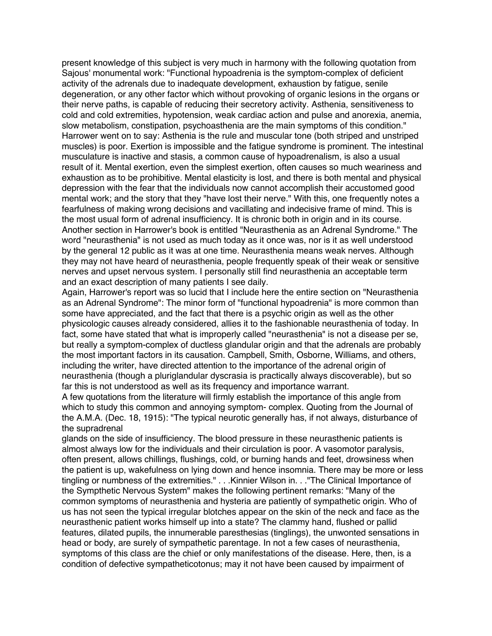present knowledge of this subject is very much in harmony with the following quotation from Sajous' monumental work: "Functional hypoadrenia is the symptom-complex of deficient activity of the adrenals due to inadequate development, exhaustion by fatigue, senile degeneration, or any other factor which without provoking of organic lesions in the organs or their nerve paths, is capable of reducing their secretory activity. Asthenia, sensitiveness to cold and cold extremities, hypotension, weak cardiac action and pulse and anorexia, anemia, slow metabolism, constipation, psychoasthenia are the main symptoms of this condition." Harrower went on to say: Asthenia is the rule and muscular tone (both striped and unstriped muscles) is poor. Exertion is impossible and the fatigue syndrome is prominent. The intestinal musculature is inactive and stasis, a common cause of hypoadrenalism, is also a usual result of it. Mental exertion, even the simplest exertion, often causes so much weariness and exhaustion as to be prohibitive. Mental elasticity is lost, and there is both mental and physical depression with the fear that the individuals now cannot accomplish their accustomed good mental work; and the story that they "have lost their nerve." With this, one frequently notes a fearfulness of making wrong decisions and vacillating and indecisive frame of mind. This is the most usual form of adrenal insufficiency. It is chronic both in origin and in its course. Another section in Harrower's book is entitled "Neurasthenia as an Adrenal Syndrome." The word "neurasthenia" is not used as much today as it once was, nor is it as well understood by the general 12 public as it was at one time. Neurasthenia means weak nerves. Although they may not have heard of neurasthenia, people frequently speak of their weak or sensitive nerves and upset nervous system. I personally still find neurasthenia an acceptable term and an exact description of many patients I see daily.

Again, Harrower's report was so lucid that I include here the entire section on "Neurasthenia as an Adrenal Syndrome": The minor form of "functional hypoadrenia" is more common than some have appreciated, and the fact that there is a psychic origin as well as the other physicologic causes already considered, allies it to the fashionable neurasthenia of today. In fact, some have stated that what is improperly called "neurasthenia" is not a disease per se, but really a symptom-complex of ductless glandular origin and that the adrenals are probably the most important factors in its causation. Campbell, Smith, Osborne, Williams, and others, including the writer, have directed attention to the importance of the adrenal origin of neurasthenia (though a pluriglandular dyscrasia is practically always discoverable), but so far this is not understood as well as its frequency and importance warrant.

A few quotations from the literature will firmly establish the importance of this angle from which to study this common and annoying symptom- complex. Quoting from the Journal of the A.M.A. (Dec. 18, 1915): "The typical neurotic generally has, if not always, disturbance of the supradrenal

glands on the side of insufficiency. The blood pressure in these neurasthenic patients is almost always low for the individuals and their circulation is poor. A vasomotor paralysis, often present, allows chillings, flushings, cold, or burning hands and feet, drowsiness when the patient is up, wakefulness on lying down and hence insomnia. There may be more or less tingling or numbness of the extremities." . . . Kinnier Wilson in. . . "The Clinical Importance of the Sympthetic Nervous System" makes the following pertinent remarks: "Many of the common symptoms of neurasthenia and hysteria are patiently of sympathetic origin. Who of us has not seen the typical irregular blotches appear on the skin of the neck and face as the neurasthenic patient works himself up into a state? The clammy hand, flushed or pallid features, dilated pupils, the innumerable paresthesias (tinglings), the unwonted sensations in head or body, are surely of sympathetic parentage. In not a few cases of neurasthenia, symptoms of this class are the chief or only manifestations of the disease. Here, then, is a condition of defective sympatheticotonus; may it not have been caused by impairment of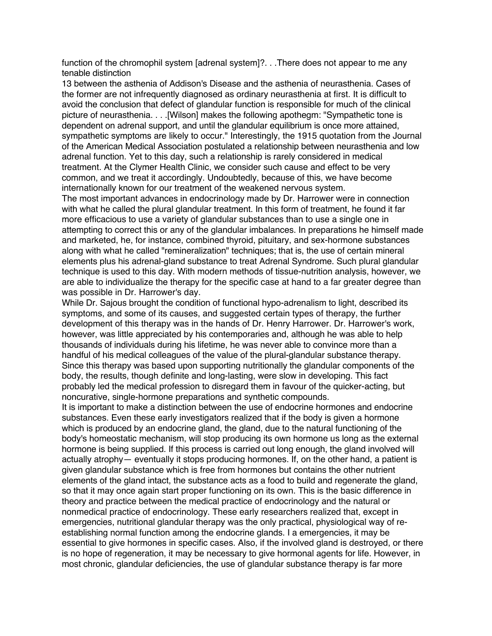function of the chromophil system [adrenal system]?. . .There does not appear to me any tenable distinction

13 between the asthenia of Addison's Disease and the asthenia of neurasthenia. Cases of the former are not infrequently diagnosed as ordinary neurasthenia at first. It is difficult to avoid the conclusion that defect of glandular function is responsible for much of the clinical picture of neurasthenia. . . .[Wilson] makes the following apothegm: "Sympathetic tone is dependent on adrenal support, and until the glandular equilibrium is once more attained, sympathetic symptoms are likely to occur." Interestingly, the 1915 quotation from the Journal of the American Medical Association postulated a relationship between neurasthenia and low adrenal function. Yet to this day, such a relationship is rarely considered in medical treatment. At the Clymer Health Clinic, we consider such cause and effect to be very common, and we treat it accordingly. Undoubtedly, because of this, we have become internationally known for our treatment of the weakened nervous system.

The most important advances in endocrinology made by Dr. Harrower were in connection with what he called the plural glandular treatment. In this form of treatment, he found it far more efficacious to use a variety of glandular substances than to use a single one in attempting to correct this or any of the glandular imbalances. In preparations he himself made and marketed, he, for instance, combined thyroid, pituitary, and sex-hormone substances along with what he called "remineralization" techniques; that is, the use of certain mineral elements plus his adrenal-gland substance to treat Adrenal Syndrome. Such plural glandular technique is used to this day. With modern methods of tissue-nutrition analysis, however, we are able to individualize the therapy for the specific case at hand to a far greater degree than was possible in Dr. Harrower's day.

While Dr. Sajous brought the condition of functional hypo-adrenalism to light, described its symptoms, and some of its causes, and suggested certain types of therapy, the further development of this therapy was in the hands of Dr. Henry Harrower. Dr. Harrower's work, however, was little appreciated by his contemporaries and, although he was able to help thousands of individuals during his lifetime, he was never able to convince more than a handful of his medical colleagues of the value of the plural-glandular substance therapy. Since this therapy was based upon supporting nutritionally the glandular components of the body, the results, though definite and long-lasting, were slow in developing. This fact probably led the medical profession to disregard them in favour of the quicker-acting, but noncurative, single-hormone preparations and synthetic compounds.

It is important to make a distinction between the use of endocrine hormones and endocrine substances. Even these early investigators realized that if the body is given a hormone which is produced by an endocrine gland, the gland, due to the natural functioning of the body's homeostatic mechanism, will stop producing its own hormone us long as the external hormone is being supplied. If this process is carried out long enough, the gland involved will actually atrophy— eventually it stops producing hormones. If, on the other hand, a patient is given glandular substance which is free from hormones but contains the other nutrient elements of the gland intact, the substance acts as a food to build and regenerate the gland, so that it may once again start proper functioning on its own. This is the basic difference in theory and practice between the medical practice of endocrinology and the natural or nonmedical practice of endocrinology. These early researchers realized that, except in emergencies, nutritional glandular therapy was the only practical, physiological way of reestablishing normal function among the endocrine glands. I a emergencies, it may be essential to give hormones in specific cases. Also, if the involved gland is destroyed, or there is no hope of regeneration, it may be necessary to give hormonal agents for life. However, in most chronic, glandular deficiencies, the use of glandular substance therapy is far more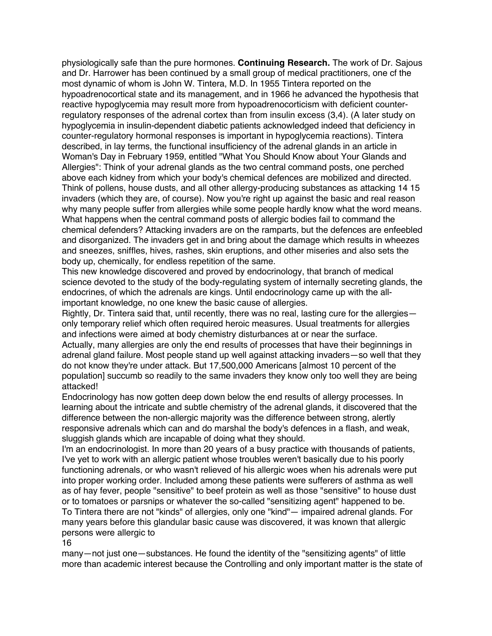physiologically safe than the pure hormones. **Continuing Research.** The work of Dr. Sajous and Dr. Harrower has been continued by a small group of medical practitioners, one cf the most dynamic of whom is John W. Tintera, M.D. In 1955 Tintera reported on the hypoadrenocortical state and its management, and in 1966 he advanced the hypothesis that reactive hypoglycemia may result more from hypoadrenocorticism with deficient counterregulatory responses of the adrenal cortex than from insulin excess (3,4). (A later study on hypoglycemia in insulin-dependent diabetic patients acknowledged indeed that deficiency in counter-regulatory hormonal responses is important in hypoglycemia reactions). Tintera described, in lay terms, the functional insufficiency of the adrenal glands in an article in Woman's Day in February 1959, entitled "What You Should Know about Your Glands and Allergies": Think of your adrenal glands as the two central command posts, one perched above each kidney from which your body's chemical defences are mobilized and directed. Think of pollens, house dusts, and all other allergy-producing substances as attacking 14 15 invaders (which they are, of course). Now you're right up against the basic and real reason why many people suffer from allergies while some people hardly know what the word means. What happens when the central command posts of allergic bodies fail to command the chemical defenders? Attacking invaders are on the ramparts, but the defences are enfeebled and disorganized. The invaders get in and bring about the damage which results in wheezes and sneezes, sniffles, hives, rashes, skin eruptions, and other miseries and also sets the body up, chemically, for endless repetition of the same.

This new knowledge discovered and proved by endocrinology, that branch of medical science devoted to the study of the body-regulating system of internally secreting glands, the endocrines, of which the adrenals are kings. Until endocrinology came up with the allimportant knowledge, no one knew the basic cause of allergies.

Rightly, Dr. Tintera said that, until recently, there was no real, lasting cure for the allergies only temporary relief which often required heroic measures. Usual treatments for allergies and infections were aimed at body chemistry disturbances at or near the surface. Actually, many allergies are only the end results of processes that have their beginnings in adrenal gland failure. Most people stand up well against attacking invaders—so well that they do not know they're under attack. But 17,500,000 Americans [almost 10 percent of the population] succumb so readily to the same invaders they know only too well they are being attacked!

Endocrinology has now gotten deep down below the end results of allergy processes. In learning about the intricate and subtle chemistry of the adrenal glands, it discovered that the difference between the non-allergic majority was the difference between strong, alertly responsive adrenals which can and do marshal the body's defences in a flash, and weak, sluggish glands which are incapable of doing what they should.

I'm an endocrinologist. In more than 20 years of a busy practice with thousands of patients, I've yet to work with an allergic patient whose troubles weren't basically due to his poorly functioning adrenals, or who wasn't relieved of his allergic woes when his adrenals were put into proper working order. Included among these patients were sufferers of asthma as well as of hay fever, people "sensitive" to beef protein as well as those "sensitive" to house dust or to tomatoes or parsnips or whatever the so-called "sensitizing agent" happened to be. To Tintera there are not "kinds" of allergies, only one "kind"— impaired adrenal glands. For many years before this glandular basic cause was discovered, it was known that allergic persons were allergic to

16

many—not just one—substances. He found the identity of the "sensitizing agents" of little more than academic interest because the Controlling and only important matter is the state of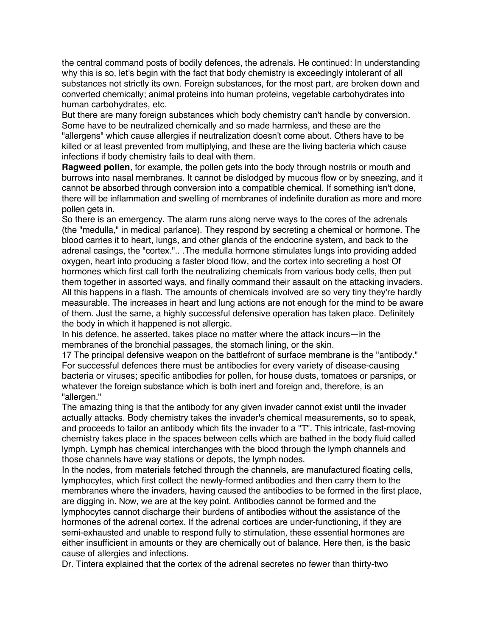the central command posts of bodily defences, the adrenals. He continued: In understanding why this is so, let's begin with the fact that body chemistry is exceedingly intolerant of all substances not strictly its own. Foreign substances, for the most part, are broken down and converted chemically; animal proteins into human proteins, vegetable carbohydrates into human carbohydrates, etc.

But there are many foreign substances which body chemistry can't handle by conversion. Some have to be neutralized chemically and so made harmless, and these are the "allergens" which cause allergies if neutralization doesn't come about. Others have to be killed or at least prevented from multiplying, and these are the living bacteria which cause infections if body chemistry fails to deal with them.

**Ragweed pollen**, for example, the pollen gets into the body through nostrils or mouth and burrows into nasal membranes. It cannot be dislodged by mucous flow or by sneezing, and it cannot be absorbed through conversion into a compatible chemical. If something isn't done, there will be inflammation and swelling of membranes of indefinite duration as more and more pollen gets in.

So there is an emergency. The alarm runs along nerve ways to the cores of the adrenals (the "medulla," in medical parlance). They respond by secreting a chemical or hormone. The blood carries it to heart, lungs, and other glands of the endocrine system, and back to the adrenal casings, the "cortex.".. .The medulla hormone stimulates lungs into providing added oxygen, heart into producing a faster blood flow, and the cortex into secreting a host Of hormones which first call forth the neutralizing chemicals from various body cells, then put them together in assorted ways, and finally command their assault on the attacking invaders. All this happens in a flash. The amounts of chemicals involved are so very tiny they're hardly measurable. The increases in heart and lung actions are not enough for the mind to be aware of them. Just the same, a highly successful defensive operation has taken place. Definitely the body in which it happened is not allergic.

In his defence, he asserted, takes place no matter where the attack incurs—in the membranes of the bronchial passages, the stomach lining, or the skin.

17 The principal defensive weapon on the battlefront of surface membrane is the "antibody." For successful defences there must be antibodies for every variety of disease-causing bacteria or viruses; specific antibodies for pollen, for house dusts, tomatoes or parsnips, or whatever the foreign substance which is both inert and foreign and, therefore, is an "allergen."

The amazing thing is that the antibody for any given invader cannot exist until the invader actually attacks. Body chemistry takes the invader's chemical measurements, so to speak, and proceeds to tailor an antibody which fits the invader to a "T". This intricate, fast-moving chemistry takes place in the spaces between cells which are bathed in the body fluid called lymph. Lymph has chemical interchanges with the blood through the lymph channels and those channels have way stations or depots, the lymph nodes.

In the nodes, from materials fetched through the channels, are manufactured floating cells, lymphocytes, which first collect the newly-formed antibodies and then carry them to the membranes where the invaders, having caused the antibodies to be formed in the first place, are digging in. Now, we are at the key point. Antibodies cannot be formed and the lymphocytes cannot discharge their burdens of antibodies without the assistance of the hormones of the adrenal cortex. If the adrenal cortices are under-functioning, if they are semi-exhausted and unable to respond fully to stimulation, these essential hormones are either insufficient in amounts or they are chemically out of balance. Here then, is the basic cause of allergies and infections.

Dr. Tintera explained that the cortex of the adrenal secretes no fewer than thirty-two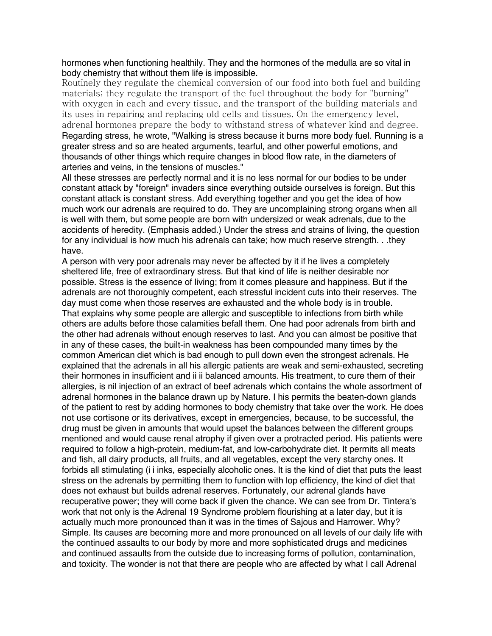## hormones when functioning healthily. They and the hormones of the medulla are so vital in body chemistry that without them life is impossible.

Routinely they regulate the chemical conversion of our food into both fuel and building materials; they regulate the transport of the fuel throughout the body for "burning" with oxygen in each and every tissue, and the transport of the building materials and its uses in repairing and replacing old cells and tissues. On the emergency level, adrenal hormones prepare the body to withstand stress of whatever kind and degree. Regarding stress, he wrote, "Walking is stress because it burns more body fuel. Running is a greater stress and so are heated arguments, tearful, and other powerful emotions, and thousands of other things which require changes in blood flow rate, in the diameters of arteries and veins, in the tensions of muscles."

All these stresses are perfectly normal and it is no less normal for our bodies to be under constant attack by "foreign" invaders since everything outside ourselves is foreign. But this constant attack is constant stress. Add everything together and you get the idea of how much work our adrenals are required to do. They are uncomplaining strong organs when all is well with them, but some people are born with undersized or weak adrenals, due to the accidents of heredity. (Emphasis added.) Under the stress and strains of living, the question for any individual is how much his adrenals can take; how much reserve strength. . .they have.

A person with very poor adrenals may never be affected by it if he lives a completely sheltered life, free of extraordinary stress. But that kind of life is neither desirable nor possible. Stress is the essence of living; from it comes pleasure and happiness. But if the adrenals are not thoroughly competent, each stressful incident cuts into their reserves. The day must come when those reserves are exhausted and the whole body is in trouble. That explains why some people are allergic and susceptible to infections from birth while others are adults before those calamities befall them. One had poor adrenals from birth and the other had adrenals without enough reserves to last. And you can almost be positive that in any of these cases, the built-in weakness has been compounded many times by the common American diet which is bad enough to pull down even the strongest adrenals. He explained that the adrenals in all his allergic patients are weak and semi-exhausted, secreting their hormones in insufficient and ii ii balanced amounts. His treatment, to cure them of their allergies, is nil injection of an extract of beef adrenals which contains the whole assortment of adrenal hormones in the balance drawn up by Nature. I his permits the beaten-down glands of the patient to rest by adding hormones to body chemistry that take over the work. He does not use cortisone or its derivatives, except in emergencies, because, to be successful, the drug must be given in amounts that would upset the balances between the different groups mentioned and would cause renal atrophy if given over a protracted period. His patients were required to follow a high-protein, medium-fat, and low-carbohydrate diet. It permits all meats and fish, all dairy products, all fruits, and all vegetables, except the very starchy ones. It forbids all stimulating (i i inks, especially alcoholic ones. It is the kind of diet that puts the least stress on the adrenals by permitting them to function with lop efficiency, the kind of diet that does not exhaust but builds adrenal reserves. Fortunately, our adrenal glands have recuperative power; they will come back if given the chance. We can see from Dr. Tintera's work that not only is the Adrenal 19 Syndrome problem flourishing at a later day, but it is actually much more pronounced than it was in the times of Sajous and Harrower. Why? Simple. Its causes are becoming more and more pronounced on all levels of our daily life with the continued assaults to our body by more and more sophisticated drugs and medicines and continued assaults from the outside due to increasing forms of pollution, contamination, and toxicity. The wonder is not that there are people who are affected by what I call Adrenal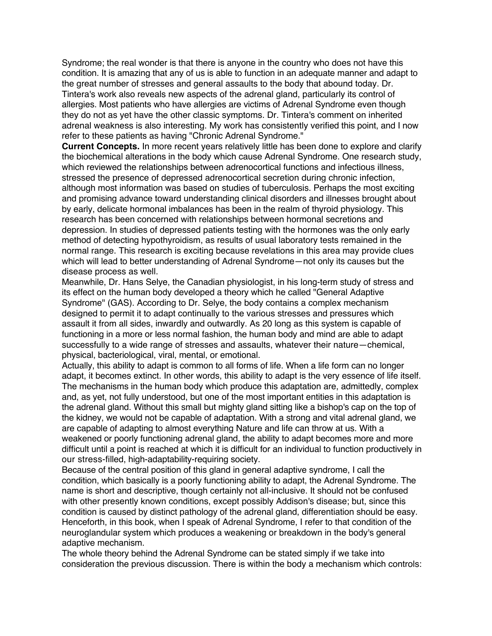Syndrome; the real wonder is that there is anyone in the country who does not have this condition. It is amazing that any of us is able to function in an adequate manner and adapt to the great number of stresses and general assaults to the body that abound today. Dr. Tintera's work also reveals new aspects of the adrenal gland, particularly its control of allergies. Most patients who have allergies are victims of Adrenal Syndrome even though they do not as yet have the other classic symptoms. Dr. Tintera's comment on inherited adrenal weakness is also interesting. My work has consistently verified this point, and I now refer to these patients as having "Chronic Adrenal Syndrome."

**Current Concepts.** In more recent years relatively little has been done to explore and clarify the biochemical alterations in the body which cause Adrenal Syndrome. One research study, which reviewed the relationships between adrenocortical functions and infectious illness, stressed the presence of depressed adrenocortical secretion during chronic infection, although most information was based on studies of tuberculosis. Perhaps the most exciting and promising advance toward understanding clinical disorders and illnesses brought about by early, delicate hormonal imbalances has been in the realm of thyroid physiology. This research has been concerned with relationships between hormonal secretions and depression. In studies of depressed patients testing with the hormones was the only early method of detecting hypothyroidism, as results of usual laboratory tests remained in the normal range. This research is exciting because revelations in this area may provide clues which will lead to better understanding of Adrenal Syndrome—not only its causes but the disease process as well.

Meanwhile, Dr. Hans Selye, the Canadian physiologist, in his long-term study of stress and its effect on the human body developed a theory which he called "General Adaptive Syndrome" (GAS). According to Dr. Selye, the body contains a complex mechanism designed to permit it to adapt continually to the various stresses and pressures which assault it from all sides, inwardly and outwardly. As 20 long as this system is capable of functioning in a more or less normal fashion, the human body and mind are able to adapt successfully to a wide range of stresses and assaults, whatever their nature—chemical, physical, bacteriological, viral, mental, or emotional.

Actually, this ability to adapt is common to all forms of life. When a life form can no longer adapt, it becomes extinct. In other words, this ability to adapt is the very essence of life itself. The mechanisms in the human body which produce this adaptation are, admittedly, complex and, as yet, not fully understood, but one of the most important entities in this adaptation is the adrenal gland. Without this small but mighty gland sitting like a bishop's cap on the top of the kidney, we would not be capable of adaptation. With a strong and vital adrenal gland, we are capable of adapting to almost everything Nature and life can throw at us. With a weakened or poorly functioning adrenal gland, the ability to adapt becomes more and more difficult until a point is reached at which it is difficult for an individual to function productively in our stress-filled, high-adaptability-requiring society.

Because of the central position of this gland in general adaptive syndrome, I call the condition, which basically is a poorly functioning ability to adapt, the Adrenal Syndrome. The name is short and descriptive, though certainly not all-inclusive. It should not be confused with other presently known conditions, except possibly Addison's disease; but, since this condition is caused by distinct pathology of the adrenal gland, differentiation should be easy. Henceforth, in this book, when I speak of Adrenal Syndrome, I refer to that condition of the neuroglandular system which produces a weakening or breakdown in the body's general adaptive mechanism.

The whole theory behind the Adrenal Syndrome can be stated simply if we take into consideration the previous discussion. There is within the body a mechanism which controls: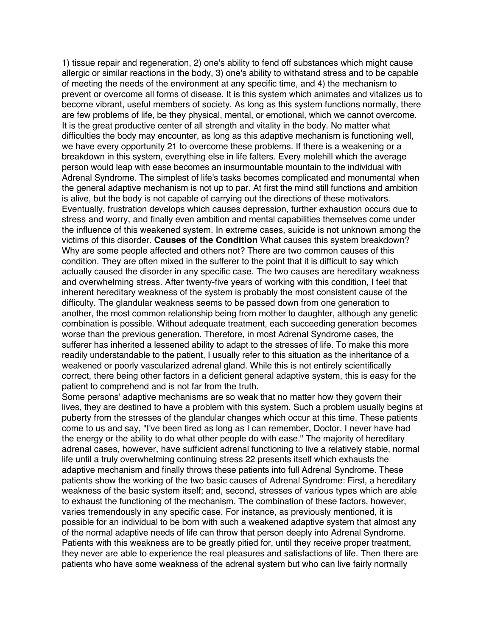1) tissue repair and regeneration, 2) one's ability to fend off substances which might cause allergic or similar reactions in the body, 3) one's ability to withstand stress and to be capable of meeting the needs of the environment at any specific time, and 4) the mechanism to prevent or overcome all forms of disease. It is this system which animates and vitalizes us to become vibrant, useful members of society. As long as this system functions normally, there are few problems of life, be they physical, mental, or emotional, which we cannot overcome. It is the great productive center of all strength and vitality in the body. No matter what difficulties the body may encounter, as long as this adaptive mechanism is functioning well, we have every opportunity 21 to overcome these problems. If there is a weakening or a breakdown in this system, everything else in life falters. Every molehill which the average person would leap with ease becomes an insurmountable mountain to the individual with Adrenal Syndrome. The simplest of life's tasks becomes complicated and monumental when the general adaptive mechanism is not up to par. At first the mind still functions and ambition is alive, but the body is not capable of carrying out the directions of these motivators. Eventually, frustration develops which causes depression, further exhaustion occurs due to stress and worry, and finally even ambition and mental capabilities themselves come under the influence of this weakened system. In extreme cases, suicide is not unknown among the victims of this disorder. **Causes of the Condition** What causes this system breakdown? Why are some people affected and others not? There are two common causes of this condition. They are often mixed in the sufferer to the point that it is difficult to say which actually caused the disorder in any specific case. The two causes are hereditary weakness and overwhelming stress. After twenty-five years of working with this condition, I feel that inherent hereditary weakness of the system is probably the most consistent cause of the difficulty. The glandular weakness seems to be passed down from one generation to another, the most common relationship being from mother to daughter, although any genetic combination is possible. Without adequate treatment, each succeeding generation becomes worse than the previous generation. Therefore, in most Adrenal Syndrome cases, the sufferer has inherited a lessened ability to adapt to the stresses of life. To make this more readily understandable to the patient, I usually refer to this situation as the inheritance of a weakened or poorly vascularized adrenal gland. While this is not entirely scientifically correct, there being other factors in a deficient general adaptive system, this is easy for the patient to comprehend and is not far from the truth.

Some persons' adaptive mechanisms are so weak that no matter how they govern their lives, they are destined to have a problem with this system. Such a problem usually begins at puberty from the stresses of the glandular changes which occur at this time. These patients come to us and say, "I've been tired as long as I can remember, Doctor. I never have had the energy or the ability to do what other people do with ease." The majority of hereditary adrenal cases, however, have sufficient adrenal functioning to live a relatively stable, normal life until a truly overwhelming continuing stress 22 presents itself which exhausts the adaptive mechanism and finally throws these patients into full Adrenal Syndrome. These patients show the working of the two basic causes of Adrenal Syndrome: First, a hereditary weakness of the basic system itself; and, second, stresses of various types which are able to exhaust the functioning of the mechanism. The combination of these factors, however, varies tremendously in any specific case. For instance, as previously mentioned, it is possible for an individual to be born with such a weakened adaptive system that almost any of the normal adaptive needs of life can throw that person deeply into Adrenal Syndrome. Patients with this weakness are to be greatly pitied for, until they receive proper treatment, they never are able to experience the real pleasures and satisfactions of life. Then there are patients who have some weakness of the adrenal system but who can live fairly normally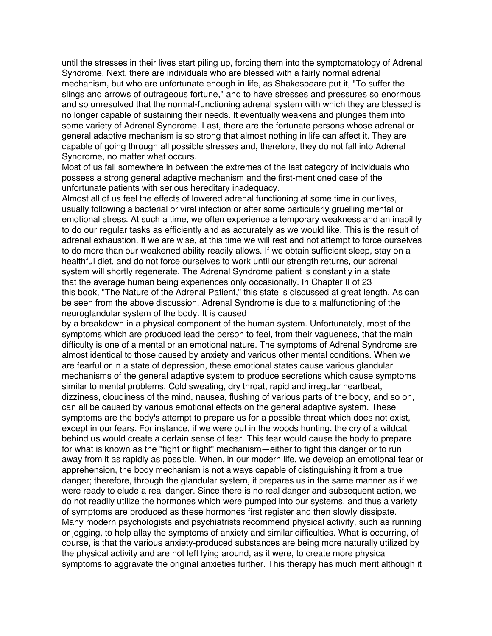until the stresses in their lives start piling up, forcing them into the symptomatology of Adrenal Syndrome. Next, there are individuals who are blessed with a fairly normal adrenal mechanism, but who are unfortunate enough in life, as Shakespeare put it, "To suffer the slings and arrows of outrageous fortune," and to have stresses and pressures so enormous and so unresolved that the normal-functioning adrenal system with which they are blessed is no longer capable of sustaining their needs. It eventually weakens and plunges them into some variety of Adrenal Syndrome. Last, there are the fortunate persons whose adrenal or general adaptive mechanism is so strong that almost nothing in life can affect it. They are capable of going through all possible stresses and, therefore, they do not fall into Adrenal Syndrome, no matter what occurs.

Most of us fall somewhere in between the extremes of the last category of individuals who possess a strong general adaptive mechanism and the first-mentioned case of the unfortunate patients with serious hereditary inadequacy.

Almost all of us feel the effects of lowered adrenal functioning at some time in our lives, usually following a bacterial or viral infection or after some particularly gruelling mental or emotional stress. At such a time, we often experience a temporary weakness and an inability to do our regular tasks as efficiently and as accurately as we would like. This is the result of adrenal exhaustion. If we are wise, at this time we will rest and not attempt to force ourselves to do more than our weakened ability readily allows. If we obtain sufficient sleep, stay on a healthful diet, and do not force ourselves to work until our strength returns, our adrenal system will shortly regenerate. The Adrenal Syndrome patient is constantly in a state that the average human being experiences only occasionally. In Chapter II of 23 this book, "The Nature of the Adrenal Patient," this state is discussed at great length. As can be seen from the above discussion, Adrenal Syndrome is due to a malfunctioning of the neuroglandular system of the body. It is caused

by a breakdown in a physical component of the human system. Unfortunately, most of the symptoms which are produced lead the person to feel, from their vagueness, that the main difficulty is one of a mental or an emotional nature. The symptoms of Adrenal Syndrome are almost identical to those caused by anxiety and various other mental conditions. When we are fearful or in a state of depression, these emotional states cause various glandular mechanisms of the general adaptive system to produce secretions which cause symptoms similar to mental problems. Cold sweating, dry throat, rapid and irregular heartbeat, dizziness, cloudiness of the mind, nausea, flushing of various parts of the body, and so on, can all be caused by various emotional effects on the general adaptive system. These symptoms are the body's attempt to prepare us for a possible threat which does not exist, except in our fears. For instance, if we were out in the woods hunting, the cry of a wildcat behind us would create a certain sense of fear. This fear would cause the body to prepare for what is known as the "fight or flight" mechanism—either to fight this danger or to run away from it as rapidly as possible. When, in our modern life, we develop an emotional fear or apprehension, the body mechanism is not always capable of distinguishing it from a true danger; therefore, through the glandular system, it prepares us in the same manner as if we were ready to elude a real danger. Since there is no real danger and subsequent action, we do not readily utilize the hormones which were pumped into our systems, and thus a variety of symptoms are produced as these hormones first register and then slowly dissipate. Many modern psychologists and psychiatrists recommend physical activity, such as running or jogging, to help allay the symptoms of anxiety and similar difficulties. What is occurring, of course, is that the various anxiety-produced substances are being more naturally utilized by the physical activity and are not left lying around, as it were, to create more physical symptoms to aggravate the original anxieties further. This therapy has much merit although it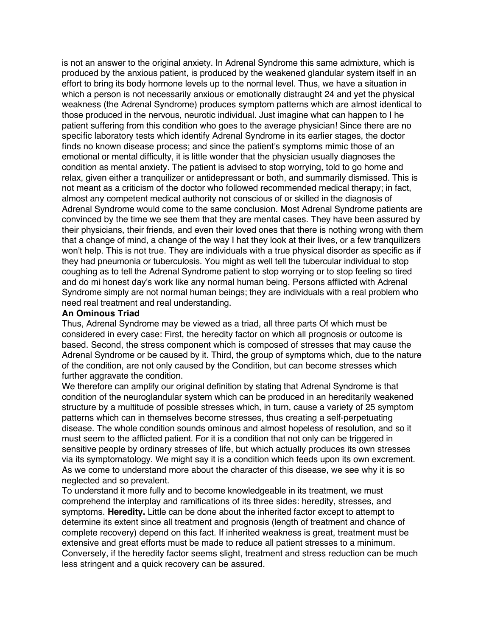is not an answer to the original anxiety. In Adrenal Syndrome this same admixture, which is produced by the anxious patient, is produced by the weakened glandular system itself in an effort to bring its body hormone levels up to the normal level. Thus, we have a situation in which a person is not necessarily anxious or emotionally distraught 24 and yet the physical weakness (the Adrenal Syndrome) produces symptom patterns which are almost identical to those produced in the nervous, neurotic individual. Just imagine what can happen to I he patient suffering from this condition who goes to the average physician! Since there are no specific laboratory tests which identify Adrenal Syndrome in its earlier stages, the doctor finds no known disease process; and since the patient's symptoms mimic those of an emotional or mental difficulty, it is little wonder that the physician usually diagnoses the condition as mental anxiety. The patient is advised to stop worrying, told to go home and relax, given either a tranquilizer or antidepressant or both, and summarily dismissed. This is not meant as a criticism of the doctor who followed recommended medical therapy; in fact, almost any competent medical authority not conscious of or skilled in the diagnosis of Adrenal Syndrome would come to the same conclusion. Most Adrenal Syndrome patients are convinced by the time we see them that they are mental cases. They have been assured by their physicians, their friends, and even their loved ones that there is nothing wrong with them that a change of mind, a change of the way I hat they look at their lives, or a few tranquilizers won't help. This is not true. They are individuals with a true physical disorder as specific as if they had pneumonia or tuberculosis. You might as well tell the tubercular individual to stop coughing as to tell the Adrenal Syndrome patient to stop worrying or to stop feeling so tired and do mi honest day's work like any normal human being. Persons afflicted with Adrenal Syndrome simply are not normal human beings; they are individuals with a real problem who need real treatment and real understanding.

### **An Ominous Triad**

Thus, Adrenal Syndrome may be viewed as a triad, all three parts Of which must be considered in every case: First, the heredity factor on which all prognosis or outcome is based. Second, the stress component which is composed of stresses that may cause the Adrenal Syndrome or be caused by it. Third, the group of symptoms which, due to the nature of the condition, are not only caused by the Condition, but can become stresses which further aggravate the condition.

We therefore can amplify our original definition by stating that Adrenal Syndrome is that condition of the neuroglandular system which can be produced in an hereditarily weakened structure by a multitude of possible stresses which, in turn, cause a variety of 25 symptom patterns which can in themselves become stresses, thus creating a self-perpetuating disease. The whole condition sounds ominous and almost hopeless of resolution, and so it must seem to the afflicted patient. For it is a condition that not only can be triggered in sensitive people by ordinary stresses of life, but which actually produces its own stresses via its symptomatology. We might say it is a condition which feeds upon its own excrement. As we come to understand more about the character of this disease, we see why it is so neglected and so prevalent.

To understand it more fully and to become knowledgeable in its treatment, we must comprehend the interplay and ramifications of its three sides: heredity, stresses, and symptoms. **Heredity.** Little can be done about the inherited factor except to attempt to determine its extent since all treatment and prognosis (length of treatment and chance of complete recovery) depend on this fact. If inherited weakness is great, treatment must be extensive and great efforts must be made to reduce all patient stresses to a minimum. Conversely, if the heredity factor seems slight, treatment and stress reduction can be much less stringent and a quick recovery can be assured.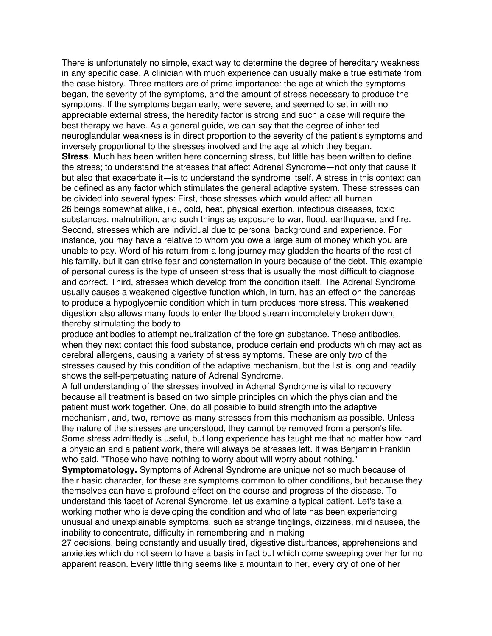There is unfortunately no simple, exact way to determine the degree of hereditary weakness in any specific case. A clinician with much experience can usually make a true estimate from the case history. Three matters are of prime importance: the age at which the symptoms began, the severity of the symptoms, and the amount of stress necessary to produce the symptoms. If the symptoms began early, were severe, and seemed to set in with no appreciable external stress, the heredity factor is strong and such a case will require the best therapy we have. As a general guide, we can say that the degree of inherited neuroglandular weakness is in direct proportion to the severity of the patient's symptoms and inversely proportional to the stresses involved and the age at which they began. **Stress**. Much has been written here concerning stress, but little has been written to define the stress; to understand the stresses that affect Adrenal Syndrome—not only that cause it but also that exacerbate it—is to understand the syndrome itself. A stress in this context can be defined as any factor which stimulates the general adaptive system. These stresses can be divided into several types: First, those stresses which would affect all human 26 beings somewhat alike, i.e., cold, heat, physical exertion, infectious diseases, toxic substances, malnutrition, and such things as exposure to war, flood, earthquake, and fire. Second, stresses which are individual due to personal background and experience. For instance, you may have a relative to whom you owe a large sum of money which you are unable to pay. Word of his return from a long journey may gladden the hearts of the rest of his family, but it can strike fear and consternation in yours because of the debt. This example of personal duress is the type of unseen stress that is usually the most difficult to diagnose and correct. Third, stresses which develop from the condition itself. The Adrenal Syndrome usually causes a weakened digestive function which, in turn, has an effect on the pancreas to produce a hypoglycemic condition which in turn produces more stress. This weakened digestion also allows many foods to enter the blood stream incompletely broken down, thereby stimulating the body to

produce antibodies to attempt neutralization of the foreign substance. These antibodies, when they next contact this food substance, produce certain end products which may act as cerebral allergens, causing a variety of stress symptoms. These are only two of the stresses caused by this condition of the adaptive mechanism, but the list is long and readily shows the self-perpetuating nature of Adrenal Syndrome.

A full understanding of the stresses involved in Adrenal Syndrome is vital to recovery because all treatment is based on two simple principles on which the physician and the patient must work together. One, do all possible to build strength into the adaptive mechanism, and, two, remove as many stresses from this mechanism as possible. Unless the nature of the stresses are understood, they cannot be removed from a person's life. Some stress admittedly is useful, but long experience has taught me that no matter how hard a physician and a patient work, there will always be stresses left. It was Benjamin Franklin who said, "Those who have nothing to worry about will worry about nothing."

**Symptomatology.** Symptoms of Adrenal Syndrome are unique not so much because of their basic character, for these are symptoms common to other conditions, but because they themselves can have a profound effect on the course and progress of the disease. To understand this facet of Adrenal Syndrome, let us examine a typical patient. Let's take a working mother who is developing the condition and who of late has been experiencing unusual and unexplainable symptoms, such as strange tinglings, dizziness, mild nausea, the inability to concentrate, difficulty in remembering and in making

27 decisions, being constantly and usually tired, digestive disturbances, apprehensions and anxieties which do not seem to have a basis in fact but which come sweeping over her for no apparent reason. Every little thing seems like a mountain to her, every cry of one of her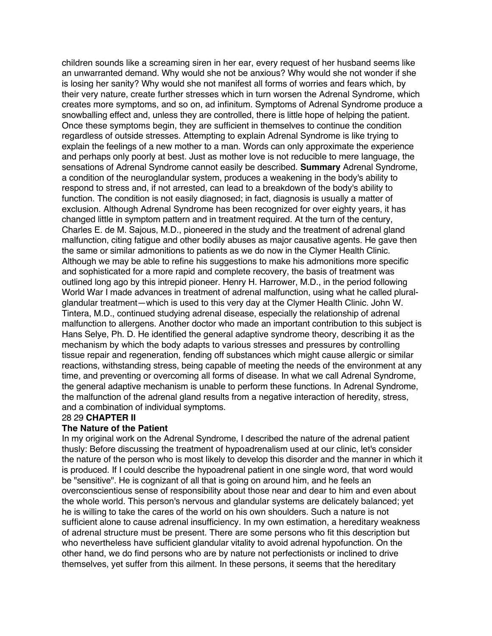children sounds like a screaming siren in her ear, every request of her husband seems like an unwarranted demand. Why would she not be anxious? Why would she not wonder if she is losing her sanity? Why would she not manifest all forms of worries and fears which, by their very nature, create further stresses which in turn worsen the Adrenal Syndrome, which creates more symptoms, and so on, ad infinitum. Symptoms of Adrenal Syndrome produce a snowballing effect and, unless they are controlled, there is little hope of helping the patient. Once these symptoms begin, they are sufficient in themselves to continue the condition regardless of outside stresses. Attempting to explain Adrenal Syndrome is like trying to explain the feelings of a new mother to a man. Words can only approximate the experience and perhaps only poorly at best. Just as mother love is not reducible to mere language, the sensations of Adrenal Syndrome cannot easily be described. **Summary** Adrenal Syndrome, a condition of the neuroglandular system, produces a weakening in the body's ability to respond to stress and, if not arrested, can lead to a breakdown of the body's ability to function. The condition is not easily diagnosed; in fact, diagnosis is usually a matter of exclusion. Although Adrenal Syndrome has been recognized for over eighty years, it has changed little in symptom pattern and in treatment required. At the turn of the century, Charles E. de M. Sajous, M.D., pioneered in the study and the treatment of adrenal gland malfunction, citing fatigue and other bodily abuses as major causative agents. He gave then the same or similar admonitions to patients as we do now in the Clymer Health Clinic. Although we may be able to refine his suggestions to make his admonitions more specific and sophisticated for a more rapid and complete recovery, the basis of treatment was outlined long ago by this intrepid pioneer. Henry H. Harrower, M.D., in the period following World War I made advances in treatment of adrenal malfunction, using what he called pluralglandular treatment—which is used to this very day at the Clymer Health Clinic. John W. Tintera, M.D., continued studying adrenal disease, especially the relationship of adrenal malfunction to allergens. Another doctor who made an important contribution to this subject is Hans Selye, Ph. D. He identified the general adaptive syndrome theory, describing it as the mechanism by which the body adapts to various stresses and pressures by controlling tissue repair and regeneration, fending off substances which might cause allergic or similar reactions, withstanding stress, being capable of meeting the needs of the environment at any time, and preventing or overcoming all forms of disease. In what we call Adrenal Syndrome, the general adaptive mechanism is unable to perform these functions. In Adrenal Syndrome, the malfunction of the adrenal gland results from a negative interaction of heredity, stress, and a combination of individual symptoms.

### 28 29 **CHAPTER II**

### **The Nature of the Patient**

In my original work on the Adrenal Syndrome, I described the nature of the adrenal patient thusly: Before discussing the treatment of hypoadrenalism used at our clinic, let's consider the nature of the person who is most likely to develop this disorder and the manner in which it is produced. If I could describe the hypoadrenal patient in one single word, that word would be "sensitive". He is cognizant of all that is going on around him, and he feels an overconscientious sense of responsibility about those near and dear to him and even about the whole world. This person's nervous and glandular systems are delicately balanced; yet he is willing to take the cares of the world on his own shoulders. Such a nature is not sufficient alone to cause adrenal insufficiency. In my own estimation, a hereditary weakness of adrenal structure must be present. There are some persons who fit this description but who nevertheless have sufficient glandular vitality to avoid adrenal hypofunction. On the other hand, we do find persons who are by nature not perfectionists or inclined to drive themselves, yet suffer from this ailment. In these persons, it seems that the hereditary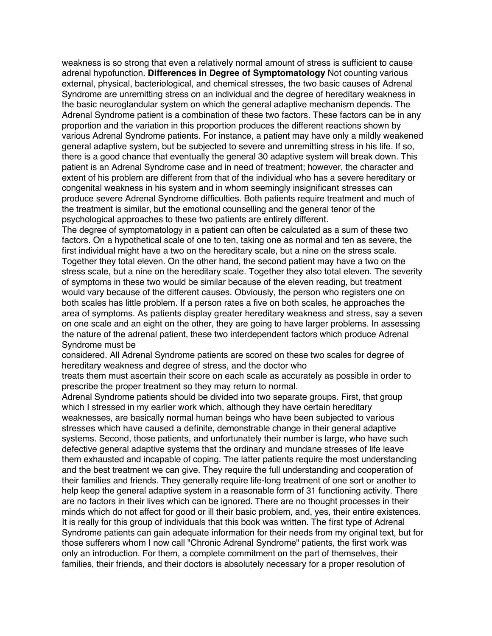weakness is so strong that even a relatively normal amount of stress is sufficient to cause adrenal hypofunction. **Differences in Degree of Symptomatology** Not counting various external, physical, bacteriological, and chemical stresses, the two basic causes of Adrenal Syndrome are unremitting stress on an individual and the degree of hereditary weakness in the basic neuroglandular system on which the general adaptive mechanism depends. The Adrenal Syndrome patient is a combination of these two factors. These factors can be in any proportion and the variation in this proportion produces the different reactions shown by various Adrenal Syndrome patients. For instance, a patient may have only a mildly weakened general adaptive system, but be subjected to severe and unremitting stress in his life. If so, there is a good chance that eventually the general 30 adaptive system will break down. This patient is an Adrenal Syndrome case and in need of treatment; however, the character and extent of his problem are different from that of the individual who has a severe hereditary or congenital weakness in his system and in whom seemingly insignificant stresses can produce severe Adrenal Syndrome difficulties. Both patients require treatment and much of the treatment is similar, but the emotional counselling and the general tenor of the psychological approaches to these two patients are entirely different.

The degree of symptomatology in a patient can often be calculated as a sum of these two factors. On a hypothetical scale of one to ten, taking one as normal and ten as severe, the first individual might have a two on the hereditary scale, but a nine on the stress scale. Together they total eleven. On the other hand, the second patient may have a two on the stress scale, but a nine on the hereditary scale. Together they also total eleven. The severity of symptoms in these two would be similar because of the eleven reading, but treatment would vary because of the different causes. Obviously, the person who registers one on both scales has little problem. If a person rates a five on both scales, he approaches the area of symptoms. As patients display greater hereditary weakness and stress, say a seven on one scale and an eight on the other, they are going to have larger problems. In assessing the nature of the adrenal patient, these two interdependent factors which produce Adrenal Syndrome must be

considered. All Adrenal Syndrome patients are scored on these two scales for degree of hereditary weakness and degree of stress, and the doctor who

treats them must ascertain their score on each scale as accurately as possible in order to prescribe the proper treatment so they may return to normal.

Adrenal Syndrome patients should be divided into two separate groups. First, that group which I stressed in my earlier work which, although they have certain hereditary weaknesses, are basically normal human beings who have been subjected to various stresses which have caused a definite, demonstrable change in their general adaptive systems. Second, those patients, and unfortunately their number is large, who have such defective general adaptive systems that the ordinary and mundane stresses of life leave them exhausted and incapable of coping. The latter patients require the most understanding and the best treatment we can give. They require the full understanding and cooperation of their families and friends. They generally require life-long treatment of one sort or another to help keep the general adaptive system in a reasonable form of 31 functioning activity. There are no factors in their lives which can be ignored. There are no thought processes in their minds which do not affect for good or ill their basic problem, and, yes, their entire existences. It is really for this group of individuals that this book was written. The first type of Adrenal Syndrome patients can gain adequate information for their needs from my original text, but for those sufferers whom I now call "Chronic Adrenal Syndrome" patients, the first work was only an introduction. For them, a complete commitment on the part of themselves, their families, their friends, and their doctors is absolutely necessary for a proper resolution of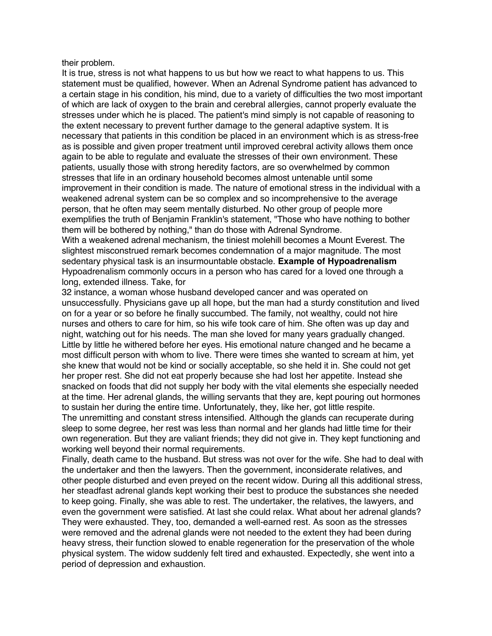#### their problem.

It is true, stress is not what happens to us but how we react to what happens to us. This statement must be qualified, however. When an Adrenal Syndrome patient has advanced to a certain stage in his condition, his mind, due to a variety of difficulties the two most important of which are lack of oxygen to the brain and cerebral allergies, cannot properly evaluate the stresses under which he is placed. The patient's mind simply is not capable of reasoning to the extent necessary to prevent further damage to the general adaptive system. It is necessary that patients in this condition be placed in an environment which is as stress-free as is possible and given proper treatment until improved cerebral activity allows them once again to be able to regulate and evaluate the stresses of their own environment. These patients, usually those with strong heredity factors, are so overwhelmed by common stresses that life in an ordinary household becomes almost untenable until some improvement in their condition is made. The nature of emotional stress in the individual with a weakened adrenal system can be so complex and so incomprehensive to the average person, that he often may seem mentally disturbed. No other group of people more exemplifies the truth of Benjamin Franklin's statement, "Those who have nothing to bother them will be bothered by nothing," than do those with Adrenal Syndrome.

With a weakened adrenal mechanism, the tiniest molehill becomes a Mount Everest. The slightest misconstrued remark becomes condemnation of a major magnitude. The most sedentary physical task is an insurmountable obstacle. **Example of Hypoadrenalism**  Hypoadrenalism commonly occurs in a person who has cared for a loved one through a long, extended illness. Take, for

32 instance, a woman whose husband developed cancer and was operated on unsuccessfully. Physicians gave up all hope, but the man had a sturdy constitution and lived on for a year or so before he finally succumbed. The family, not wealthy, could not hire nurses and others to care for him, so his wife took care of him. She often was up day and night, watching out for his needs. The man she loved for many years gradually changed. Little by little he withered before her eyes. His emotional nature changed and he became a most difficult person with whom to live. There were times she wanted to scream at him, yet she knew that would not be kind or socially acceptable, so she held it in. She could not get her proper rest. She did not eat properly because she had lost her appetite. Instead she snacked on foods that did not supply her body with the vital elements she especially needed at the time. Her adrenal glands, the willing servants that they are, kept pouring out hormones to sustain her during the entire time. Unfortunately, they, like her, got little respite.

The unremitting and constant stress intensified. Although the glands can recuperate during sleep to some degree, her rest was less than normal and her glands had little time for their own regeneration. But they are valiant friends; they did not give in. They kept functioning and working well beyond their normal requirements.

Finally, death came to the husband. But stress was not over for the wife. She had to deal with the undertaker and then the lawyers. Then the government, inconsiderate relatives, and other people disturbed and even preyed on the recent widow. During all this additional stress, her steadfast adrenal glands kept working their best to produce the substances she needed to keep going. Finally, she was able to rest. The undertaker, the relatives, the lawyers, and even the government were satisfied. At last she could relax. What about her adrenal glands? They were exhausted. They, too, demanded a well-earned rest. As soon as the stresses were removed and the adrenal glands were not needed to the extent they had been during heavy stress, their function slowed to enable regeneration for the preservation of the whole physical system. The widow suddenly felt tired and exhausted. Expectedly, she went into a period of depression and exhaustion.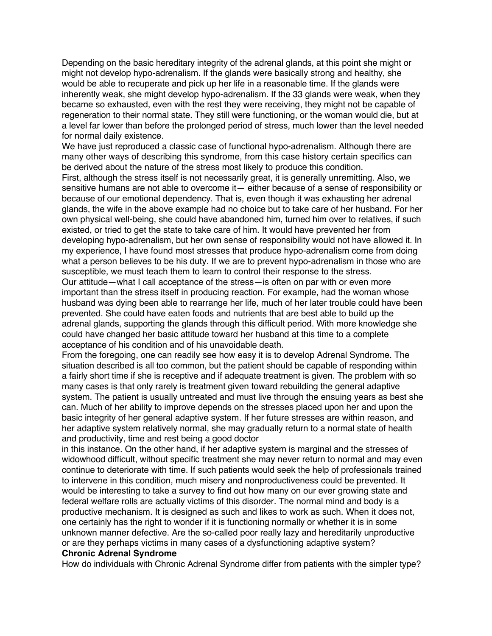Depending on the basic hereditary integrity of the adrenal glands, at this point she might or might not develop hypo-adrenalism. If the glands were basically strong and healthy, she would be able to recuperate and pick up her life in a reasonable time. If the glands were inherently weak, she might develop hypo-adrenalism. If the 33 glands were weak, when they became so exhausted, even with the rest they were receiving, they might not be capable of regeneration to their normal state. They still were functioning, or the woman would die, but at a level far lower than before the prolonged period of stress, much lower than the level needed for normal daily existence.

We have just reproduced a classic case of functional hypo-adrenalism. Although there are many other ways of describing this syndrome, from this case history certain specifics can be derived about the nature of the stress most likely to produce this condition.

First, although the stress itself is not necessarily great, it is generally unremitting. Also, we sensitive humans are not able to overcome it— either because of a sense of responsibility or because of our emotional dependency. That is, even though it was exhausting her adrenal glands, the wife in the above example had no choice but to take care of her husband. For her own physical well-being, she could have abandoned him, turned him over to relatives, if such existed, or tried to get the state to take care of him. It would have prevented her from developing hypo-adrenalism, but her own sense of responsibility would not have allowed it. In my experience, I have found most stresses that produce hypo-adrenalism come from doing what a person believes to be his duty. If we are to prevent hypo-adrenalism in those who are susceptible, we must teach them to learn to control their response to the stress.

Our attitude—what I call acceptance of the stress—is often on par with or even more important than the stress itself in producing reaction. For example, had the woman whose husband was dying been able to rearrange her life, much of her later trouble could have been prevented. She could have eaten foods and nutrients that are best able to build up the adrenal glands, supporting the glands through this difficult period. With more knowledge she could have changed her basic attitude toward her husband at this time to a complete acceptance of his condition and of his unavoidable death.

From the foregoing, one can readily see how easy it is to develop Adrenal Syndrome. The situation described is all too common, but the patient should be capable of responding within a fairly short time if she is receptive and if adequate treatment is given. The problem with so many cases is that only rarely is treatment given toward rebuilding the general adaptive system. The patient is usually untreated and must live through the ensuing years as best she can. Much of her ability to improve depends on the stresses placed upon her and upon the basic integrity of her general adaptive system. If her future stresses are within reason, and her adaptive system relatively normal, she may gradually return to a normal state of health and productivity, time and rest being a good doctor

in this instance. On the other hand, if her adaptive system is marginal and the stresses of widowhood difficult, without specific treatment she may never return to normal and may even continue to deteriorate with time. If such patients would seek the help of professionals trained to intervene in this condition, much misery and nonproductiveness could be prevented. It would be interesting to take a survey to find out how many on our ever growing state and federal welfare rolls are actually victims of this disorder. The normal mind and body is a productive mechanism. It is designed as such and likes to work as such. When it does not, one certainly has the right to wonder if it is functioning normally or whether it is in some unknown manner defective. Are the so-called poor really lazy and hereditarily unproductive or are they perhaps victims in many cases of a dysfunctioning adaptive system? **Chronic Adrenal Syndrome**

How do individuals with Chronic Adrenal Syndrome differ from patients with the simpler type?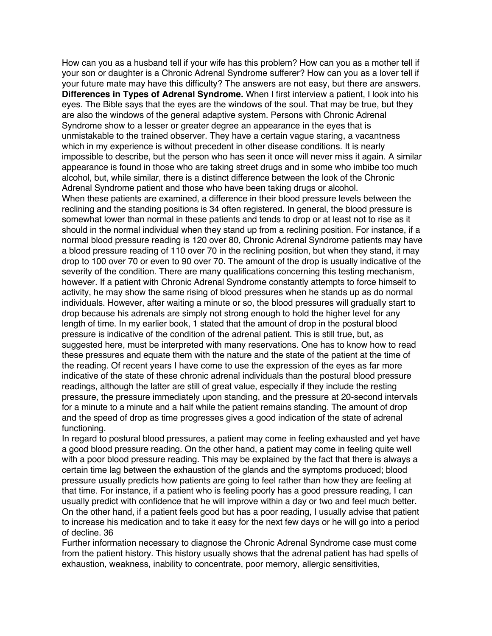How can you as a husband tell if your wife has this problem? How can you as a mother tell if your son or daughter is a Chronic Adrenal Syndrome sufferer? How can you as a lover tell if your future mate may have this difficulty? The answers are not easy, but there are answers. **Differences in Types of Adrenal Syndrome.** When I first interview a patient, I look into his eyes. The Bible says that the eyes are the windows of the soul. That may be true, but they are also the windows of the general adaptive system. Persons with Chronic Adrenal Syndrome show to a lesser or greater degree an appearance in the eyes that is unmistakable to the trained observer. They have a certain vague staring, a vacantness which in my experience is without precedent in other disease conditions. It is nearly impossible to describe, but the person who has seen it once will never miss it again. A similar appearance is found in those who are taking street drugs and in some who imbibe too much alcohol, but, while similar, there is a distinct difference between the look of the Chronic Adrenal Syndrome patient and those who have been taking drugs or alcohol.

When these patients are examined, a difference in their blood pressure levels between the reclining and the standing positions is 34 often registered. In general, the blood pressure is somewhat lower than normal in these patients and tends to drop or at least not to rise as it should in the normal individual when they stand up from a reclining position. For instance, if a normal blood pressure reading is 120 over 80, Chronic Adrenal Syndrome patients may have a blood pressure reading of 110 over 70 in the reclining position, but when they stand, it may drop to 100 over 70 or even to 90 over 70. The amount of the drop is usually indicative of the severity of the condition. There are many qualifications concerning this testing mechanism, however. If a patient with Chronic Adrenal Syndrome constantly attempts to force himself to activity, he may show the same rising of blood pressures when he stands up as do normal individuals. However, after waiting a minute or so, the blood pressures will gradually start to drop because his adrenals are simply not strong enough to hold the higher level for any length of time. In my earlier book, 1 stated that the amount of drop in the postural blood pressure is indicative of the condition of the adrenal patient. This is still true, but, as suggested here, must be interpreted with many reservations. One has to know how to read these pressures and equate them with the nature and the state of the patient at the time of the reading. Of recent years I have come to use the expression of the eyes as far more indicative of the state of these chronic adrenal individuals than the postural blood pressure readings, although the latter are still of great value, especially if they include the resting pressure, the pressure immediately upon standing, and the pressure at 20-second intervals for a minute to a minute and a half while the patient remains standing. The amount of drop and the speed of drop as time progresses gives a good indication of the state of adrenal functioning.

In regard to postural blood pressures, a patient may come in feeling exhausted and yet have a good blood pressure reading. On the other hand, a patient may come in feeling quite well with a poor blood pressure reading. This may be explained by the fact that there is always a certain time lag between the exhaustion of the glands and the symptoms produced; blood pressure usually predicts how patients are going to feel rather than how they are feeling at that time. For instance, if a patient who is feeling poorly has a good pressure reading, I can usually predict with confidence that he will improve within a day or two and feel much better. On the other hand, if a patient feels good but has a poor reading, I usually advise that patient to increase his medication and to take it easy for the next few days or he will go into a period of decline. 36

Further information necessary to diagnose the Chronic Adrenal Syndrome case must come from the patient history. This history usually shows that the adrenal patient has had spells of exhaustion, weakness, inability to concentrate, poor memory, allergic sensitivities,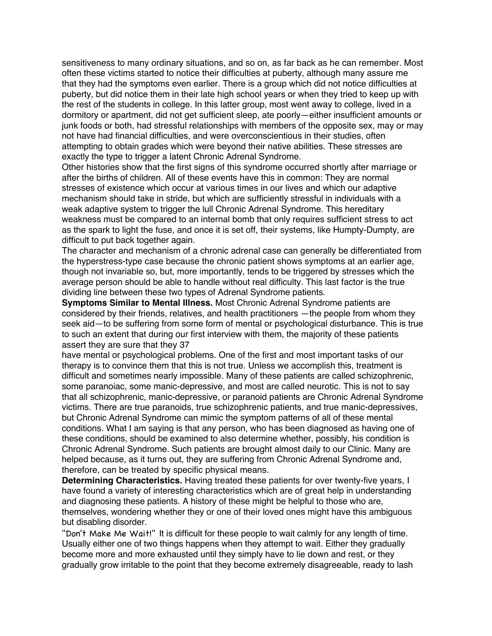sensitiveness to many ordinary situations, and so on, as far back as he can remember. Most often these victims started to notice their difficulties at puberty, although many assure me that they had the symptoms even earlier. There is a group which did not notice difficulties at puberty, but did notice them in their late high school years or when they tried to keep up with the rest of the students in college. In this latter group, most went away to college, lived in a dormitory or apartment, did not get sufficient sleep, ate poorly—either insufficient amounts or junk foods or both, had stressful relationships with members of the opposite sex, may or may not have had financial difficulties, and were overconscientious in their studies, often attempting to obtain grades which were beyond their native abilities. These stresses are exactly the type to trigger a latent Chronic Adrenal Syndrome.

Other histories show that the first signs of this syndrome occurred shortly after marriage or after the births of children. All of these events have this in common: They are normal stresses of existence which occur at various times in our lives and which our adaptive mechanism should take in stride, but which are sufficiently stressful in individuals with a weak adaptive system to trigger the lull Chronic Adrenal Syndrome. This hereditary weakness must be compared to an internal bomb that only requires sufficient stress to act as the spark to light the fuse, and once it is set off, their systems, like Humpty-Dumpty, are difficult to put back together again.

The character and mechanism of a chronic adrenal case can generally be differentiated from the hyperstress-type case because the chronic patient shows symptoms at an earlier age, though not invariable so, but, more importantly, tends to be triggered by stresses which the average person should be able to handle without real difficulty. This last factor is the true dividing line between these two types of Adrenal Syndrome patients.

**Symptoms Similar to Mental Illness.** Most Chronic Adrenal Syndrome patients are considered by their friends, relatives, and health practitioners —the people from whom they seek aid—to be suffering from some form of mental or psychological disturbance. This is true to such an extent that during our first interview with them, the majority of these patients assert they are sure that they 37

have mental or psychological problems. One of the first and most important tasks of our therapy is to convince them that this is not true. Unless we accomplish this, treatment is difficult and sometimes nearly impossible. Many of these patients are called schizophrenic, some paranoiac, some manic-depressive, and most are called neurotic. This is not to say that all schizophrenic, manic-depressive, or paranoid patients are Chronic Adrenal Syndrome victims. There are true paranoids, true schizophrenic patients, and true manic-depressives, but Chronic Adrenal Syndrome can mimic the symptom patterns of all of these mental conditions. What I am saying is that any person, who has been diagnosed as having one of these conditions, should be examined to also determine whether, possibly, his condition is Chronic Adrenal Syndrome. Such patients are brought almost daily to our Clinic. Many are helped because, as it turns out, they are suffering from Chronic Adrenal Syndrome and, therefore, can be treated by specific physical means.

**Determining Characteristics.** Having treated these patients for over twenty-five years, I have found a variety of interesting characteristics which are of great help in understanding and diagnosing these patients. A history of these might be helpful to those who are, themselves, wondering whether they or one of their loved ones might have this ambiguous but disabling disorder.

"Don't Make Me Wait!" It is difficult for these people to wait calmly for any length of time. Usually either one of two things happens when they attempt to wait. Either they gradually become more and more exhausted until they simply have to lie down and rest, or they gradually grow irritable to the point that they become extremely disagreeable, ready to lash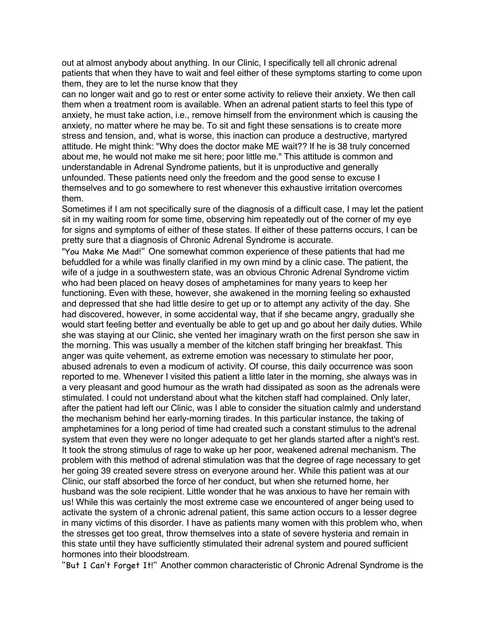out at almost anybody about anything. In our Clinic, I specifically tell all chronic adrenal patients that when they have to wait and feel either of these symptoms starting to come upon them, they are to let the nurse know that they

can no longer wait and go to rest or enter some activity to relieve their anxiety. We then call them when a treatment room is available. When an adrenal patient starts to feel this type of anxiety, he must take action, i.e., remove himself from the environment which is causing the anxiety, no matter where he may be. To sit and fight these sensations is to create more stress and tension, and, what is worse, this inaction can produce a destructive, martyred attitude. He might think: "Why does the doctor make ME wait?? If he is 38 truly concerned about me, he would not make me sit here; poor little me." This attitude is common and understandable in Adrenal Syndrome patients, but it is unproductive and generally unfounded. These patients need only the freedom and the good sense to excuse I themselves and to go somewhere to rest whenever this exhaustive irritation overcomes them.

Sometimes if I am not specifically sure of the diagnosis of a difficult case, I may let the patient sit in my waiting room for some time, observing him repeatedly out of the corner of my eye for signs and symptoms of either of these states. If either of these patterns occurs, I can be pretty sure that a diagnosis of Chronic Adrenal Syndrome is accurate.

"You Make Me Mad!" One somewhat common experience of these patients that had me befuddled for a while was finally clarified in my own mind by a clinic case. The patient, the wife of a judge in a southwestern state, was an obvious Chronic Adrenal Syndrome victim who had been placed on heavy doses of amphetamines for many years to keep her functioning. Even with these, however, she awakened in the morning feeling so exhausted and depressed that she had little desire to get up or to attempt any activity of the day. She had discovered, however, in some accidental way, that if she became angry, gradually she would start feeling better and eventually be able to get up and go about her daily duties. While she was staying at our Clinic, she vented her imaginary wrath on the first person she saw in the morning. This was usually a member of the kitchen staff bringing her breakfast. This anger was quite vehement, as extreme emotion was necessary to stimulate her poor, abused adrenals to even a modicum of activity. Of course, this daily occurrence was soon reported to me. Whenever I visited this patient a little later in the morning, she always was in a very pleasant and good humour as the wrath had dissipated as soon as the adrenals were stimulated. I could not understand about what the kitchen staff had complained. Only later, after the patient had left our Clinic, was I able to consider the situation calmly and understand the mechanism behind her early-morning tirades. In this particular instance, the taking of amphetamines for a long period of time had created such a constant stimulus to the adrenal system that even they were no longer adequate to get her glands started after a night's rest. It took the strong stimulus of rage to wake up her poor, weakened adrenal mechanism. The problem with this method of adrenal stimulation was that the degree of rage necessary to get her going 39 created severe stress on everyone around her. While this patient was at our Clinic, our staff absorbed the force of her conduct, but when she returned home, her husband was the sole recipient. Little wonder that he was anxious to have her remain with us! While this was certainly the most extreme case we encountered of anger being used to activate the system of a chronic adrenal patient, this same action occurs to a lesser degree in many victims of this disorder. I have as patients many women with this problem who, when the stresses get too great, throw themselves into a state of severe hysteria and remain in this state until they have sufficiently stimulated their adrenal system and poured sufficient hormones into their bloodstream.

"But I Can't Forget It!" Another common characteristic of Chronic Adrenal Syndrome is the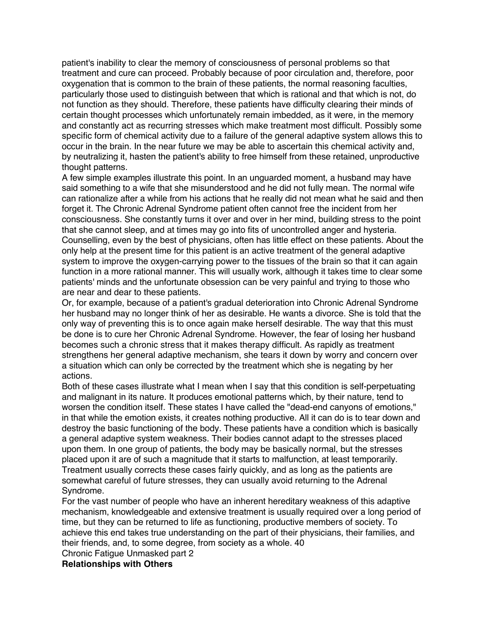patient's inability to clear the memory of consciousness of personal problems so that treatment and cure can proceed. Probably because of poor circulation and, therefore, poor oxygenation that is common to the brain of these patients, the normal reasoning faculties, particularly those used to distinguish between that which is rational and that which is not, do not function as they should. Therefore, these patients have difficulty clearing their minds of certain thought processes which unfortunately remain imbedded, as it were, in the memory and constantly act as recurring stresses which make treatment most difficult. Possibly some specific form of chemical activity due to a failure of the general adaptive system allows this to occur in the brain. In the near future we may be able to ascertain this chemical activity and, by neutralizing it, hasten the patient's ability to free himself from these retained, unproductive thought patterns.

A few simple examples illustrate this point. In an unguarded moment, a husband may have said something to a wife that she misunderstood and he did not fully mean. The normal wife can rationalize after a while from his actions that he really did not mean what he said and then forget it. The Chronic Adrenal Syndrome patient often cannot free the incident from her consciousness. She constantly turns it over and over in her mind, building stress to the point that she cannot sleep, and at times may go into fits of uncontrolled anger and hysteria. Counselling, even by the best of physicians, often has little effect on these patients. About the only help at the present time for this patient is an active treatment of the general adaptive system to improve the oxygen-carrying power to the tissues of the brain so that it can again function in a more rational manner. This will usually work, although it takes time to clear some patients' minds and the unfortunate obsession can be very painful and trying to those who are near and dear to these patients.

Or, for example, because of a patient's gradual deterioration into Chronic Adrenal Syndrome her husband may no longer think of her as desirable. He wants a divorce. She is told that the only way of preventing this is to once again make herself desirable. The way that this must be done is to cure her Chronic Adrenal Syndrome. However, the fear of losing her husband becomes such a chronic stress that it makes therapy difficult. As rapidly as treatment strengthens her general adaptive mechanism, she tears it down by worry and concern over a situation which can only be corrected by the treatment which she is negating by her actions.

Both of these cases illustrate what I mean when I say that this condition is self-perpetuating and malignant in its nature. It produces emotional patterns which, by their nature, tend to worsen the condition itself. These states I have called the "dead-end canyons of emotions," in that while the emotion exists, it creates nothing productive. All it can do is to tear down and destroy the basic functioning of the body. These patients have a condition which is basically a general adaptive system weakness. Their bodies cannot adapt to the stresses placed upon them. In one group of patients, the body may be basically normal, but the stresses placed upon it are of such a magnitude that it starts to malfunction, at least temporarily. Treatment usually corrects these cases fairly quickly, and as long as the patients are somewhat careful of future stresses, they can usually avoid returning to the Adrenal Syndrome.

For the vast number of people who have an inherent hereditary weakness of this adaptive mechanism, knowledgeable and extensive treatment is usually required over a long period of time, but they can be returned to life as functioning, productive members of society. To achieve this end takes true understanding on the part of their physicians, their families, and their friends, and, to some degree, from society as a whole. 40

Chronic Fatigue Unmasked part 2

**Relationships with Others**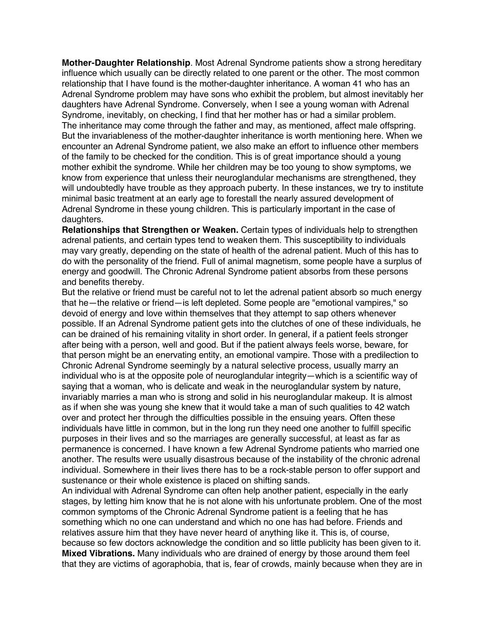**Mother-Daughter Relationship**. Most Adrenal Syndrome patients show a strong hereditary influence which usually can be directly related to one parent or the other. The most common relationship that I have found is the mother-daughter inheritance. A woman 41 who has an Adrenal Syndrome problem may have sons who exhibit the problem, but almost inevitably her daughters have Adrenal Syndrome. Conversely, when I see a young woman with Adrenal Syndrome, inevitably, on checking, I find that her mother has or had a similar problem. The inheritance may come through the father and may, as mentioned, affect male offspring. But the invariableness of the mother-daughter inheritance is worth mentioning here. When we encounter an Adrenal Syndrome patient, we also make an effort to influence other members of the family to be checked for the condition. This is of great importance should a young mother exhibit the syndrome. While her children may be too young to show symptoms, we know from experience that unless their neuroglandular mechanisms are strengthened, they will undoubtedly have trouble as they approach puberty. In these instances, we try to institute minimal basic treatment at an early age to forestall the nearly assured development of Adrenal Syndrome in these young children. This is particularly important in the case of daughters.

**Relationships that Strengthen or Weaken.** Certain types of individuals help to strengthen adrenal patients, and certain types tend to weaken them. This susceptibility to individuals may vary greatly, depending on the state of health of the adrenal patient. Much of this has to do with the personality of the friend. Full of animal magnetism, some people have a surplus of energy and goodwill. The Chronic Adrenal Syndrome patient absorbs from these persons and benefits thereby.

But the relative or friend must be careful not to let the adrenal patient absorb so much energy that he—the relative or friend—is left depleted. Some people are "emotional vampires," so devoid of energy and love within themselves that they attempt to sap others whenever possible. If an Adrenal Syndrome patient gets into the clutches of one of these individuals, he can be drained of his remaining vitality in short order. In general, if a patient feels stronger after being with a person, well and good. But if the patient always feels worse, beware, for that person might be an enervating entity, an emotional vampire. Those with a predilection to Chronic Adrenal Syndrome seemingly by a natural selective process, usually marry an individual who is at the opposite pole of neuroglandular integrity—which is a scientific way of saying that a woman, who is delicate and weak in the neuroglandular system by nature, invariably marries a man who is strong and solid in his neuroglandular makeup. It is almost as if when she was young she knew that it would take a man of such qualities to 42 watch over and protect her through the difficulties possible in the ensuing years. Often these individuals have little in common, but in the long run they need one another to fulfill specific purposes in their lives and so the marriages are generally successful, at least as far as permanence is concerned. I have known a few Adrenal Syndrome patients who married one another. The results were usually disastrous because of the instability of the chronic adrenal individual. Somewhere in their lives there has to be a rock-stable person to offer support and sustenance or their whole existence is placed on shifting sands.

An individual with Adrenal Syndrome can often help another patient, especially in the early stages, by letting him know that he is not alone with his unfortunate problem. One of the most common symptoms of the Chronic Adrenal Syndrome patient is a feeling that he has something which no one can understand and which no one has had before. Friends and relatives assure him that they have never heard of anything like it. This is, of course, because so few doctors acknowledge the condition and so little publicity has been given to it. **Mixed Vibrations.** Many individuals who are drained of energy by those around them feel that they are victims of agoraphobia, that is, fear of crowds, mainly because when they are in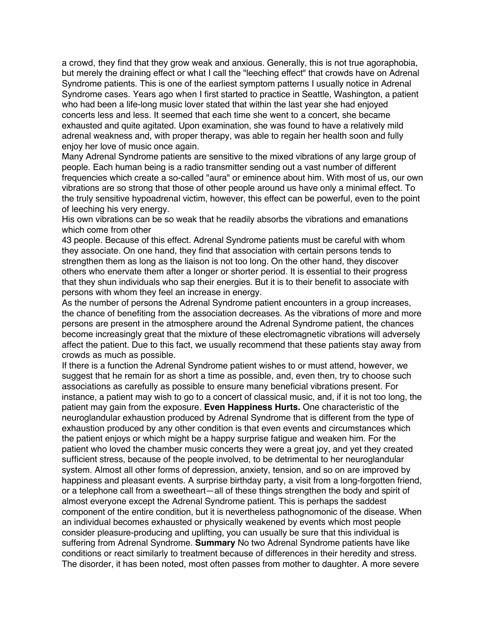a crowd, they find that they grow weak and anxious. Generally, this is not true agoraphobia, but merely the draining effect or what I call the "leeching effect" that crowds have on Adrenal Syndrome patients. This is one of the earliest symptom patterns I usually notice in Adrenal Syndrome cases. Years ago when I first started to practice in Seattle, Washington, a patient who had been a life-long music lover stated that within the last year she had enjoyed concerts less and less. It seemed that each time she went to a concert, she became exhausted and quite agitated. Upon examination, she was found to have a relatively mild adrenal weakness and, with proper therapy, was able to regain her health soon and fully enjoy her love of music once again.

Many Adrenal Syndrome patients are sensitive to the mixed vibrations of any large group of people. Each human being is a radio transmitter sending out a vast number of different frequencies which create a so-called "aura" or eminence about him. With most of us, our own vibrations are so strong that those of other people around us have only a minimal effect. To the truly sensitive hypoadrenal victim, however, this effect can be powerful, even to the point of leeching his very energy.

His own vibrations can be so weak that he readily absorbs the vibrations and emanations which come from other

43 people. Because of this effect. Adrenal Syndrome patients must be careful with whom they associate. On one hand, they find that association with certain persons tends to strengthen them as long as the liaison is not too long. On the other hand, they discover others who enervate them after a longer or shorter period. It is essential to their progress that they shun individuals who sap their energies. But it is to their benefit to associate with persons with whom they feel an increase in energy.

As the number of persons the Adrenal Syndrome patient encounters in a group increases, the chance of benefiting from the association decreases. As the vibrations of more and more persons are present in the atmosphere around the Adrenal Syndrome patient, the chances become increasingly great that the mixture of these electromagnetic vibrations will adversely affect the patient. Due to this fact, we usually recommend that these patients stay away from crowds as much as possible.

If there is a function the Adrenal Syndrome patient wishes to or must attend, however, we suggest that he remain for as short a time as possible, and, even then, try to choose such associations as carefully as possible to ensure many beneficial vibrations present. For instance, a patient may wish to go to a concert of classical music, and, if it is not too long, the patient may gain from the exposure. **Even Happiness Hurts.** One characteristic of the neuroglandular exhaustion produced by Adrenal Syndrome that is different from the type of exhaustion produced by any other condition is that even events and circumstances which the patient enjoys or which might be a happy surprise fatigue and weaken him. For the patient who loved the chamber music concerts they were a great joy, and yet they created sufficient stress, because of the people involved, to be detrimental to her neuroglandular system. Almost all other forms of depression, anxiety, tension, and so on are improved by happiness and pleasant events. A surprise birthday party, a visit from a long-forgotten friend, or a telephone call from a sweetheart—all of these things strengthen the body and spirit of almost everyone except the Adrenal Syndrome patient. This is perhaps the saddest component of the entire condition, but it is nevertheless pathognomonic of the disease. When an individual becomes exhausted or physically weakened by events which most people consider pleasure-producing and uplifting, you can usually be sure that this individual is suffering from Adrenal Syndrome. **Summary** No two Adrenal Syndrome patients have like conditions or react similarly to treatment because of differences in their heredity and stress. The disorder, it has been noted, most often passes from mother to daughter. A more severe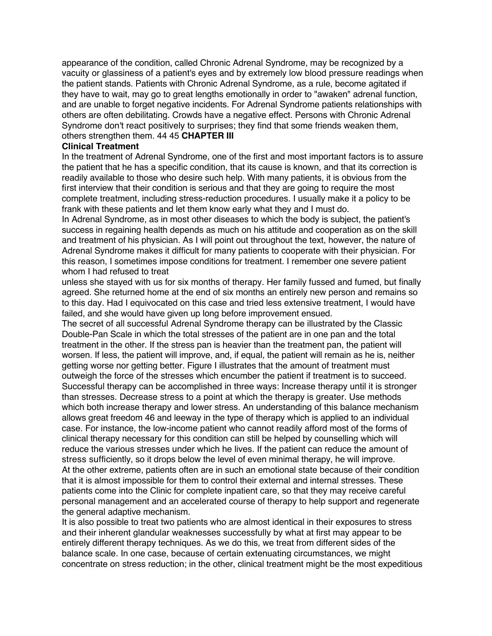appearance of the condition, called Chronic Adrenal Syndrome, may be recognized by a vacuity or glassiness of a patient's eyes and by extremely low blood pressure readings when the patient stands. Patients with Chronic Adrenal Syndrome, as a rule, become agitated if they have to wait, may go to great lengths emotionally in order to "awaken" adrenal function, and are unable to forget negative incidents. For Adrenal Syndrome patients relationships with others are often debilitating. Crowds have a negative effect. Persons with Chronic Adrenal Syndrome don't react positively to surprises; they find that some friends weaken them, others strengthen them. 44 45 **CHAPTER III**

# **Clinical Treatment**

In the treatment of Adrenal Syndrome, one of the first and most important factors is to assure the patient that he has a specific condition, that its cause is known, and that its correction is readily available to those who desire such help. With many patients, it is obvious from the first interview that their condition is serious and that they are going to require the most complete treatment, including stress-reduction procedures. I usually make it a policy to be frank with these patients and let them know early what they and I must do.

In Adrenal Syndrome, as in most other diseases to which the body is subject, the patient's success in regaining health depends as much on his attitude and cooperation as on the skill and treatment of his physician. As I will point out throughout the text, however, the nature of Adrenal Syndrome makes it difficult for many patients to cooperate with their physician. For this reason, I sometimes impose conditions for treatment. I remember one severe patient whom I had refused to treat

unless she stayed with us for six months of therapy. Her family fussed and fumed, but finally agreed. She returned home at the end of six months an entirely new person and remains so to this day. Had I equivocated on this case and tried less extensive treatment, I would have failed, and she would have given up long before improvement ensued.

The secret of all successful Adrenal Syndrome therapy can be illustrated by the Classic Double-Pan Scale in which the total stresses of the patient are in one pan and the total treatment in the other. If the stress pan is heavier than the treatment pan, the patient will worsen. If less, the patient will improve, and, if equal, the patient will remain as he is, neither getting worse nor getting better. Figure I illustrates that the amount of treatment must outweigh the force of the stresses which encumber the patient if treatment is to succeed. Successful therapy can be accomplished in three ways: Increase therapy until it is stronger than stresses. Decrease stress to a point at which the therapy is greater. Use methods which both increase therapy and lower stress. An understanding of this balance mechanism allows great freedom 46 and leeway in the type of therapy which is applied to an individual case. For instance, the low-income patient who cannot readily afford most of the forms of clinical therapy necessary for this condition can still be helped by counselling which will reduce the various stresses under which he lives. If the patient can reduce the amount of stress sufficiently, so it drops below the level of even minimal therapy, he will improve. At the other extreme, patients often are in such an emotional state because of their condition that it is almost impossible for them to control their external and internal stresses. These patients come into the Clinic for complete inpatient care, so that they may receive careful personal management and an accelerated course of therapy to help support and regenerate the general adaptive mechanism.

It is also possible to treat two patients who are almost identical in their exposures to stress and their inherent glandular weaknesses successfully by what at first may appear to be entirely different therapy techniques. As we do this, we treat from different sides of the balance scale. In one case, because of certain extenuating circumstances, we might concentrate on stress reduction; in the other, clinical treatment might be the most expeditious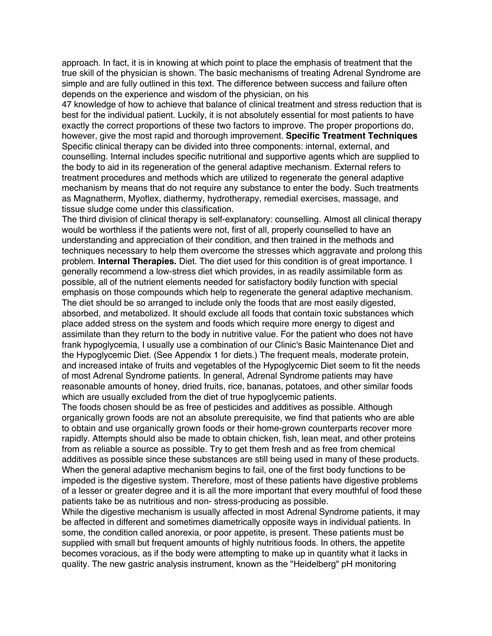approach. In fact, it is in knowing at which point to place the emphasis of treatment that the true skill of the physician is shown. The basic mechanisms of treating Adrenal Syndrome are simple and are fully outlined in this text. The difference between success and failure often depends on the experience and wisdom of the physician, on his

47 knowledge of how to achieve that balance of clinical treatment and stress reduction that is best for the individual patient. Luckily, it is not absolutely essential for most patients to have exactly the correct proportions of these two factors to improve. The proper proportions do, however, give the most rapid and thorough improvement. **Specific Treatment Techniques**  Specific clinical therapy can be divided into three components: internal, external, and counselling. Internal includes specific nutritional and supportive agents which are supplied to the body to aid in its regeneration of the general adaptive mechanism. External refers to treatment procedures and methods which are utilized to regenerate the general adaptive mechanism by means that do not require any substance to enter the body. Such treatments as Magnatherm, Myoflex, diathermy, hydrotherapy, remedial exercises, massage, and tissue sludge come under this classification.

The third division of clinical therapy is self-explanatory: counselling. Almost all clinical therapy would be worthless if the patients were not, first of all, properly counselled to have an understanding and appreciation of their condition, and then trained in the methods and techniques necessary to help them overcome the stresses which aggravate and prolong this problem. **Internal Therapies.** Diet. The diet used for this condition is of great importance. I generally recommend a low-stress diet which provides, in as readily assimilable form as possible, all of the nutrient elements needed for satisfactory bodily function with special emphasis on those compounds which help to regenerate the general adaptive mechanism. The diet should be so arranged to include only the foods that are most easily digested, absorbed, and metabolized. It should exclude all foods that contain toxic substances which place added stress on the system and foods which require more energy to digest and assimilate than they return to the body in nutritive value. For the patient who does not have frank hypoglycemia, I usually use a combination of our Clinic's Basic Maintenance Diet and the Hypoglycemic Diet. (See Appendix 1 for diets.) The frequent meals, moderate protein, and increased intake of fruits and vegetables of the Hypoglycemic Diet seem to fit the needs of most Adrenal Syndrome patients. In general, Adrenal Syndrome patients may have reasonable amounts of honey, dried fruits, rice, bananas, potatoes, and other similar foods which are usually excluded from the diet of true hypoglycemic patients.

The foods chosen should be as free of pesticides and additives as possible. Although organically grown foods are not an absolute prerequisite, we find that patients who are able to obtain and use organically grown foods or their home-grown counterparts recover more rapidly. Attempts should also be made to obtain chicken, fish, lean meat, and other proteins from as reliable a source as possible. Try to get them fresh and as free from chemical additives as possible since these substances are still being used in many of these products. When the general adaptive mechanism begins to fail, one of the first body functions to be impeded is the digestive system. Therefore, most of these patients have digestive problems of a lesser or greater degree and it is all the more important that every mouthful of food these patients take be as nutritious and non- stress-producing as possible.

While the digestive mechanism is usually affected in most Adrenal Syndrome patients, it may be affected in different and sometimes diametrically opposite ways in individual patients. In some, the condition called anorexia, or poor appetite, is present. These patients must be supplied with small but frequent amounts of highly nutritious foods. In others, the appetite becomes voracious, as if the body were attempting to make up in quantity what it lacks in quality. The new gastric analysis instrument, known as the "Heidelberg" pH monitoring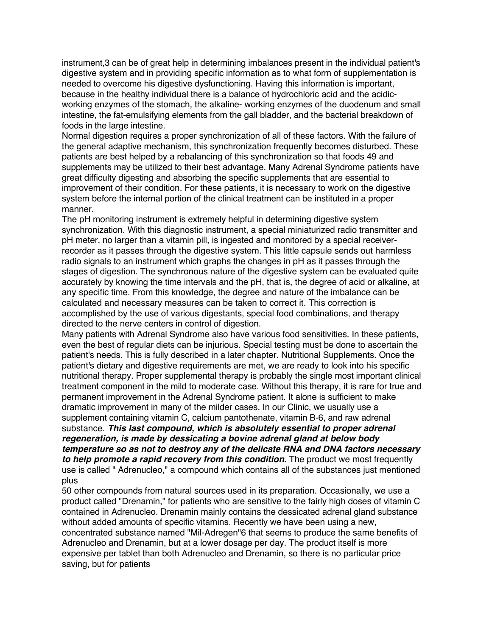instrument,3 can be of great help in determining imbalances present in the individual patient's digestive system and in providing specific information as to what form of supplementation is needed to overcome his digestive dysfunctioning. Having this information is important, because in the healthy individual there is a balance of hydrochloric acid and the acidicworking enzymes of the stomach, the alkaline- working enzymes of the duodenum and small intestine, the fat-emulsifying elements from the gall bladder, and the bacterial breakdown of foods in the large intestine.

Normal digestion requires a proper synchronization of all of these factors. With the failure of the general adaptive mechanism, this synchronization frequently becomes disturbed. These patients are best helped by a rebalancing of this synchronization so that foods 49 and supplements may be utilized to their best advantage. Many Adrenal Syndrome patients have great difficulty digesting and absorbing the specific supplements that are essential to improvement of their condition. For these patients, it is necessary to work on the digestive system before the internal portion of the clinical treatment can be instituted in a proper manner.

The pH monitoring instrument is extremely helpful in determining digestive system synchronization. With this diagnostic instrument, a special miniaturized radio transmitter and pH meter, no larger than a vitamin pill, is ingested and monitored by a special receiverrecorder as it passes through the digestive system. This little capsule sends out harmless radio signals to an instrument which graphs the changes in pH as it passes through the stages of digestion. The synchronous nature of the digestive system can be evaluated quite accurately by knowing the time intervals and the pH, that is, the degree of acid or alkaline, at any specific time. From this knowledge, the degree and nature of the imbalance can be calculated and necessary measures can be taken to correct it. This correction is accomplished by the use of various digestants, special food combinations, and therapy directed to the nerve centers in control of digestion.

Many patients with Adrenal Syndrome also have various food sensitivities. In these patients, even the best of regular diets can be injurious. Special testing must be done to ascertain the patient's needs. This is fully described in a later chapter. Nutritional Supplements. Once the patient's dietary and digestive requirements are met, we are ready to look into his specific nutritional therapy. Proper supplemental therapy is probably the single most important clinical treatment component in the mild to moderate case. Without this therapy, it is rare for true and permanent improvement in the Adrenal Syndrome patient. It alone is sufficient to make dramatic improvement in many of the milder cases. In our Clinic, we usually use a supplement containing vitamin C, calcium pantothenate, vitamin B-6, and raw adrenal substance. *This last compound, which is absolutely essential to proper adrenal regeneration, is made by dessicating a bovine adrenal gland at below body temperature so as not to destroy any of the delicate RNA and DNA factors necessary to help promote a rapid recovery from this condition.* The product we most frequently use is called " Adrenucleo," a compound which contains all of the substances just mentioned plus

50 other compounds from natural sources used in its preparation. Occasionally, we use a product called "Drenamin," for patients who are sensitive to the fairly high doses of vitamin C contained in Adrenucleo. Drenamin mainly contains the dessicated adrenal gland substance without added amounts of specific vitamins. Recently we have been using a new, concentrated substance named "Mil-Adregen"6 that seems to produce the same benefits of Adrenucleo and Drenamin, but at a lower dosage per day. The product itself is more expensive per tablet than both Adrenucleo and Drenamin, so there is no particular price saving, but for patients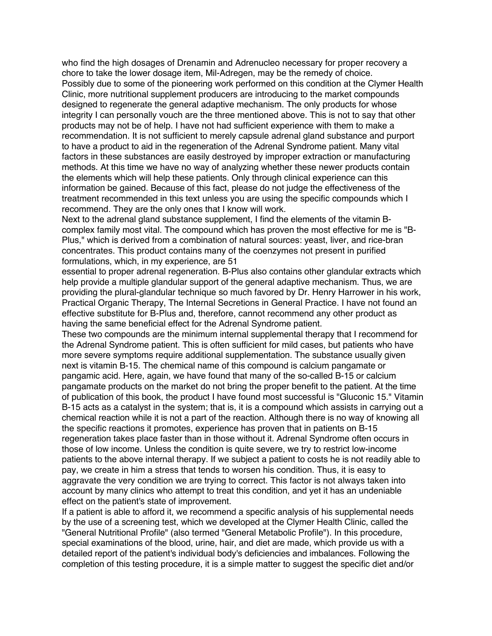who find the high dosages of Drenamin and Adrenucleo necessary for proper recovery a chore to take the lower dosage item, Mil-Adregen, may be the remedy of choice. Possibly due to some of the pioneering work performed on this condition at the Clymer Health Clinic, more nutritional supplement producers are introducing to the market compounds designed to regenerate the general adaptive mechanism. The only products for whose integrity I can personally vouch are the three mentioned above. This is not to say that other products may not be of help. I have not had sufficient experience with them to make a recommendation. It is not sufficient to merely capsule adrenal gland substance and purport to have a product to aid in the regeneration of the Adrenal Syndrome patient. Many vital factors in these substances are easily destroyed by improper extraction or manufacturing methods. At this time we have no way of analyzing whether these newer products contain the elements which will help these patients. Only through clinical experience can this information be gained. Because of this fact, please do not judge the effectiveness of the treatment recommended in this text unless you are using the specific compounds which I recommend. They are the only ones that I know will work.

Next to the adrenal gland substance supplement, I find the elements of the vitamin Bcomplex family most vital. The compound which has proven the most effective for me is "B-Plus," which is derived from a combination of natural sources: yeast, liver, and rice-bran concentrates. This product contains many of the coenzymes not present in purified formulations, which, in my experience, are 51

essential to proper adrenal regeneration. B-Plus also contains other glandular extracts which help provide a multiple glandular support of the general adaptive mechanism. Thus, we are providing the plural-glandular technique so much favored by Dr. Henry Harrower in his work, Practical Organic Therapy, The Internal Secretions in General Practice. I have not found an effective substitute for B-Plus and, therefore, cannot recommend any other product as having the same beneficial effect for the Adrenal Syndrome patient.

These two compounds are the minimum internal supplemental therapy that I recommend for the Adrenal Syndrome patient. This is often sufficient for mild cases, but patients who have more severe symptoms require additional supplementation. The substance usually given next is vitamin B-15. The chemical name of this compound is calcium pangamate or pangamic acid. Here, again, we have found that many of the so-called B-15 or calcium pangamate products on the market do not bring the proper benefit to the patient. At the time of publication of this book, the product I have found most successful is "Gluconic 15." Vitamin B-15 acts as a catalyst in the system; that is, it is a compound which assists in carrying out a chemical reaction while it is not a part of the reaction. Although there is no way of knowing all the specific reactions it promotes, experience has proven that in patients on B-15 regeneration takes place faster than in those without it. Adrenal Syndrome often occurs in those of low income. Unless the condition is quite severe, we try to restrict low-income patients to the above internal therapy. If we subject a patient to costs he is not readily able to pay, we create in him a stress that tends to worsen his condition. Thus, it is easy to aggravate the very condition we are trying to correct. This factor is not always taken into account by many clinics who attempt to treat this condition, and yet it has an undeniable effect on the patient's state of improvement.

If a patient is able to afford it, we recommend a specific analysis of his supplemental needs by the use of a screening test, which we developed at the Clymer Health Clinic, called the "General Nutritional Profile" (also termed "General Metabolic Profile"). In this procedure, special examinations of the blood, urine, hair, and diet are made, which provide us with a detailed report of the patient's individual body's deficiencies and imbalances. Following the completion of this testing procedure, it is a simple matter to suggest the specific diet and/or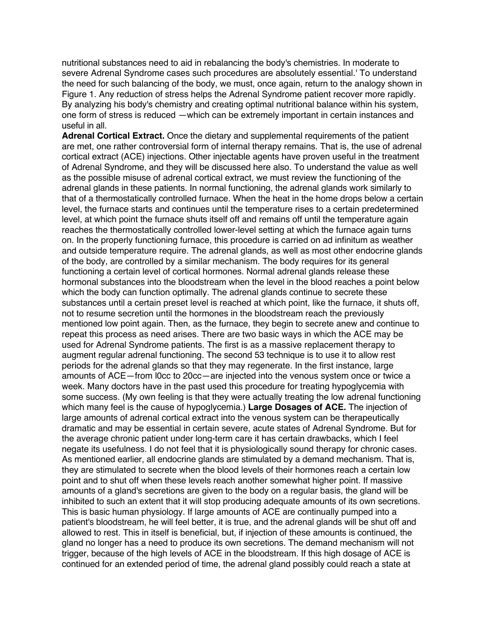nutritional substances need to aid in rebalancing the body's chemistries. In moderate to severe Adrenal Syndrome cases such procedures are absolutely essential.' To understand the need for such balancing of the body, we must, once again, return to the analogy shown in Figure 1. Any reduction of stress helps the Adrenal Syndrome patient recover more rapidly. By analyzing his body's chemistry and creating optimal nutritional balance within his system, one form of stress is reduced —which can be extremely important in certain instances and useful in all.

**Adrenal Cortical Extract.** Once the dietary and supplemental requirements of the patient are met, one rather controversial form of internal therapy remains. That is, the use of adrenal cortical extract (ACE) injections. Other injectable agents have proven useful in the treatment of Adrenal Syndrome, and they will be discussed here also. To understand the value as well as the possible misuse of adrenal cortical extract, we must review the functioning of the adrenal glands in these patients. In normal functioning, the adrenal glands work similarly to that of a thermostatically controlled furnace. When the heat in the home drops below a certain level, the furnace starts and continues until the temperature rises to a certain predetermined level, at which point the furnace shuts itself off and remains off until the temperature again reaches the thermostatically controlled lower-level setting at which the furnace again turns on. In the properly functioning furnace, this procedure is carried on ad infinitum as weather and outside temperature require. The adrenal glands, as well as most other endocrine glands of the body, are controlled by a similar mechanism. The body requires for its general functioning a certain level of cortical hormones. Normal adrenal glands release these hormonal substances into the bloodstream when the level in the blood reaches a point below which the body can function optimally. The adrenal glands continue to secrete these substances until a certain preset level is reached at which point, like the furnace, it shuts off, not to resume secretion until the hormones in the bloodstream reach the previously mentioned low point again. Then, as the furnace, they begin to secrete anew and continue to repeat this process as need arises. There are two basic ways in which the ACE may be used for Adrenal Syndrome patients. The first is as a massive replacement therapy to augment regular adrenal functioning. The second 53 technique is to use it to allow rest periods for the adrenal glands so that they may regenerate. In the first instance, large amounts of ACE—from l0cc to 20cc—are injected into the venous system once or twice a week. Many doctors have in the past used this procedure for treating hypoglycemia with some success. (My own feeling is that they were actually treating the low adrenal functioning which many feel is the cause of hypoglycemia.) **Large Dosages of ACE.** The injection of large amounts of adrenal cortical extract into the venous system can be therapeutically dramatic and may be essential in certain severe, acute states of Adrenal Syndrome. But for the average chronic patient under long-term care it has certain drawbacks, which I feel negate its usefulness. I do not feel that it is physiologically sound therapy for chronic cases. As mentioned earlier, all endocrine glands are stimulated by a demand mechanism. That is, they are stimulated to secrete when the blood levels of their hormones reach a certain low point and to shut off when these levels reach another somewhat higher point. If massive amounts of a gland's secretions are given to the body on a regular basis, the gland will be inhibited to such an extent that it will stop producing adequate amounts of its own secretions. This is basic human physiology. If large amounts of ACE are continually pumped into a patient's bloodstream, he will feel better, it is true, and the adrenal glands will be shut off and allowed to rest. This in itself is beneficial, but, if injection of these amounts is continued, the gland no longer has a need to produce its own secretions. The demand mechanism will not trigger, because of the high levels of ACE in the bloodstream. If this high dosage of ACE is continued for an extended period of time, the adrenal gland possibly could reach a state at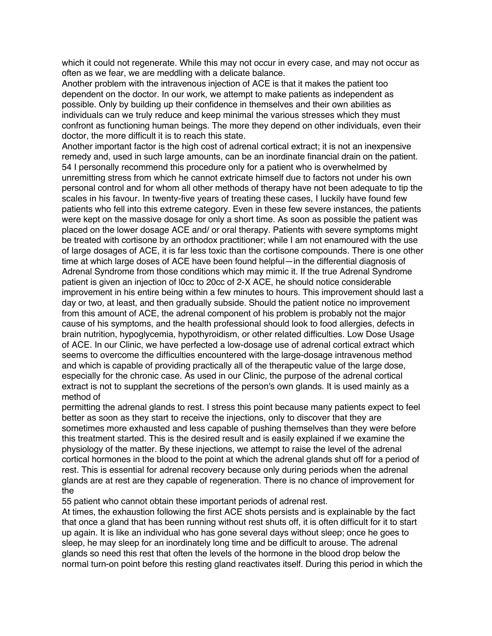which it could not regenerate. While this may not occur in every case, and may not occur as often as we fear, we are meddling with a delicate balance.

Another problem with the intravenous injection of ACE is that it makes the patient too dependent on the doctor. In our work, we attempt to make patients as independent as possible. Only by building up their confidence in themselves and their own abilities as individuals can we truly reduce and keep minimal the various stresses which they must confront as functioning human beings. The more they depend on other individuals, even their doctor, the more difficult it is to reach this state.

Another important factor is the high cost of adrenal cortical extract; it is not an inexpensive remedy and, used in such large amounts, can be an inordinate financial drain on the patient. 54 I personally recommend this procedure only for a patient who is overwhelmed by unremitting stress from which he cannot extricate himself due to factors not under his own personal control and for whom all other methods of therapy have not been adequate to tip the scales in his favour. In twenty-five years of treating these cases, I luckily have found few patients who fell into this extreme category. Even in these few severe instances, the patients were kept on the massive dosage for only a short time. As soon as possible the patient was placed on the lower dosage ACE and/ or oral therapy. Patients with severe symptoms might be treated with cortisone by an orthodox practitioner; while I am not enamoured with the use of large dosages of ACE, it is far less toxic than the cortisone compounds. There is one other time at which large doses of ACE have been found helpful—in the differential diagnosis of Adrenal Syndrome from those conditions which may mimic it. If the true Adrenal Syndrome patient is given an injection of l0cc to 20cc of 2-X ACE, he should notice considerable improvement in his entire being within a few minutes to hours. This improvement should last a day or two, at least, and then gradually subside. Should the patient notice no improvement from this amount of ACE, the adrenal component of his problem is probably not the major cause of his symptoms, and the health professional should look to food allergies, defects in brain nutrition, hypoglycemia, hypothyroidism, or other related difficulties. Low Dose Usage of ACE. In our Clinic, we have perfected a low-dosage use of adrenal cortical extract which seems to overcome the difficulties encountered with the large-dosage intravenous method and which is capable of providing practically all of the therapeutic value of the large dose, especially for the chronic case. As used in our Clinic, the purpose of the adrenal cortical extract is not to supplant the secretions of the person's own glands. It is used mainly as a method of

permitting the adrenal glands to rest. I stress this point because many patients expect to feel better as soon as they start to receive the injections, only to discover that they are sometimes more exhausted and less capable of pushing themselves than they were before this treatment started. This is the desired result and is easily explained if we examine the physiology of the matter. By these injections, we attempt to raise the level of the adrenal cortical hormones in the blood to the point at which the adrenal glands shut off for a period of rest. This is essential for adrenal recovery because only during periods when the adrenal glands are at rest are they capable of regeneration. There is no chance of improvement for the

55 patient who cannot obtain these important periods of adrenal rest.

At times, the exhaustion following the first ACE shots persists and is explainable by the fact that once a gland that has been running without rest shuts off, it is often difficult for it to start up again. It is like an individual who has gone several days without sleep; once he goes to sleep, he may sleep for an inordinately long time and be difficult to arouse. The adrenal glands so need this rest that often the levels of the hormone in the blood drop below the normal turn-on point before this resting gland reactivates itself. During this period in which the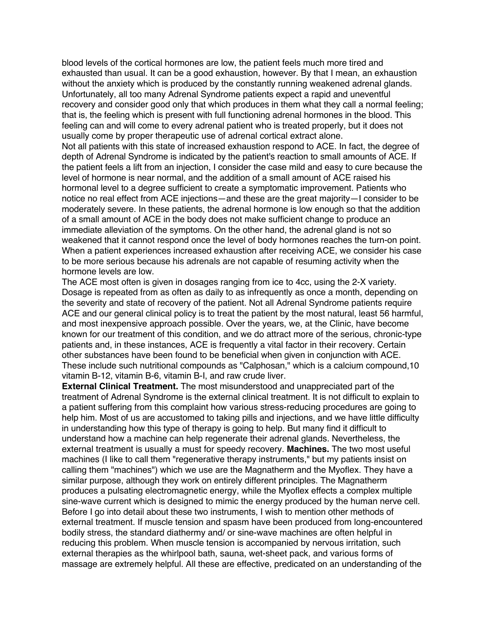blood levels of the cortical hormones are low, the patient feels much more tired and exhausted than usual. It can be a good exhaustion, however. By that I mean, an exhaustion without the anxiety which is produced by the constantly running weakened adrenal glands. Unfortunately, all too many Adrenal Syndrome patients expect a rapid and uneventful recovery and consider good only that which produces in them what they call a normal feeling; that is, the feeling which is present with full functioning adrenal hormones in the blood. This feeling can and will come to every adrenal patient who is treated properly, but it does not usually come by proper therapeutic use of adrenal cortical extract alone.

Not all patients with this state of increased exhaustion respond to ACE. In fact, the degree of depth of Adrenal Syndrome is indicated by the patient's reaction to small amounts of ACE. If the patient feels a lift from an injection, I consider the case mild and easy to cure because the level of hormone is near normal, and the addition of a small amount of ACE raised his hormonal level to a degree sufficient to create a symptomatic improvement. Patients who notice no real effect from ACE injections—and these are the great majority—I consider to be moderately severe. In these patients, the adrenal hormone is low enough so that the addition of a small amount of ACE in the body does not make sufficient change to produce an immediate alleviation of the symptoms. On the other hand, the adrenal gland is not so weakened that it cannot respond once the level of body hormones reaches the turn-on point. When a patient experiences increased exhaustion after receiving ACE, we consider his case to be more serious because his adrenals are not capable of resuming activity when the hormone levels are low.

The ACE most often is given in dosages ranging from ice to 4cc, using the 2-X variety. Dosage is repeated from as often as daily to as infrequently as once a month, depending on the severity and state of recovery of the patient. Not all Adrenal Syndrome patients require ACE and our general clinical policy is to treat the patient by the most natural, least 56 harmful, and most inexpensive approach possible. Over the years, we, at the Clinic, have become known for our treatment of this condition, and we do attract more of the serious, chronic-type patients and, in these instances, ACE is frequently a vital factor in their recovery. Certain other substances have been found to be beneficial when given in conjunction with ACE. These include such nutritional compounds as "Calphosan," which is a calcium compound,10 vitamin B-12, vitamin B-6, vitamin B-I, and raw crude liver.

**External Clinical Treatment.** The most misunderstood and unappreciated part of the treatment of Adrenal Syndrome is the external clinical treatment. It is not difficult to explain to a patient suffering from this complaint how various stress-reducing procedures are going to help him. Most of us are accustomed to taking pills and injections, and we have little difficulty in understanding how this type of therapy is going to help. But many find it difficult to understand how a machine can help regenerate their adrenal glands. Nevertheless, the external treatment is usually a must for speedy recovery. **Machines.** The two most useful machines (I like to call them "regenerative therapy instruments," but my patients insist on calling them "machines") which we use are the Magnatherm and the Myoflex. They have a similar purpose, although they work on entirely different principles. The Magnatherm produces a pulsating electromagnetic energy, while the Myoflex effects a complex multiple sine-wave current which is designed to mimic the energy produced by the human nerve cell. Before I go into detail about these two instruments, I wish to mention other methods of external treatment. If muscle tension and spasm have been produced from long-encountered bodily stress, the standard diathermy and/ or sine-wave machines are often helpful in reducing this problem. When muscle tension is accompanied by nervous irritation, such external therapies as the whirlpool bath, sauna, wet-sheet pack, and various forms of massage are extremely helpful. All these are effective, predicated on an understanding of the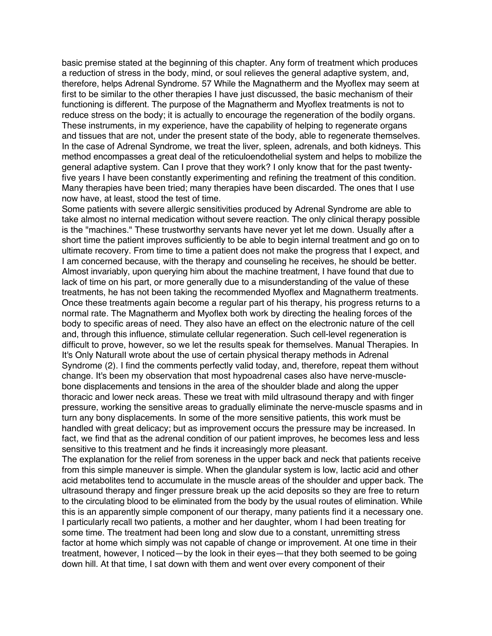basic premise stated at the beginning of this chapter. Any form of treatment which produces a reduction of stress in the body, mind, or soul relieves the general adaptive system, and, therefore, helps Adrenal Syndrome. 57 While the Magnatherm and the Myoflex may seem at first to be similar to the other therapies I have just discussed, the basic mechanism of their functioning is different. The purpose of the Magnatherm and Myoflex treatments is not to reduce stress on the body; it is actually to encourage the regeneration of the bodily organs. These instruments, in my experience, have the capability of helping to regenerate organs and tissues that are not, under the present state of the body, able to regenerate themselves. In the case of Adrenal Syndrome, we treat the liver, spleen, adrenals, and both kidneys. This method encompasses a great deal of the reticuloendothelial system and helps to mobilize the general adaptive system. Can I prove that they work? I only know that for the past twentyfive years I have been constantly experimenting and refining the treatment of this condition. Many therapies have been tried; many therapies have been discarded. The ones that I use now have, at least, stood the test of time.

Some patients with severe allergic sensitivities produced by Adrenal Syndrome are able to take almost no internal medication without severe reaction. The only clinical therapy possible is the "machines." These trustworthy servants have never yet let me down. Usually after a short time the patient improves sufficiently to be able to begin internal treatment and go on to ultimate recovery. From time to time a patient does not make the progress that I expect, and I am concerned because, with the therapy and counseling he receives, he should be better. Almost invariably, upon querying him about the machine treatment, I have found that due to lack of time on his part, or more generally due to a misunderstanding of the value of these treatments, he has not been taking the recommended Myoflex and Magnatherm treatments. Once these treatments again become a regular part of his therapy, his progress returns to a normal rate. The Magnatherm and Myoflex both work by directing the healing forces of the body to specific areas of need. They also have an effect on the electronic nature of the cell and, through this influence, stimulate cellular regeneration. Such cell-level regeneration is difficult to prove, however, so we let the results speak for themselves. Manual Therapies. In It's Only NaturalI wrote about the use of certain physical therapy methods in Adrenal Syndrome (2). I find the comments perfectly valid today, and, therefore, repeat them without change. It's been my observation that most hypoadrenal cases also have nerve-musclebone displacements and tensions in the area of the shoulder blade and along the upper thoracic and lower neck areas. These we treat with mild ultrasound therapy and with finger pressure, working the sensitive areas to gradually eliminate the nerve-muscle spasms and in turn any bony displacements. In some of the more sensitive patients, this work must be handled with great delicacy; but as improvement occurs the pressure may be increased. In fact, we find that as the adrenal condition of our patient improves, he becomes less and less sensitive to this treatment and he finds it increasingly more pleasant.

The explanation for the relief from soreness in the upper back and neck that patients receive from this simple maneuver is simple. When the glandular system is low, lactic acid and other acid metabolites tend to accumulate in the muscle areas of the shoulder and upper back. The ultrasound therapy and finger pressure break up the acid deposits so they are free to return to the circulating blood to be eliminated from the body by the usual routes of elimination. While this is an apparently simple component of our therapy, many patients find it a necessary one. I particularly recall two patients, a mother and her daughter, whom I had been treating for some time. The treatment had been long and slow due to a constant, unremitting stress factor at home which simply was not capable of change or improvement. At one time in their treatment, however, I noticed—by the look in their eyes—that they both seemed to be going down hill. At that time, I sat down with them and went over every component of their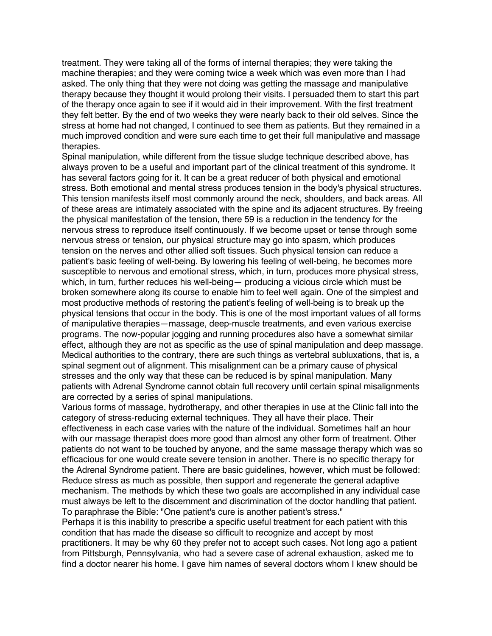treatment. They were taking all of the forms of internal therapies; they were taking the machine therapies; and they were coming twice a week which was even more than I had asked. The only thing that they were not doing was getting the massage and manipulative therapy because they thought it would prolong their visits. I persuaded them to start this part of the therapy once again to see if it would aid in their improvement. With the first treatment they felt better. By the end of two weeks they were nearly back to their old selves. Since the stress at home had not changed, I continued to see them as patients. But they remained in a much improved condition and were sure each time to get their full manipulative and massage therapies.

Spinal manipulation, while different from the tissue sludge technique described above, has always proven to be a useful and important part of the clinical treatment of this syndrome. It has several factors going for it. It can be a great reducer of both physical and emotional stress. Both emotional and mental stress produces tension in the body's physical structures. This tension manifests itself most commonly around the neck, shoulders, and back areas. All of these areas are intimately associated with the spine and its adjacent structures. By freeing the physical manifestation of the tension, there 59 is a reduction in the tendency for the nervous stress to reproduce itself continuously. If we become upset or tense through some nervous stress or tension, our physical structure may go into spasm, which produces tension on the nerves and other allied soft tissues. Such physical tension can reduce a patient's basic feeling of well-being. By lowering his feeling of well-being, he becomes more susceptible to nervous and emotional stress, which, in turn, produces more physical stress, which, in turn, further reduces his well-being— producing a vicious circle which must be broken somewhere along its course to enable him to feel well again. One of the simplest and most productive methods of restoring the patient's feeling of well-being is to break up the physical tensions that occur in the body. This is one of the most important values of all forms of manipulative therapies—massage, deep-muscle treatments, and even various exercise programs. The now-popular jogging and running procedures also have a somewhat similar effect, although they are not as specific as the use of spinal manipulation and deep massage. Medical authorities to the contrary, there are such things as vertebral subluxations, that is, a spinal segment out of alignment. This misalignment can be a primary cause of physical stresses and the only way that these can be reduced is by spinal manipulation. Many patients with Adrenal Syndrome cannot obtain full recovery until certain spinal misalignments are corrected by a series of spinal manipulations.

Various forms of massage, hydrotherapy, and other therapies in use at the Clinic fall into the category of stress-reducing external techniques. They all have their place. Their effectiveness in each case varies with the nature of the individual. Sometimes half an hour with our massage therapist does more good than almost any other form of treatment. Other patients do not want to be touched by anyone, and the same massage therapy which was so efficacious for one would create severe tension in another. There is no specific therapy for the Adrenal Syndrome patient. There are basic guidelines, however, which must be followed: Reduce stress as much as possible, then support and regenerate the general adaptive mechanism. The methods by which these two goals are accomplished in any individual case must always be left to the discernment and discrimination of the doctor handling that patient. To paraphrase the Bible: "One patient's cure is another patient's stress."

Perhaps it is this inability to prescribe a specific useful treatment for each patient with this condition that has made the disease so difficult to recognize and accept by most practitioners. It may be why 60 they prefer not to accept such cases. Not long ago a patient from Pittsburgh, Pennsylvania, who had a severe case of adrenal exhaustion, asked me to find a doctor nearer his home. I gave him names of several doctors whom I knew should be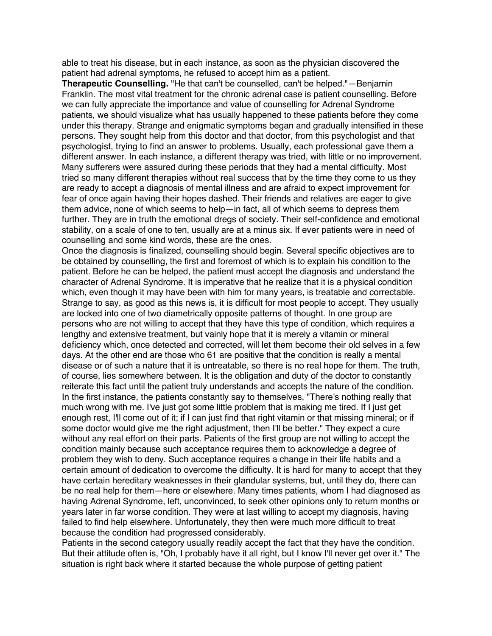able to treat his disease, but in each instance, as soon as the physician discovered the patient had adrenal symptoms, he refused to accept him as a patient.

**Therapeutic Counselling.** "He that can't be counselled, can't be helped."—Benjamin Franklin. The most vital treatment for the chronic adrenal case is patient counselling. Before we can fully appreciate the importance and value of counselling for Adrenal Syndrome patients, we should visualize what has usually happened to these patients before they come under this therapy. Strange and enigmatic symptoms began and gradually intensified in these persons. They sought help from this doctor and that doctor, from this psychologist and that psychologist, trying to find an answer to problems. Usually, each professional gave them a different answer. In each instance, a different therapy was tried, with little or no improvement. Many sufferers were assured during these periods that they had a mental difficulty. Most tried so many different therapies without real success that by the time they come to us they are ready to accept a diagnosis of mental illness and are afraid to expect improvement for fear of once again having their hopes dashed. Their friends and relatives are eager to give them advice, none of which seems to help—in fact, all of which seems to depress them further. They are in truth the emotional dregs of society. Their self-confidence and emotional stability, on a scale of one to ten, usually are at a minus six. If ever patients were in need of counselling and some kind words, these are the ones.

Once the diagnosis is finalized, counselling should begin. Several specific objectives are to be obtained by counselling, the first and foremost of which is to explain his condition to the patient. Before he can be helped, the patient must accept the diagnosis and understand the character of Adrenal Syndrome. It is imperative that he realize that it is a physical condition which, even though it may have been with him for many years, is treatable and correctable. Strange to say, as good as this news is, it is difficult for most people to accept. They usually are locked into one of two diametrically opposite patterns of thought. In one group are persons who are not willing to accept that they have this type of condition, which requires a lengthy and extensive treatment, but vainly hope that it is merely a vitamin or mineral deficiency which, once detected and corrected, will let them become their old selves in a few days. At the other end are those who 61 are positive that the condition is really a mental disease or of such a nature that it is untreatable, so there is no real hope for them. The truth, of course, lies somewhere between. It is the obligation and duty of the doctor to constantly reiterate this fact until the patient truly understands and accepts the nature of the condition. In the first instance, the patients constantly say to themselves, "There's nothing really that much wrong with me. I've just got some little problem that is making me tired. If I just get enough rest, I'll come out of it; if I can just find that right vitamin or that missing mineral; or if some doctor would give me the right adjustment, then I'll be better." They expect a cure without any real effort on their parts. Patients of the first group are not willing to accept the condition mainly because such acceptance requires them to acknowledge a degree of problem they wish to deny. Such acceptance requires a change in their life habits and a certain amount of dedication to overcome the difficulty. It is hard for many to accept that they have certain hereditary weaknesses in their glandular systems, but, until they do, there can be no real help for them—here or elsewhere. Many times patients, whom I had diagnosed as having Adrenal Syndrome, left, unconvinced, to seek other opinions only to return months or years later in far worse condition. They were at last willing to accept my diagnosis, having failed to find help elsewhere. Unfortunately, they then were much more difficult to treat because the condition had progressed considerably.

Patients in the second category usually readily accept the fact that they have the condition. But their attitude often is, "Oh, I probably have it all right, but I know I'll never get over it." The situation is right back where it started because the whole purpose of getting patient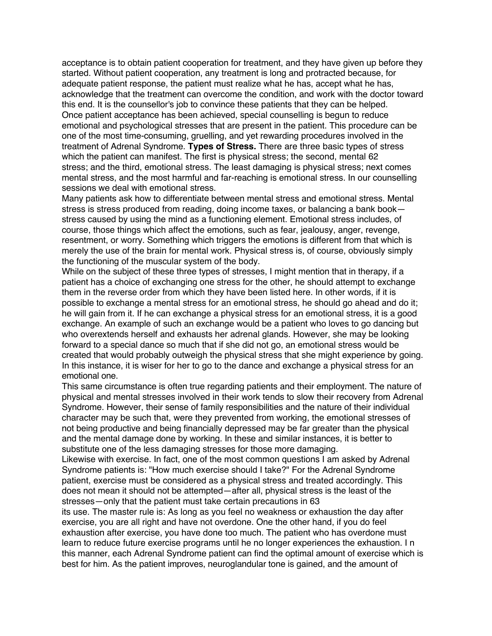acceptance is to obtain patient cooperation for treatment, and they have given up before they started. Without patient cooperation, any treatment is long and protracted because, for adequate patient response, the patient must realize what he has, accept what he has, acknowledge that the treatment can overcome the condition, and work with the doctor toward this end. It is the counsellor's job to convince these patients that they can be helped. Once patient acceptance has been achieved, special counselling is begun to reduce emotional and psychological stresses that are present in the patient. This procedure can be one of the most time-consuming, gruelling, and yet rewarding procedures involved in the treatment of Adrenal Syndrome. **Types of Stress.** There are three basic types of stress which the patient can manifest. The first is physical stress; the second, mental 62 stress; and the third, emotional stress. The least damaging is physical stress; next comes mental stress, and the most harmful and far-reaching is emotional stress. In our counselling sessions we deal with emotional stress.

Many patients ask how to differentiate between mental stress and emotional stress. Mental stress is stress produced from reading, doing income taxes, or balancing a bank book stress caused by using the mind as a functioning element. Emotional stress includes, of course, those things which affect the emotions, such as fear, jealousy, anger, revenge, resentment, or worry. Something which triggers the emotions is different from that which is merely the use of the brain for mental work. Physical stress is, of course, obviously simply the functioning of the muscular system of the body.

While on the subject of these three types of stresses, I might mention that in therapy, if a patient has a choice of exchanging one stress for the other, he should attempt to exchange them in the reverse order from which they have been listed here. In other words, if it is possible to exchange a mental stress for an emotional stress, he should go ahead and do it; he will gain from it. If he can exchange a physical stress for an emotional stress, it is a good exchange. An example of such an exchange would be a patient who loves to go dancing but who overextends herself and exhausts her adrenal glands. However, she may be looking forward to a special dance so much that if she did not go, an emotional stress would be created that would probably outweigh the physical stress that she might experience by going. In this instance, it is wiser for her to go to the dance and exchange a physical stress for an emotional one.

This same circumstance is often true regarding patients and their employment. The nature of physical and mental stresses involved in their work tends to slow their recovery from Adrenal Syndrome. However, their sense of family responsibilities and the nature of their individual character may be such that, were they prevented from working, the emotional stresses of not being productive and being financially depressed may be far greater than the physical and the mental damage done by working. In these and similar instances, it is better to substitute one of the less damaging stresses for those more damaging.

Likewise with exercise. In fact, one of the most common questions I am asked by Adrenal Syndrome patients is: "How much exercise should I take?" For the Adrenal Syndrome patient, exercise must be considered as a physical stress and treated accordingly. This does not mean it should not be attempted—after all, physical stress is the least of the stresses—only that the patient must take certain precautions in 63

its use. The master rule is: As long as you feel no weakness or exhaustion the day after exercise, you are all right and have not overdone. One the other hand, if you do feel exhaustion after exercise, you have done too much. The patient who has overdone must learn to reduce future exercise programs until he no longer experiences the exhaustion. I n this manner, each Adrenal Syndrome patient can find the optimal amount of exercise which is best for him. As the patient improves, neuroglandular tone is gained, and the amount of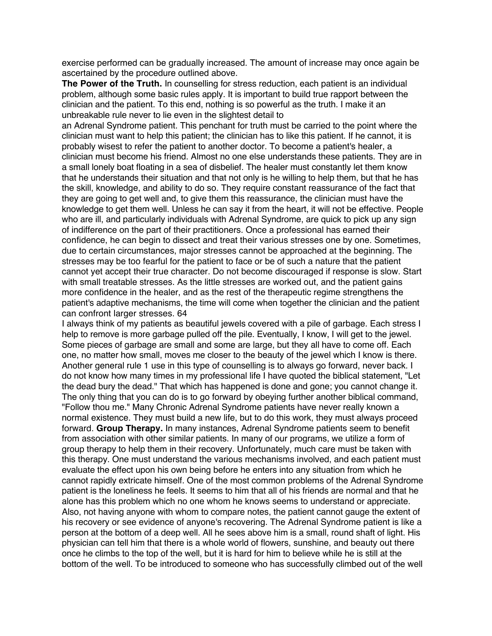exercise performed can be gradually increased. The amount of increase may once again be ascertained by the procedure outlined above.

**The Power of the Truth.** In counselling for stress reduction, each patient is an individual problem, although some basic rules apply. It is important to build true rapport between the clinician and the patient. To this end, nothing is so powerful as the truth. I make it an unbreakable rule never to lie even in the slightest detail to

an Adrenal Syndrome patient. This penchant for truth must be carried to the point where the clinician must want to help this patient; the clinician has to like this patient. If he cannot, it is probably wisest to refer the patient to another doctor. To become a patient's healer, a clinician must become his friend. Almost no one else understands these patients. They are in a small lonely boat floating in a sea of disbelief. The healer must constantly let them know that he understands their situation and that not only is he willing to help them, but that he has the skill, knowledge, and ability to do so. They require constant reassurance of the fact that they are going to get well and, to give them this reassurance, the clinician must have the knowledge to get them well. Unless he can say it from the heart, it will not be effective. People who are ill, and particularly individuals with Adrenal Syndrome, are quick to pick up any sign of indifference on the part of their practitioners. Once a professional has earned their confidence, he can begin to dissect and treat their various stresses one by one. Sometimes, due to certain circumstances, major stresses cannot be approached at the beginning. The stresses may be too fearful for the patient to face or be of such a nature that the patient cannot yet accept their true character. Do not become discouraged if response is slow. Start with small treatable stresses. As the little stresses are worked out, and the patient gains more confidence in the healer, and as the rest of the therapeutic regime strengthens the patient's adaptive mechanisms, the time will come when together the clinician and the patient can confront larger stresses. 64

I always think of my patients as beautiful jewels covered with a pile of garbage. Each stress I help to remove is more garbage pulled off the pile. Eventually, I know, I will get to the jewel. Some pieces of garbage are small and some are large, but they all have to come off. Each one, no matter how small, moves me closer to the beauty of the jewel which I know is there. Another general rule 1 use in this type of counselling is to always go forward, never back. I do not know how many times in my professional life I have quoted the biblical statement, "Let the dead bury the dead." That which has happened is done and gone; you cannot change it. The only thing that you can do is to go forward by obeying further another biblical command, "Follow thou me." Many Chronic Adrenal Syndrome patients have never really known a normal existence. They must build a new life, but to do this work, they must always proceed forward. **Group Therapy.** In many instances, Adrenal Syndrome patients seem to benefit from association with other similar patients. In many of our programs, we utilize a form of group therapy to help them in their recovery. Unfortunately, much care must be taken with this therapy. One must understand the various mechanisms involved, and each patient must evaluate the effect upon his own being before he enters into any situation from which he cannot rapidly extricate himself. One of the most common problems of the Adrenal Syndrome patient is the loneliness he feels. It seems to him that all of his friends are normal and that he alone has this problem which no one whom he knows seems to understand or appreciate. Also, not having anyone with whom to compare notes, the patient cannot gauge the extent of his recovery or see evidence of anyone's recovering. The Adrenal Syndrome patient is like a person at the bottom of a deep well. All he sees above him is a small, round shaft of light. His physician can tell him that there is a whole world of flowers, sunshine, and beauty out there once he climbs to the top of the well, but it is hard for him to believe while he is still at the bottom of the well. To be introduced to someone who has successfully climbed out of the well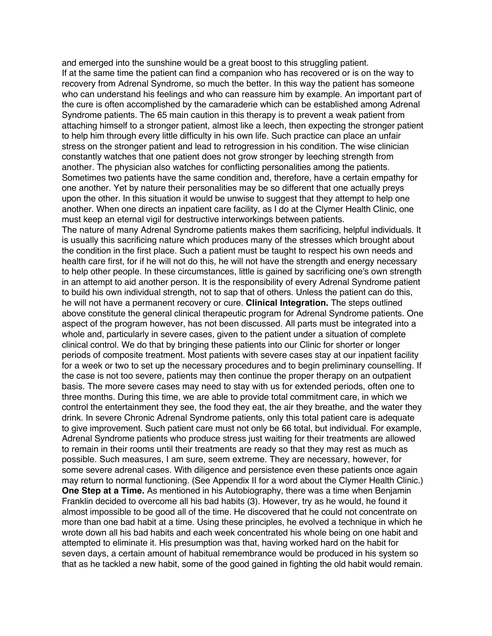and emerged into the sunshine would be a great boost to this struggling patient. If at the same time the patient can find a companion who has recovered or is on the way to recovery from Adrenal Syndrome, so much the better. In this way the patient has someone who can understand his feelings and who can reassure him by example. An important part of the cure is often accomplished by the camaraderie which can be established among Adrenal Syndrome patients. The 65 main caution in this therapy is to prevent a weak patient from attaching himself to a stronger patient, almost like a leech, then expecting the stronger patient to help him through every little difficulty in his own life. Such practice can place an unfair stress on the stronger patient and lead to retrogression in his condition. The wise clinician constantly watches that one patient does not grow stronger by leeching strength from another. The physician also watches for conflicting personalities among the patients. Sometimes two patients have the same condition and, therefore, have a certain empathy for one another. Yet by nature their personalities may be so different that one actually preys upon the other. In this situation it would be unwise to suggest that they attempt to help one another. When one directs an inpatient care facility, as I do at the Clymer Health Clinic, one must keep an eternal vigil for destructive interworkings between patients.

The nature of many Adrenal Syndrome patients makes them sacrificing, helpful individuals. It is usually this sacrificing nature which produces many of the stresses which brought about the condition in the first place. Such a patient must be taught to respect his own needs and health care first, for if he will not do this, he will not have the strength and energy necessary to help other people. In these circumstances, little is gained by sacrificing one's own strength in an attempt to aid another person. It is the responsibility of every Adrenal Syndrome patient to build his own individual strength, not to sap that of others. Unless the patient can do this, he will not have a permanent recovery or cure. **Clinical Integration.** The steps outlined above constitute the general clinical therapeutic program for Adrenal Syndrome patients. One aspect of the program however, has not been discussed. All parts must be integrated into a whole and, particularly in severe cases, given to the patient under a situation of complete clinical control. We do that by bringing these patients into our Clinic for shorter or longer periods of composite treatment. Most patients with severe cases stay at our inpatient facility for a week or two to set up the necessary procedures and to begin preliminary counselling. If the case is not too severe, patients may then continue the proper therapy on an outpatient basis. The more severe cases may need to stay with us for extended periods, often one to three months. During this time, we are able to provide total commitment care, in which we control the entertainment they see, the food they eat, the air they breathe, and the water they drink. In severe Chronic Adrenal Syndrome patients, only this total patient care is adequate to give improvement. Such patient care must not only be 66 total, but individual. For example, Adrenal Syndrome patients who produce stress just waiting for their treatments are allowed to remain in their rooms until their treatments are ready so that they may rest as much as possible. Such measures, I am sure, seem extreme. They are necessary, however, for some severe adrenal cases. With diligence and persistence even these patients once again may return to normal functioning. (See Appendix II for a word about the Clymer Health Clinic.) **One Step at a Time.** As mentioned in his Autobiography, there was a time when Benjamin Franklin decided to overcome all his bad habits (3). However, try as he would, he found it almost impossible to be good all of the time. He discovered that he could not concentrate on more than one bad habit at a time. Using these principles, he evolved a technique in which he wrote down all his bad habits and each week concentrated his whole being on one habit and attempted to eliminate it. His presumption was that, having worked hard on the habit for seven days, a certain amount of habitual remembrance would be produced in his system so that as he tackled a new habit, some of the good gained in fighting the old habit would remain.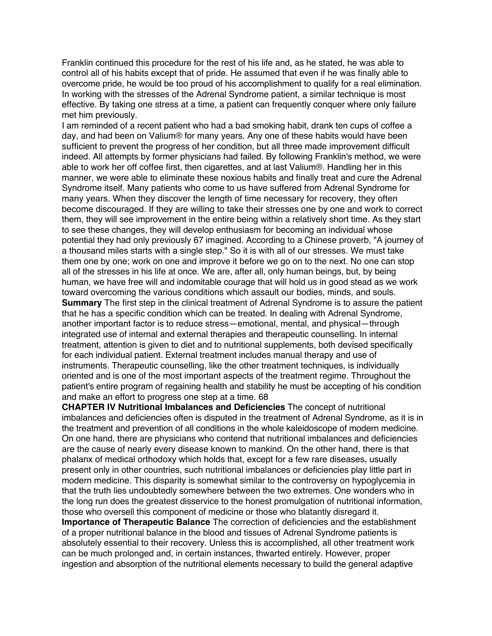Franklin continued this procedure for the rest of his life and, as he stated, he was able to control all of his habits except that of pride. He assumed that even if he was finally able to overcome pride, he would be too proud of his accomplishment to qualify for a real elimination. In working with the stresses of the Adrenal Syndrome patient, a similar technique is most effective. By taking one stress at a time, a patient can frequently conquer where only failure met him previously.

I am reminded of a recent patient who had a bad smoking habit, drank ten cups of coffee a day, and had been on Valium® for many years. Any one of these habits would have been sufficient to prevent the progress of her condition, but all three made improvement difficult indeed. All attempts by former physicians had failed. By following Franklin's method, we were able to work her off coffee first, then cigarettes, and at last Valium®. Handling her in this manner, we were able to eliminate these noxious habits and finally treat and cure the Adrenal Syndrome itself. Many patients who come to us have suffered from Adrenal Syndrome for many years. When they discover the length of time necessary for recovery, they often become discouraged. If they are willing to take their stresses one by one and work to correct them, they will see improvement in the entire being within a relatively short time. As they start to see these changes, they will develop enthusiasm for becoming an individual whose potential they had only previously 67 imagined. According to a Chinese proverb, "A journey of a thousand miles starts with a single step." So it is with all of our stresses. We must take them one by one; work on one and improve it before we go on to the next. No one can stop all of the stresses in his life at once. We are, after all, only human beings, but, by being human, we have free will and indomitable courage that will hold us in good stead as we work toward overcoming the various conditions which assault our bodies, minds, and souls. **Summary** The first step in the clinical treatment of Adrenal Syndrome is to assure the patient that he has a specific condition which can be treated. In dealing with Adrenal Syndrome, another important factor is to reduce stress—emotional, mental, and physical—through integrated use of internal and external therapies and therapeutic counselling. In internal treatment, attention is given to diet and to nutritional supplements, both devised specifically for each individual patient. External treatment includes manual therapy and use of instruments. Therapeutic counselling, like the other treatment techniques, is individually oriented and is one of the most important aspects of the treatment regime. Throughout the patient's entire program of regaining health and stability he must be accepting of his condition and make an effort to progress one step at a time. 68

**CHAPTER IV Nutritional Imbalances and Deficiencies** The concept of nutritional imbalances and deficiencies often is disputed in the treatment of Adrenal Syndrome, as it is in the treatment and prevention of all conditions in the whole kaleidoscope of modern medicine. On one hand, there are physicians who contend that nutritional imbalances and deficiencies are the cause of nearly every disease known to mankind. On the other hand, there is that phalanx of medical orthodoxy which holds that, except for a few rare diseases, usually present only in other countries, such nutritional imbalances or deficiencies play little part in modern medicine. This disparity is somewhat similar to the controversy on hypoglycemia in that the truth lies undoubtedly somewhere between the two extremes. One wonders who in the long run does the greatest disservice to the honest promulgation of nutritional information, those who oversell this component of medicine or those who blatantly disregard it.

**Importance of Therapeutic Balance** The correction of deficiencies and the establishment of a proper nutritional balance in the blood and tissues of Adrenal Syndrome patients is absolutely essential to their recovery. Unless this is accomplished, all other treatment work can be much prolonged and, in certain instances, thwarted entirely. However, proper ingestion and absorption of the nutritional elements necessary to build the general adaptive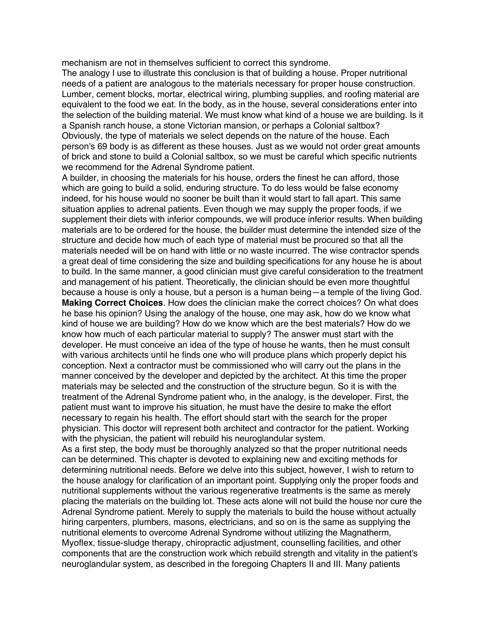mechanism are not in themselves sufficient to correct this syndrome.

The analogy I use to illustrate this conclusion is that of building a house. Proper nutritional needs of a patient are analogous to the materials necessary for proper house construction. Lumber, cement blocks, mortar, electrical wiring, plumbing supplies, and roofing material are equivalent to the food we eat. In the body, as in the house, several considerations enter into the selection of the building material. We must know what kind of a house we are building. Is it a Spanish ranch house, a stone Victorian mansion, or perhaps a Colonial saltbox? Obviously, the type of materials we select depends on the nature of the house. Each person's 69 body is as different as these houses. Just as we would not order great amounts of brick and stone to build a Colonial saltbox, so we must be careful which specific nutrients we recommend for the Adrenal Syndrome patient.

A builder, in choosing the materials for his house, orders the finest he can afford, those which are going to build a solid, enduring structure. To do less would be false economy indeed, for his house would no sooner be built than it would start to fall apart. This same situation applies to adrenal patients. Even though we may supply the proper foods, if we supplement their diets with inferior compounds, we will produce inferior results. When building materials are to be ordered for the house, the builder must determine the intended size of the structure and decide how much of each type of material must be procured so that all the materials needed will be on hand with little or no waste incurred. The wise contractor spends a great deal of time considering the size and building specifications for any house he is about to build. In the same manner, a good clinician must give careful consideration to the treatment and management of his patient. Theoretically, the clinician should be even more thoughtful because a house is only a house, but a person is a human being—a temple of the living God. **Making Correct Choices**. How does the clinician make the correct choices? On what does he base his opinion? Using the analogy of the house, one may ask, how do we know what kind of house we are building? How do we know which are the best materials? How do we know how much of each particular material to supply? The answer must start with the developer. He must conceive an idea of the type of house he wants, then he must consult with various architects until he finds one who will produce plans which properly depict his conception. Next a contractor must be commissioned who will carry out the plans in the manner conceived by the developer and depicted by the architect. At this time the proper materials may be selected and the construction of the structure begun. So it is with the treatment of the Adrenal Syndrome patient who, in the analogy, is the developer. First, the patient must want to improve his situation, he must have the desire to make the effort necessary to regain his health. The effort should start with the search for the proper physician. This doctor will represent both architect and contractor for the patient. Working with the physician, the patient will rebuild his neuroglandular system.

As a first step, the body must be thoroughly analyzed so that the proper nutritional needs can be determined. This chapter is devoted to explaining new and exciting methods for determining nutritional needs. Before we delve into this subject, however, I wish to return to the house analogy for clarification of an important point. Supplying only the proper foods and nutritional supplements without the various regenerative treatments is the same as merely placing the materials on the building lot. These acts alone will not build the house nor cure the Adrenal Syndrome patient. Merely to supply the materials to build the house without actually hiring carpenters, plumbers, masons, electricians, and so on is the same as supplying the nutritional elements to overcome Adrenal Syndrome without utilizing the Magnatherm, Myoflex, tissue-sludge therapy, chiropractic adjustment, counselling facilities, and other components that are the construction work which rebuild strength and vitality in the patient's neuroglandular system, as described in the foregoing Chapters II and III. Many patients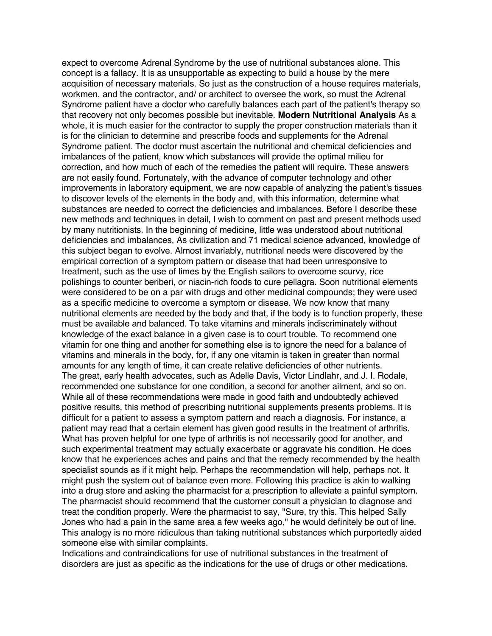expect to overcome Adrenal Syndrome by the use of nutritional substances alone. This concept is a fallacy. It is as unsupportable as expecting to build a house by the mere acquisition of necessary materials. So just as the construction of a house requires materials, workmen, and the contractor, and/ or architect to oversee the work, so must the Adrenal Syndrome patient have a doctor who carefully balances each part of the patient's therapy so that recovery not only becomes possible but inevitable. **Modern Nutritional Analysis** As a whole, it is much easier for the contractor to supply the proper construction materials than it is for the clinician to determine and prescribe foods and supplements for the Adrenal Syndrome patient. The doctor must ascertain the nutritional and chemical deficiencies and imbalances of the patient, know which substances will provide the optimal milieu for correction, and how much of each of the remedies the patient will require. These answers are not easily found. Fortunately, with the advance of computer technology and other improvements in laboratory equipment, we are now capable of analyzing the patient's tissues to discover levels of the elements in the body and, with this information, determine what substances are needed to correct the deficiencies and imbalances. Before I describe these new methods and techniques in detail, I wish to comment on past and present methods used by many nutritionists. In the beginning of medicine, little was understood about nutritional deficiencies and imbalances, As civilization and 71 medical science advanced, knowledge of this subject began to evolve. Almost invariably, nutritional needs were discovered by the empirical correction of a symptom pattern or disease that had been unresponsive to treatment, such as the use of limes by the English sailors to overcome scurvy, rice polishings to counter beriberi, or niacin-rich foods to cure pellagra. Soon nutritional elements were considered to be on a par with drugs and other medicinal compounds; they were used as a specific medicine to overcome a symptom or disease. We now know that many nutritional elements are needed by the body and that, if the body is to function properly, these must be available and balanced. To take vitamins and minerals indiscriminately without knowledge of the exact balance in a given case is to court trouble. To recommend one vitamin for one thing and another for something else is to ignore the need for a balance of vitamins and minerals in the body, for, if any one vitamin is taken in greater than normal amounts for any length of time, it can create relative deficiencies of other nutrients. The great, early health advocates, such as Adelle Davis, Victor Lindlahr, and J. I. Rodale, recommended one substance for one condition, a second for another ailment, and so on. While all of these recommendations were made in good faith and undoubtedly achieved positive results, this method of prescribing nutritional supplements presents problems. It is difficult for a patient to assess a symptom pattern and reach a diagnosis. For instance, a patient may read that a certain element has given good results in the treatment of arthritis. What has proven helpful for one type of arthritis is not necessarily good for another, and such experimental treatment may actually exacerbate or aggravate his condition. He does know that he experiences aches and pains and that the remedy recommended by the health specialist sounds as if it might help. Perhaps the recommendation will help, perhaps not. It might push the system out of balance even more. Following this practice is akin to walking into a drug store and asking the pharmacist for a prescription to alleviate a painful symptom. The pharmacist should recommend that the customer consult a physician to diagnose and treat the condition properly. Were the pharmacist to say, "Sure, try this. This helped Sally Jones who had a pain in the same area a few weeks ago," he would definitely be out of line. This analogy is no more ridiculous than taking nutritional substances which purportedly aided someone else with similar complaints.

Indications and contraindications for use of nutritional substances in the treatment of disorders are just as specific as the indications for the use of drugs or other medications.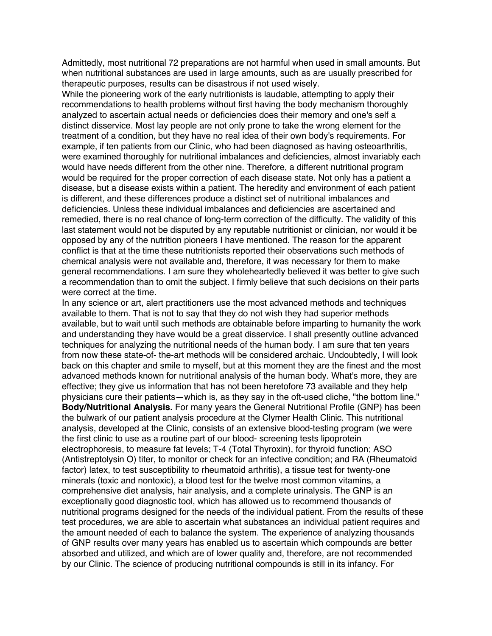Admittedly, most nutritional 72 preparations are not harmful when used in small amounts. But when nutritional substances are used in large amounts, such as are usually prescribed for therapeutic purposes, results can be disastrous if not used wisely.

While the pioneering work of the early nutritionists is laudable, attempting to apply their recommendations to health problems without first having the body mechanism thoroughly analyzed to ascertain actual needs or deficiencies does their memory and one's self a distinct disservice. Most lay people are not only prone to take the wrong element for the treatment of a condition, but they have no real idea of their own body's requirements. For example, if ten patients from our Clinic, who had been diagnosed as having osteoarthritis, were examined thoroughly for nutritional imbalances and deficiencies, almost invariably each would have needs different from the other nine. Therefore, a different nutritional program would be required for the proper correction of each disease state. Not only has a patient a disease, but a disease exists within a patient. The heredity and environment of each patient is different, and these differences produce a distinct set of nutritional imbalances and deficiencies. Unless these individual imbalances and deficiencies are ascertained and remedied, there is no real chance of long-term correction of the difficulty. The validity of this last statement would not be disputed by any reputable nutritionist or clinician, nor would it be opposed by any of the nutrition pioneers I have mentioned. The reason for the apparent conflict is that at the time these nutritionists reported their observations such methods of chemical analysis were not available and, therefore, it was necessary for them to make general recommendations. I am sure they wholeheartedly believed it was better to give such a recommendation than to omit the subject. I firmly believe that such decisions on their parts were correct at the time.

In any science or art, alert practitioners use the most advanced methods and techniques available to them. That is not to say that they do not wish they had superior methods available, but to wait until such methods are obtainable before imparting to humanity the work and understanding they have would be a great disservice. I shall presently outline advanced techniques for analyzing the nutritional needs of the human body. I am sure that ten years from now these state-of- the-art methods will be considered archaic. Undoubtedly, I will look back on this chapter and smile to myself, but at this moment they are the finest and the most advanced methods known for nutritional analysis of the human body. What's more, they are effective; they give us information that has not been heretofore 73 available and they help physicians cure their patients—which is, as they say in the oft-used cliche, "the bottom line." **Body/Nutritional Analysis.** For many years the General Nutritional Profile (GNP) has been the bulwark of our patient analysis procedure at the Clymer Health Clinic. This nutritional analysis, developed at the Clinic, consists of an extensive blood-testing program (we were the first clinic to use as a routine part of our blood- screening tests lipoprotein electrophoresis, to measure fat levels; T-4 (Total Thyroxin), for thyroid function; ASO (Antistreptolysin O) titer, to monitor or check for an infective condition; and RA (Rheumatoid factor) latex, to test susceptibility to rheumatoid arthritis), a tissue test for twenty-one minerals (toxic and nontoxic), a blood test for the twelve most common vitamins, a comprehensive diet analysis, hair analysis, and a complete urinalysis. The GNP is an exceptionally good diagnostic tool, which has allowed us to recommend thousands of nutritional programs designed for the needs of the individual patient. From the results of these test procedures, we are able to ascertain what substances an individual patient requires and the amount needed of each to balance the system. The experience of analyzing thousands of GNP results over many years has enabled us to ascertain which compounds are better absorbed and utilized, and which are of lower quality and, therefore, are not recommended by our Clinic. The science of producing nutritional compounds is still in its infancy. For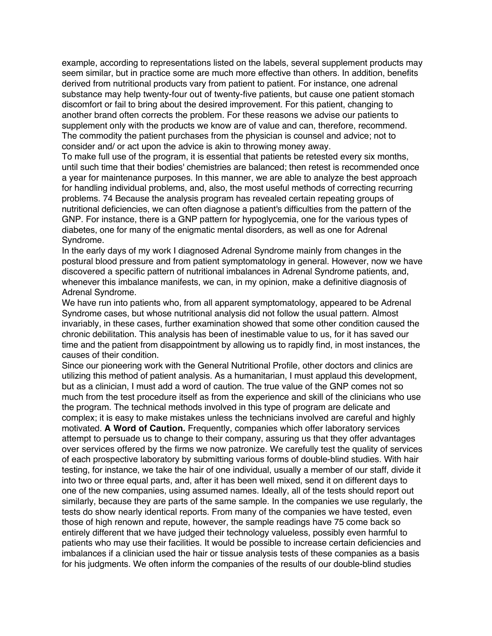example, according to representations listed on the labels, several supplement products may seem similar, but in practice some are much more effective than others. In addition, benefits derived from nutritional products vary from patient to patient. For instance, one adrenal substance may help twenty-four out of twenty-five patients, but cause one patient stomach discomfort or fail to bring about the desired improvement. For this patient, changing to another brand often corrects the problem. For these reasons we advise our patients to supplement only with the products we know are of value and can, therefore, recommend. The commodity the patient purchases from the physician is counsel and advice; not to consider and/ or act upon the advice is akin to throwing money away.

To make full use of the program, it is essential that patients be retested every six months, until such time that their bodies' chemistries are balanced; then retest is recommended once a year for maintenance purposes. In this manner, we are able to analyze the best approach for handling individual problems, and, also, the most useful methods of correcting recurring problems. 74 Because the analysis program has revealed certain repeating groups of nutritional deficiencies, we can often diagnose a patient's difficulties from the pattern of the GNP. For instance, there is a GNP pattern for hypoglycemia, one for the various types of diabetes, one for many of the enigmatic mental disorders, as well as one for Adrenal Syndrome.

In the early days of my work I diagnosed Adrenal Syndrome mainly from changes in the postural blood pressure and from patient symptomatology in general. However, now we have discovered a specific pattern of nutritional imbalances in Adrenal Syndrome patients, and, whenever this imbalance manifests, we can, in my opinion, make a definitive diagnosis of Adrenal Syndrome.

We have run into patients who, from all apparent symptomatology, appeared to be Adrenal Syndrome cases, but whose nutritional analysis did not follow the usual pattern. Almost invariably, in these cases, further examination showed that some other condition caused the chronic debilitation. This analysis has been of inestimable value to us, for it has saved our time and the patient from disappointment by allowing us to rapidly find, in most instances, the causes of their condition.

Since our pioneering work with the General Nutritional Profile, other doctors and clinics are utilizing this method of patient analysis. As a humanitarian, I must applaud this development, but as a clinician, I must add a word of caution. The true value of the GNP comes not so much from the test procedure itself as from the experience and skill of the clinicians who use the program. The technical methods involved in this type of program are delicate and complex; it is easy to make mistakes unless the technicians involved are careful and highly motivated. **A Word of Caution.** Frequently, companies which offer laboratory services attempt to persuade us to change to their company, assuring us that they offer advantages over services offered by the firms we now patronize. We carefully test the quality of services of each prospective laboratory by submitting various forms of double-blind studies. With hair testing, for instance, we take the hair of one individual, usually a member of our staff, divide it into two or three equal parts, and, after it has been well mixed, send it on different days to one of the new companies, using assumed names. Ideally, all of the tests should report out similarly, because they are parts of the same sample. In the companies we use regularly, the tests do show nearly identical reports. From many of the companies we have tested, even those of high renown and repute, however, the sample readings have 75 come back so entirely different that we have judged their technology valueless, possibly even harmful to patients who may use their facilities. It would be possible to increase certain deficiencies and imbalances if a clinician used the hair or tissue analysis tests of these companies as a basis for his judgments. We often inform the companies of the results of our double-blind studies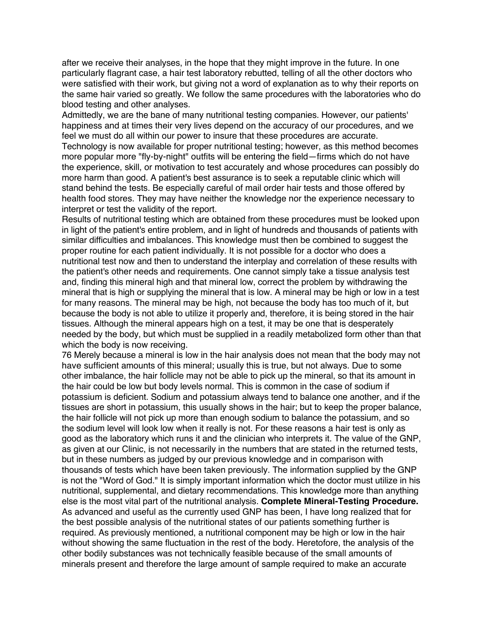after we receive their analyses, in the hope that they might improve in the future. In one particularly flagrant case, a hair test laboratory rebutted, telling of all the other doctors who were satisfied with their work, but giving not a word of explanation as to why their reports on the same hair varied so greatly. We follow the same procedures with the laboratories who do blood testing and other analyses.

Admittedly, we are the bane of many nutritional testing companies. However, our patients' happiness and at times their very lives depend on the accuracy of our procedures, and we feel we must do all within our power to insure that these procedures are accurate. Technology is now available for proper nutritional testing; however, as this method becomes more popular more "fly-by-night" outfits will be entering the field—firms which do not have the experience, skill, or motivation to test accurately and whose procedures can possibly do more harm than good. A patient's best assurance is to seek a reputable clinic which will stand behind the tests. Be especially careful of mail order hair tests and those offered by health food stores. They may have neither the knowledge nor the experience necessary to interpret or test the validity of the report.

Results of nutritional testing which are obtained from these procedures must be looked upon in light of the patient's entire problem, and in light of hundreds and thousands of patients with similar difficulties and imbalances. This knowledge must then be combined to suggest the proper routine for each patient individually. It is not possible for a doctor who does a nutritional test now and then to understand the interplay and correlation of these results with the patient's other needs and requirements. One cannot simply take a tissue analysis test and, finding this mineral high and that mineral low, correct the problem by withdrawing the mineral that is high or supplying the mineral that is low. A mineral may be high or low in a test for many reasons. The mineral may be high, not because the body has too much of it, but because the body is not able to utilize it properly and, therefore, it is being stored in the hair tissues. Although the mineral appears high on a test, it may be one that is desperately needed by the body, but which must be supplied in a readily metabolized form other than that which the body is now receiving.

76 Merely because a mineral is low in the hair analysis does not mean that the body may not have sufficient amounts of this mineral; usually this is true, but not always. Due to some other imbalance, the hair follicle may not be able to pick up the mineral, so that its amount in the hair could be low but body levels normal. This is common in the case of sodium if potassium is deficient. Sodium and potassium always tend to balance one another, and if the tissues are short in potassium, this usually shows in the hair; but to keep the proper balance, the hair follicle will not pick up more than enough sodium to balance the potassium, and so the sodium level will look low when it really is not. For these reasons a hair test is only as good as the laboratory which runs it and the clinician who interprets it. The value of the GNP, as given at our Clinic, is not necessarily in the numbers that are stated in the returned tests, but in these numbers as judged by our previous knowledge and in comparison with thousands of tests which have been taken previously. The information supplied by the GNP is not the "Word of God." It is simply important information which the doctor must utilize in his nutritional, supplemental, and dietary recommendations. This knowledge more than anything else is the most vital part of the nutritional analysis. **Complete Mineral-Testing Procedure.**  As advanced and useful as the currently used GNP has been, I have long realized that for the best possible analysis of the nutritional states of our patients something further is required. As previously mentioned, a nutritional component may be high or low in the hair without showing the same fluctuation in the rest of the body. Heretofore, the analysis of the other bodily substances was not technically feasible because of the small amounts of minerals present and therefore the large amount of sample required to make an accurate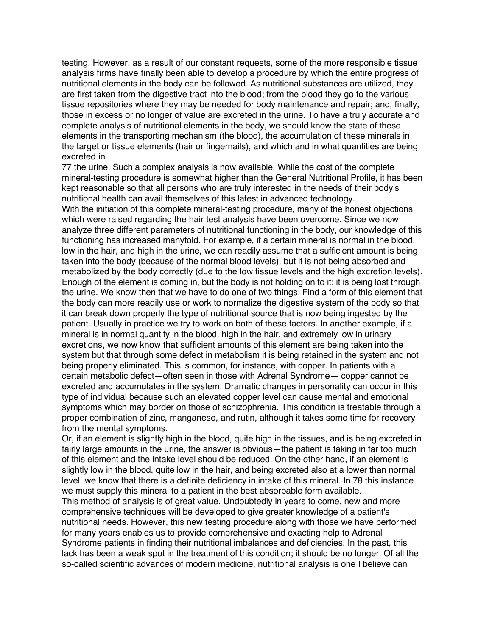testing. However, as a result of our constant requests, some of the more responsible tissue analysis firms have finally been able to develop a procedure by which the entire progress of nutritional elements in the body can be followed. As nutritional substances are utilized, they are first taken from the digestive tract into the blood; from the blood they go to the various tissue repositories where they may be needed for body maintenance and repair; and, finally, those in excess or no longer of value are excreted in the urine. To have a truly accurate and complete analysis of nutritional elements in the body, we should know the state of these elements in the transporting mechanism (the blood), the accumulation of these minerals in the target or tissue elements (hair or fingernails), and which and in what quantities are being excreted in

77 the urine. Such a complex analysis is now available. While the cost of the complete mineral-testing procedure is somewhat higher than the General Nutritional Profile, it has been kept reasonable so that all persons who are truly interested in the needs of their body's nutritional health can avail themselves of this latest in advanced technology.

With the initiation of this complete mineral-testing procedure, many of the honest objections which were raised regarding the hair test analysis have been overcome. Since we now analyze three different parameters of nutritional functioning in the body, our knowledge of this functioning has increased manyfold. For example, if a certain mineral is normal in the blood, low in the hair, and high in the urine, we can readily assume that a sufficient amount is being taken into the body (because of the normal blood levels), but it is not being absorbed and metabolized by the body correctly (due to the low tissue levels and the high excretion levels). Enough of the element is coming in, but the body is not holding on to it; it is being lost through the urine. We know then that we have to do one of two things: Find a form of this element that the body can more readily use or work to normalize the digestive system of the body so that it can break down properly the type of nutritional source that is now being ingested by the patient. Usually in practice we try to work on both of these factors. In another example, if a mineral is in normal quantity in the blood, high in the hair, and extremely low in urinary excretions, we now know that sufficient amounts of this element are being taken into the system but that through some defect in metabolism it is being retained in the system and not being properly eliminated. This is common, for instance, with copper. In patients with a certain metabolic defect—often seen in those with Adrenal Syndrome— copper cannot be excreted and accumulates in the system. Dramatic changes in personality can occur in this type of individual because such an elevated copper level can cause mental and emotional symptoms which may border on those of schizophrenia. This condition is treatable through a proper combination of zinc, manganese, and rutin, although it takes some time for recovery from the mental symptoms.

Or, if an element is slightly high in the blood, quite high in the tissues, and is being excreted in fairly large amounts in the urine, the answer is obvious—the patient is taking in far too much of this element and the intake level should be reduced. On the other hand, if an element is slightly low in the blood, quite low in the hair, and being excreted also at a lower than normal level, we know that there is a definite deficiency in intake of this mineral. In 78 this instance we must supply this mineral to a patient in the best absorbable form available.

This method of analysis is of great value. Undoubtedly in years to come, new and more comprehensive techniques will be developed to give greater knowledge of a patient's nutritional needs. However, this new testing procedure along with those we have performed for many years enables us to provide comprehensive and exacting help to Adrenal Syndrome patients in finding their nutritional imbalances and deficiencies. In the past, this lack has been a weak spot in the treatment of this condition; it should be no longer. Of all the so-called scientific advances of modern medicine, nutritional analysis is one I believe can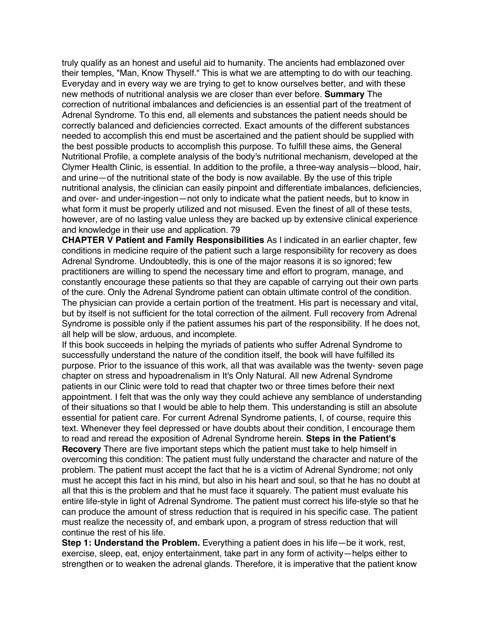truly qualify as an honest and useful aid to humanity. The ancients had emblazoned over their temples, "Man, Know Thyself." This is what we are attempting to do with our teaching. Everyday and in every way we are trying to get to know ourselves better, and with these new methods of nutritional analysis we are closer than ever before. **Summary** The correction of nutritional imbalances and deficiencies is an essential part of the treatment of Adrenal Syndrome. To this end, all elements and substances the patient needs should be correctly balanced and deficiencies corrected. Exact amounts of the different substances needed to accomplish this end must be ascertained and the patient should be supplied with the best possible products to accomplish this purpose. To fulfill these aims, the General Nutritional Profile, a complete analysis of the body's nutritional mechanism, developed at the Clymer Health Clinic, is essential. In addition to the profile, a three-way analysis—blood, hair, and urine—of the nutritional state of the body is now available. By the use of this triple nutritional analysis, the clinician can easily pinpoint and differentiate imbalances, deficiencies, and over- and under-ingestion—not only to indicate what the patient needs, but to know in what form it must be properly utilized and not misused. Even the finest of all of these tests, however, are of no lasting value unless they are backed up by extensive clinical experience and knowledge in their use and application. 79

**CHAPTER V Patient and Family Responsibilities** As I indicated in an earlier chapter, few conditions in medicine require of the patient such a large responsibility for recovery as does Adrenal Syndrome. Undoubtedly, this is one of the major reasons it is so ignored; few practitioners are willing to spend the necessary time and effort to program, manage, and constantly encourage these patients so that they are capable of carrying out their own parts of the cure. Only the Adrenal Syndrome patient can obtain ultimate control of the condition. The physician can provide a certain portion of the treatment. His part is necessary and vital, but by itself is not sufficient for the total correction of the ailment. Full recovery from Adrenal Syndrome is possible only if the patient assumes his part of the responsibility. If he does not, all help will be slow, arduous, and incomplete.

If this book succeeds in helping the myriads of patients who suffer Adrenal Syndrome to successfully understand the nature of the condition itself, the book will have fulfilled its purpose. Prior to the issuance of this work, all that was available was the twenty- seven page chapter on stress and hypoadrenalism in It's Only Natural. All new Adrenal Syndrome patients in our Clinic were told to read that chapter two or three times before their next appointment. I felt that was the only way they could achieve any semblance of understanding of their situations so that I would be able to help them. This understanding is still an absolute essential for patient care. For current Adrenal Syndrome patients, I, of course, require this text. Whenever they feel depressed or have doubts about their condition, I encourage them to read and reread the exposition of Adrenal Syndrome herein. **Steps in the Patient's Recovery** There are five important steps which the patient must take to help himself in overcoming this condition: The patient must fully understand the character and nature of the problem. The patient must accept the fact that he is a victim of Adrenal Syndrome; not only must he accept this fact in his mind, but also in his heart and soul, so that he has no doubt at all that this is the problem and that he must face it squarely. The patient must evaluate his entire life-style in light of Adrenal Syndrome. The patient must correct his life-style so that he can produce the amount of stress reduction that is required in his specific case. The patient must realize the necessity of, and embark upon, a program of stress reduction that will continue the rest of his life.

**Step 1: Understand the Problem.** Everything a patient does in his life—be it work, rest, exercise, sleep, eat, enjoy entertainment, take part in any form of activity—helps either to strengthen or to weaken the adrenal glands. Therefore, it is imperative that the patient know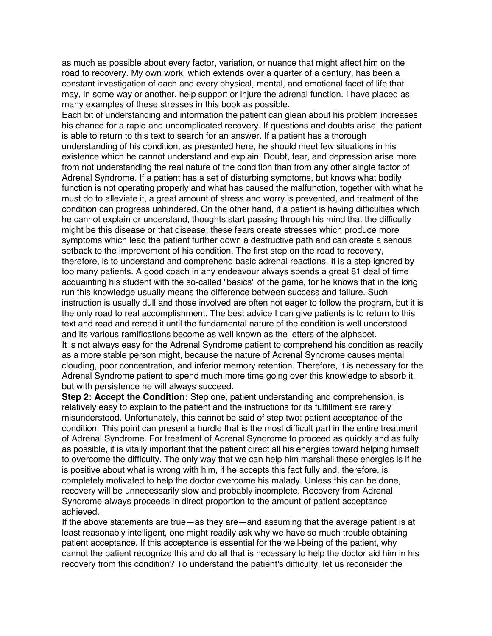as much as possible about every factor, variation, or nuance that might affect him on the road to recovery. My own work, which extends over a quarter of a century, has been a constant investigation of each and every physical, mental, and emotional facet of life that may, in some way or another, help support or injure the adrenal function. I have placed as many examples of these stresses in this book as possible.

Each bit of understanding and information the patient can glean about his problem increases his chance for a rapid and uncomplicated recovery. If questions and doubts arise, the patient is able to return to this text to search for an answer. If a patient has a thorough understanding of his condition, as presented here, he should meet few situations in his existence which he cannot understand and explain. Doubt, fear, and depression arise more from not understanding the real nature of the condition than from any other single factor of Adrenal Syndrome. If a patient has a set of disturbing symptoms, but knows what bodily function is not operating properly and what has caused the malfunction, together with what he must do to alleviate it, a great amount of stress and worry is prevented, and treatment of the condition can progress unhindered. On the other hand, if a patient is having difficulties which he cannot explain or understand, thoughts start passing through his mind that the difficulty might be this disease or that disease; these fears create stresses which produce more symptoms which lead the patient further down a destructive path and can create a serious setback to the improvement of his condition. The first step on the road to recovery, therefore, is to understand and comprehend basic adrenal reactions. It is a step ignored by too many patients. A good coach in any endeavour always spends a great 81 deal of time acquainting his student with the so-called "basics" of the game, for he knows that in the long run this knowledge usually means the difference between success and failure. Such instruction is usually dull and those involved are often not eager to follow the program, but it is the only road to real accomplishment. The best advice I can give patients is to return to this text and read and reread it until the fundamental nature of the condition is well understood and its various ramifications become as well known as the letters of the alphabet. It is not always easy for the Adrenal Syndrome patient to comprehend his condition as readily as a more stable person might, because the nature of Adrenal Syndrome causes mental clouding, poor concentration, and inferior memory retention. Therefore, it is necessary for the Adrenal Syndrome patient to spend much more time going over this knowledge to absorb it, but with persistence he will always succeed.

**Step 2: Accept the Condition:** Step one, patient understanding and comprehension, is relatively easy to explain to the patient and the instructions for its fulfillment are rarely misunderstood. Unfortunately, this cannot be said of step two: patient acceptance of the condition. This point can present a hurdle that is the most difficult part in the entire treatment of Adrenal Syndrome. For treatment of Adrenal Syndrome to proceed as quickly and as fully as possible, it is vitally important that the patient direct all his energies toward helping himself to overcome the difficulty. The only way that we can help him marshall these energies is if he is positive about what is wrong with him, if he accepts this fact fully and, therefore, is completely motivated to help the doctor overcome his malady. Unless this can be done, recovery will be unnecessarily slow and probably incomplete. Recovery from Adrenal Syndrome always proceeds in direct proportion to the amount of patient acceptance achieved.

If the above statements are true—as they are—and assuming that the average patient is at least reasonably intelligent, one might readily ask why we have so much trouble obtaining patient acceptance. If this acceptance is essential for the well-being of the patient, why cannot the patient recognize this and do all that is necessary to help the doctor aid him in his recovery from this condition? To understand the patient's difficulty, let us reconsider the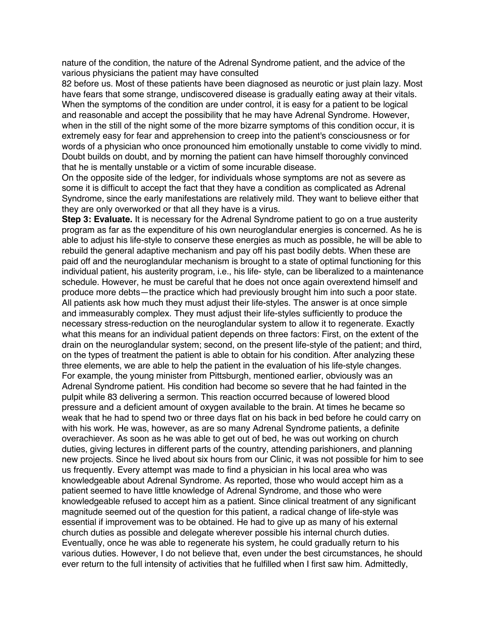nature of the condition, the nature of the Adrenal Syndrome patient, and the advice of the various physicians the patient may have consulted

82 before us. Most of these patients have been diagnosed as neurotic or just plain lazy. Most have fears that some strange, undiscovered disease is gradually eating away at their vitals. When the symptoms of the condition are under control, it is easy for a patient to be logical and reasonable and accept the possibility that he may have Adrenal Syndrome. However, when in the still of the night some of the more bizarre symptoms of this condition occur, it is extremely easy for fear and apprehension to creep into the patient's consciousness or for words of a physician who once pronounced him emotionally unstable to come vividly to mind. Doubt builds on doubt, and by morning the patient can have himself thoroughly convinced that he is mentally unstable or a victim of some incurable disease.

On the opposite side of the ledger, for individuals whose symptoms are not as severe as some it is difficult to accept the fact that they have a condition as complicated as Adrenal Syndrome, since the early manifestations are relatively mild. They want to believe either that they are only overworked or that all they have is a virus.

**Step 3: Evaluate.** It is necessary for the Adrenal Syndrome patient to go on a true austerity program as far as the expenditure of his own neuroglandular energies is concerned. As he is able to adjust his life-style to conserve these energies as much as possible, he will be able to rebuild the general adaptive mechanism and pay off his past bodily debts. When these are paid off and the neuroglandular mechanism is brought to a state of optimal functioning for this individual patient, his austerity program, i.e., his life- style, can be liberalized to a maintenance schedule. However, he must be careful that he does not once again overextend himself and produce more debts—the practice which had previously brought him into such a poor state. All patients ask how much they must adjust their life-styles. The answer is at once simple and immeasurably complex. They must adjust their life-styles sufficiently to produce the necessary stress-reduction on the neuroglandular system to allow it to regenerate. Exactly what this means for an individual patient depends on three factors: First, on the extent of the drain on the neuroglandular system; second, on the present life-style of the patient; and third, on the types of treatment the patient is able to obtain for his condition. After analyzing these three elements, we are able to help the patient in the evaluation of his life-style changes. For example, the young minister from Pittsburgh, mentioned earlier, obviously was an Adrenal Syndrome patient. His condition had become so severe that he had fainted in the pulpit while 83 delivering a sermon. This reaction occurred because of lowered blood pressure and a deficient amount of oxygen available to the brain. At times he became so weak that he had to spend two or three days flat on his back in bed before he could carry on with his work. He was, however, as are so many Adrenal Syndrome patients, a definite overachiever. As soon as he was able to get out of bed, he was out working on church duties, giving lectures in different parts of the country, attending parishioners, and planning new projects. Since he lived about six hours from our Clinic, it was not possible for him to see us frequently. Every attempt was made to find a physician in his local area who was knowledgeable about Adrenal Syndrome. As reported, those who would accept him as a patient seemed to have little knowledge of Adrenal Syndrome, and those who were knowledgeable refused to accept him as a patient. Since clinical treatment of any significant magnitude seemed out of the question for this patient, a radical change of life-style was essential if improvement was to be obtained. He had to give up as many of his external church duties as possible and delegate wherever possible his internal church duties. Eventually, once he was able to regenerate his system, he could gradually return to his various duties. However, I do not believe that, even under the best circumstances, he should ever return to the full intensity of activities that he fulfilled when I first saw him. Admittedly,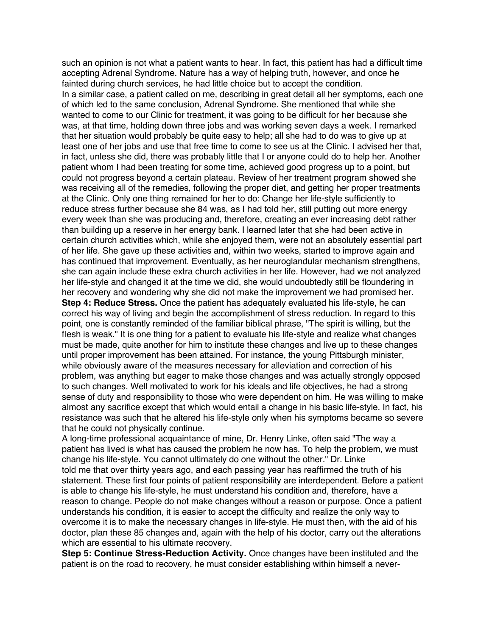such an opinion is not what a patient wants to hear. In fact, this patient has had a difficult time accepting Adrenal Syndrome. Nature has a way of helping truth, however, and once he fainted during church services, he had little choice but to accept the condition. In a similar case, a patient called on me, describing in great detail all her symptoms, each one of which led to the same conclusion, Adrenal Syndrome. She mentioned that while she wanted to come to our Clinic for treatment, it was going to be difficult for her because she was, at that time, holding down three jobs and was working seven days a week. I remarked that her situation would probably be quite easy to help; all she had to do was to give up at least one of her jobs and use that free time to come to see us at the Clinic. I advised her that, in fact, unless she did, there was probably little that I or anyone could do to help her. Another patient whom I had been treating for some time, achieved good progress up to a point, but could not progress beyond a certain plateau. Review of her treatment program showed she was receiving all of the remedies, following the proper diet, and getting her proper treatments at the Clinic. Only one thing remained for her to do: Change her life-style sufficiently to reduce stress further because she 84 was, as I had told her, still putting out more energy every week than she was producing and, therefore, creating an ever increasing debt rather than building up a reserve in her energy bank. I learned later that she had been active in certain church activities which, while she enjoyed them, were not an absolutely essential part of her life. She gave up these activities and, within two weeks, started to improve again and has continued that improvement. Eventually, as her neuroglandular mechanism strengthens, she can again include these extra church activities in her life. However, had we not analyzed her life-style and changed it at the time we did, she would undoubtedly still be floundering in her recovery and wondering why she did not make the improvement we had promised her. **Step 4: Reduce Stress.** Once the patient has adequately evaluated his life-style, he can correct his way of living and begin the accomplishment of stress reduction. In regard to this point, one is constantly reminded of the familiar biblical phrase, "The spirit is willing, but the flesh is weak." It is one thing for a patient to evaluate his life-style and realize what changes must be made, quite another for him to institute these changes and live up to these changes until proper improvement has been attained. For instance, the young Pittsburgh minister, while obviously aware of the measures necessary for alleviation and correction of his problem, was anything but eager to make those changes and was actually strongly opposed to such changes. Well motivated to work for his ideals and life objectives, he had a strong sense of duty and responsibility to those who were dependent on him. He was willing to make almost any sacrifice except that which would entail a change in his basic life-style. In fact, his resistance was such that he altered his life-style only when his symptoms became so severe that he could not physically continue.

A long-time professional acquaintance of mine, Dr. Henry Linke, often said "The way a patient has lived is what has caused the problem he now has. To help the problem, we must change his life-style. You cannot ultimately do one without the other." Dr. Linke told me that over thirty years ago, and each passing year has reaffirmed the truth of his statement. These first four points of patient responsibility are interdependent. Before a patient is able to change his life-style, he must understand his condition and, therefore, have a reason to change. People do not make changes without a reason or purpose. Once a patient understands his condition, it is easier to accept the difficulty and realize the only way to overcome it is to make the necessary changes in life-style. He must then, with the aid of his doctor, plan these 85 changes and, again with the help of his doctor, carry out the alterations which are essential to his ultimate recovery.

**Step 5: Continue Stress-Reduction Activity.** Once changes have been instituted and the patient is on the road to recovery, he must consider establishing within himself a never-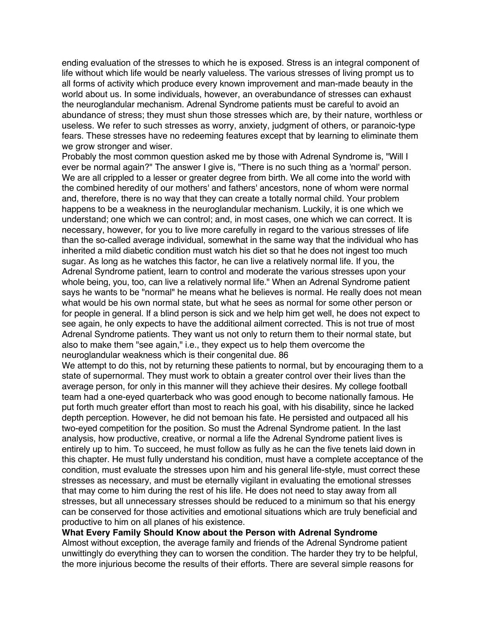ending evaluation of the stresses to which he is exposed. Stress is an integral component of life without which life would be nearly valueless. The various stresses of living prompt us to all forms of activity which produce every known improvement and man-made beauty in the world about us. In some individuals, however, an overabundance of stresses can exhaust the neuroglandular mechanism. Adrenal Syndrome patients must be careful to avoid an abundance of stress; they must shun those stresses which are, by their nature, worthless or useless. We refer to such stresses as worry, anxiety, judgment of others, or paranoic-type fears. These stresses have no redeeming features except that by learning to eliminate them we grow stronger and wiser.

Probably the most common question asked me by those with Adrenal Syndrome is, "Will I ever be normal again?" The answer I give is, "There is no such thing as a 'normal' person. We are all crippled to a lesser or greater degree from birth. We all come into the world with the combined heredity of our mothers' and fathers' ancestors, none of whom were normal and, therefore, there is no way that they can create a totally normal child. Your problem happens to be a weakness in the neuroglandular mechanism. Luckily, it is one which we understand; one which we can control; and, in most cases, one which we can correct. It is necessary, however, for you to live more carefully in regard to the various stresses of life than the so-called average individual, somewhat in the same way that the individual who has inherited a mild diabetic condition must watch his diet so that he does not ingest too much sugar. As long as he watches this factor, he can live a relatively normal life. If you, the Adrenal Syndrome patient, learn to control and moderate the various stresses upon your whole being, you, too, can live a relatively normal life." When an Adrenal Syndrome patient says he wants to be "normal" he means what he believes is normal. He really does not mean what would be his own normal state, but what he sees as normal for some other person or for people in general. If a blind person is sick and we help him get well, he does not expect to see again, he only expects to have the additional ailment corrected. This is not true of most Adrenal Syndrome patients. They want us not only to return them to their normal state, but also to make them "see again," i.e., they expect us to help them overcome the neuroglandular weakness which is their congenital due. 86

We attempt to do this, not by returning these patients to normal, but by encouraging them to a state of supernormal. They must work to obtain a greater control over their lives than the average person, for only in this manner will they achieve their desires. My college football team had a one-eyed quarterback who was good enough to become nationally famous. He put forth much greater effort than most to reach his goal, with his disability, since he lacked depth perception. However, he did not bemoan his fate. He persisted and outpaced all his two-eyed competition for the position. So must the Adrenal Syndrome patient. In the last analysis, how productive, creative, or normal a life the Adrenal Syndrome patient lives is entirely up to him. To succeed, he must follow as fully as he can the five tenets laid down in this chapter. He must fully understand his condition, must have a complete acceptance of the condition, must evaluate the stresses upon him and his general life-style, must correct these stresses as necessary, and must be eternally vigilant in evaluating the emotional stresses that may come to him during the rest of his life. He does not need to stay away from all stresses, but all unnecessary stresses should be reduced to a minimum so that his energy can be conserved for those activities and emotional situations which are truly beneficial and productive to him on all planes of his existence.

**What Every Family Should Know about the Person with Adrenal Syndrome** Almost without exception, the average family and friends of the Adrenal Syndrome patient unwittingly do everything they can to worsen the condition. The harder they try to be helpful, the more injurious become the results of their efforts. There are several simple reasons for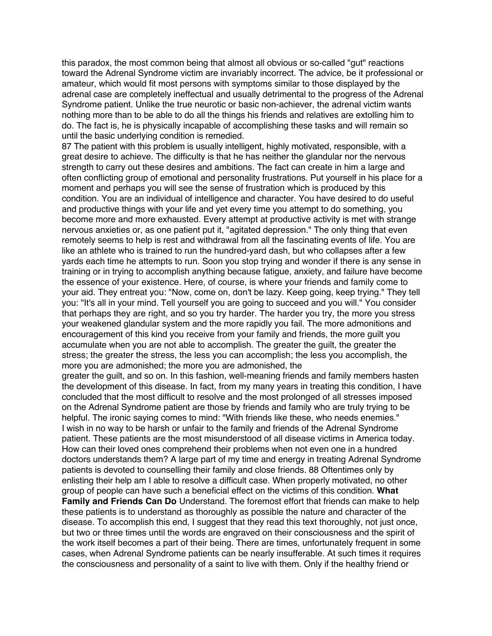this paradox, the most common being that almost all obvious or so-called "gut" reactions toward the Adrenal Syndrome victim are invariably incorrect. The advice, be it professional or amateur, which would fit most persons with symptoms similar to those displayed by the adrenal case are completely ineffectual and usually detrimental to the progress of the Adrenal Syndrome patient. Unlike the true neurotic or basic non-achiever, the adrenal victim wants nothing more than to be able to do all the things his friends and relatives are extolling him to do. The fact is, he is physically incapable of accomplishing these tasks and will remain so until the basic underlying condition is remedied.

87 The patient with this problem is usually intelligent, highly motivated, responsible, with a great desire to achieve. The difficulty is that he has neither the glandular nor the nervous strength to carry out these desires and ambitions. The fact can create in him a large and often conflicting group of emotional and personality frustrations. Put yourself in his place for a moment and perhaps you will see the sense of frustration which is produced by this condition. You are an individual of intelligence and character. You have desired to do useful and productive things with your life and yet every time you attempt to do something, you become more and more exhausted. Every attempt at productive activity is met with strange nervous anxieties or, as one patient put it, "agitated depression." The only thing that even remotely seems to help is rest and withdrawal from all the fascinating events of life. You are like an athlete who is trained to run the hundred-yard dash, but who collapses after a few yards each time he attempts to run. Soon you stop trying and wonder if there is any sense in training or in trying to accomplish anything because fatigue, anxiety, and failure have become the essence of your existence. Here, of course, is where your friends and family come to your aid. They entreat you: "Now, come on, don't be lazy. Keep going, keep trying." They tell you: "It's all in your mind. Tell yourself you are going to succeed and you will." You consider that perhaps they are right, and so you try harder. The harder you try, the more you stress your weakened glandular system and the more rapidly you fail. The more admonitions and encouragement of this kind you receive from your family and friends, the more guilt you accumulate when you are not able to accomplish. The greater the guilt, the greater the stress; the greater the stress, the less you can accomplish; the less you accomplish, the more you are admonished; the more you are admonished, the

greater the guilt, and so on. In this fashion, well-meaning friends and family members hasten the development of this disease. In fact, from my many years in treating this condition, I have concluded that the most difficult to resolve and the most prolonged of all stresses imposed on the Adrenal Syndrome patient are those by friends and family who are truly trying to be helpful. The ironic saying comes to mind: "With friends like these, who needs enemies." I wish in no way to be harsh or unfair to the family and friends of the Adrenal Syndrome patient. These patients are the most misunderstood of all disease victims in America today. How can their loved ones comprehend their problems when not even one in a hundred doctors understands them? A large part of my time and energy in treating Adrenal Syndrome patients is devoted to counselling their family and close friends. 88 Oftentimes only by enlisting their help am I able to resolve a difficult case. When properly motivated, no other group of people can have such a beneficial effect on the victims of this condition. **What Family and Friends Can Do** Understand. The foremost effort that friends can make to help these patients is to understand as thoroughly as possible the nature and character of the disease. To accomplish this end, I suggest that they read this text thoroughly, not just once, but two or three times until the words are engraved on their consciousness and the spirit of the work itself becomes a part of their being. There are times, unfortunately frequent in some cases, when Adrenal Syndrome patients can be nearly insufferable. At such times it requires the consciousness and personality of a saint to live with them. Only if the healthy friend or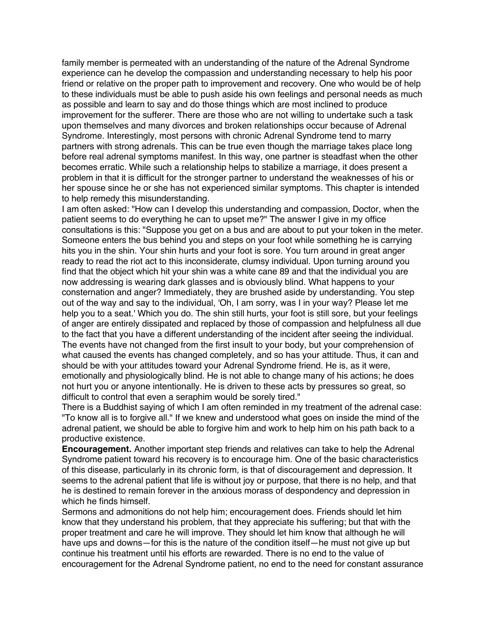family member is permeated with an understanding of the nature of the Adrenal Syndrome experience can he develop the compassion and understanding necessary to help his poor friend or relative on the proper path to improvement and recovery. One who would be of help to these individuals must be able to push aside his own feelings and personal needs as much as possible and learn to say and do those things which are most inclined to produce improvement for the sufferer. There are those who are not willing to undertake such a task upon themselves and many divorces and broken relationships occur because of Adrenal Syndrome. Interestingly, most persons with chronic Adrenal Syndrome tend to marry partners with strong adrenals. This can be true even though the marriage takes place long before real adrenal symptoms manifest. In this way, one partner is steadfast when the other becomes erratic. While such a relationship helps to stabilize a marriage, it does present a problem in that it is difficult for the stronger partner to understand the weaknesses of his or her spouse since he or she has not experienced similar symptoms. This chapter is intended to help remedy this misunderstanding.

I am often asked: "How can I develop this understanding and compassion, Doctor, when the patient seems to do everything he can to upset me?" The answer I give in my office consultations is this: "Suppose you get on a bus and are about to put your token in the meter. Someone enters the bus behind you and steps on your foot while something he is carrying hits you in the shin. Your shin hurts and your foot is sore. You turn around in great anger ready to read the riot act to this inconsiderate, clumsy individual. Upon turning around you find that the object which hit your shin was a white cane 89 and that the individual you are now addressing is wearing dark glasses and is obviously blind. What happens to your consternation and anger? Immediately, they are brushed aside by understanding. You step out of the way and say to the individual, 'Oh, I am sorry, was I in your way? Please let me help you to a seat.' Which you do. The shin still hurts, your foot is still sore, but your feelings of anger are entirely dissipated and replaced by those of compassion and helpfulness all due to the fact that you have a different understanding of the incident after seeing the individual. The events have not changed from the first insult to your body, but your comprehension of what caused the events has changed completely, and so has your attitude. Thus, it can and should be with your attitudes toward your Adrenal Syndrome friend. He is, as it were, emotionally and physiologically blind. He is not able to change many of his actions; he does not hurt you or anyone intentionally. He is driven to these acts by pressures so great, so difficult to control that even a seraphim would be sorely tired."

There is a Buddhist saying of which I am often reminded in my treatment of the adrenal case: "To know all is to forgive all." If we knew and understood what goes on inside the mind of the adrenal patient, we should be able to forgive him and work to help him on his path back to a productive existence.

**Encouragement.** Another important step friends and relatives can take to help the Adrenal Syndrome patient toward his recovery is to encourage him. One of the basic characteristics of this disease, particularly in its chronic form, is that of discouragement and depression. It seems to the adrenal patient that life is without joy or purpose, that there is no help, and that he is destined to remain forever in the anxious morass of despondency and depression in which he finds himself.

Sermons and admonitions do not help him; encouragement does. Friends should let him know that they understand his problem, that they appreciate his suffering; but that with the proper treatment and care he will improve. They should let him know that although he will have ups and downs—for this is the nature of the condition itself—he must not give up but continue his treatment until his efforts are rewarded. There is no end to the value of encouragement for the Adrenal Syndrome patient, no end to the need for constant assurance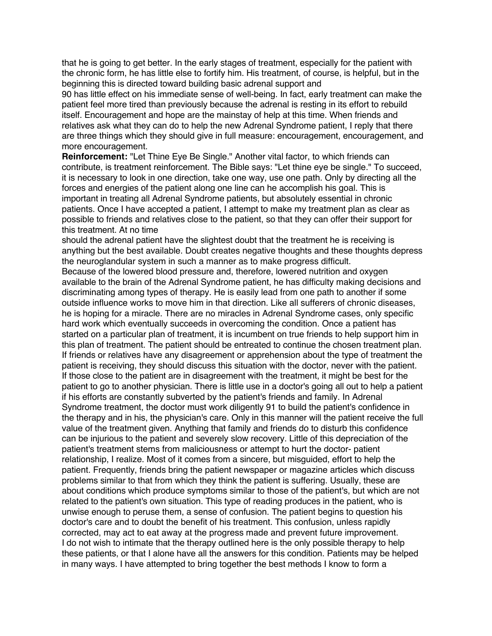that he is going to get better. In the early stages of treatment, especially for the patient with the chronic form, he has little else to fortify him. His treatment, of course, is helpful, but in the beginning this is directed toward building basic adrenal support and

90 has little effect on his immediate sense of well-being. In fact, early treatment can make the patient feel more tired than previously because the adrenal is resting in its effort to rebuild itself. Encouragement and hope are the mainstay of help at this time. When friends and relatives ask what they can do to help the new Adrenal Syndrome patient, I reply that there are three things which they should give in full measure: encouragement, encouragement, and more encouragement.

**Reinforcement:** "Let Thine Eye Be Single." Another vital factor, to which friends can contribute, is treatment reinforcement. The Bible says: "Let thine eye be single." To succeed, it is necessary to look in one direction, take one way, use one path. Only by directing all the forces and energies of the patient along one line can he accomplish his goal. This is important in treating all Adrenal Syndrome patients, but absolutely essential in chronic patients. Once I have accepted a patient, I attempt to make my treatment plan as clear as possible to friends and relatives close to the patient, so that they can offer their support for this treatment. At no time

should the adrenal patient have the slightest doubt that the treatment he is receiving is anything but the best available. Doubt creates negative thoughts and these thoughts depress the neuroglandular system in such a manner as to make progress difficult. Because of the lowered blood pressure and, therefore, lowered nutrition and oxygen available to the brain of the Adrenal Syndrome patient, he has difficulty making decisions and discriminating among types of therapy. He is easily lead from one path to another if some outside influence works to move him in that direction. Like all sufferers of chronic diseases, he is hoping for a miracle. There are no miracles in Adrenal Syndrome cases, only specific hard work which eventually succeeds in overcoming the condition. Once a patient has started on a particular plan of treatment, it is incumbent on true friends to help support him in this plan of treatment. The patient should be entreated to continue the chosen treatment plan. If friends or relatives have any disagreement or apprehension about the type of treatment the patient is receiving, they should discuss this situation with the doctor, never with the patient. If those close to the patient are in disagreement with the treatment, it might be best for the patient to go to another physician. There is little use in a doctor's going all out to help a patient if his efforts are constantly subverted by the patient's friends and family. In Adrenal Syndrome treatment, the doctor must work diligently 91 to build the patient's confidence in the therapy and in his, the physician's care. Only in this manner will the patient receive the full value of the treatment given. Anything that family and friends do to disturb this confidence can be injurious to the patient and severely slow recovery. Little of this depreciation of the patient's treatment stems from maliciousness or attempt to hurt the doctor- patient relationship, I realize. Most of it comes from a sincere, but misguided, effort to help the patient. Frequently, friends bring the patient newspaper or magazine articles which discuss problems similar to that from which they think the patient is suffering. Usually, these are about conditions which produce symptoms similar to those of the patient's, but which are not related to the patient's own situation. This type of reading produces in the patient, who is unwise enough to peruse them, a sense of confusion. The patient begins to question his doctor's care and to doubt the benefit of his treatment. This confusion, unless rapidly corrected, may act to eat away at the progress made and prevent future improvement. I do not wish to intimate that the therapy outlined here is the only possible therapy to help these patients, or that I alone have all the answers for this condition. Patients may be helped in many ways. I have attempted to bring together the best methods I know to form a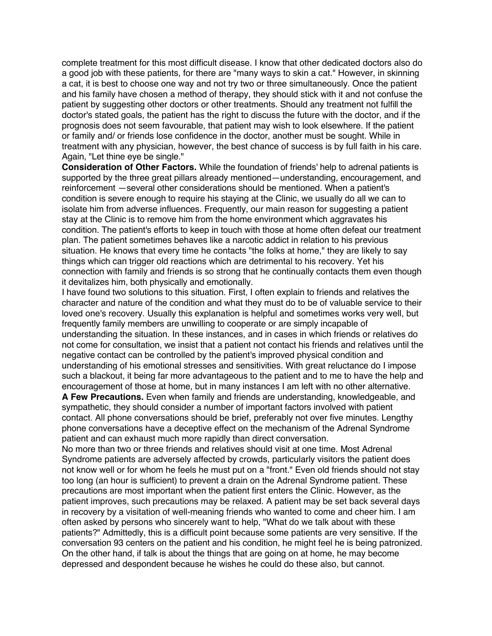complete treatment for this most difficult disease. I know that other dedicated doctors also do a good job with these patients, for there are "many ways to skin a cat." However, in skinning a cat, it is best to choose one way and not try two or three simultaneously. Once the patient and his family have chosen a method of therapy, they should stick with it and not confuse the patient by suggesting other doctors or other treatments. Should any treatment not fulfill the doctor's stated goals, the patient has the right to discuss the future with the doctor, and if the prognosis does not seem favourable, that patient may wish to look elsewhere. If the patient or family and/ or friends lose confidence in the doctor, another must be sought. While in treatment with any physician, however, the best chance of success is by full faith in his care. Again, "Let thine eye be single."

**Consideration of Other Factors.** While the foundation of friends' help to adrenal patients is supported by the three great pillars already mentioned—understanding, encouragement, and reinforcement —several other considerations should be mentioned. When a patient's condition is severe enough to require his staying at the Clinic, we usually do all we can to isolate him from adverse influences. Frequently, our main reason for suggesting a patient stay at the Clinic is to remove him from the home environment which aggravates his condition. The patient's efforts to keep in touch with those at home often defeat our treatment plan. The patient sometimes behaves like a narcotic addict in relation to his previous situation. He knows that every time he contacts "the folks at home," they are likely to say things which can trigger old reactions which are detrimental to his recovery. Yet his connection with family and friends is so strong that he continually contacts them even though it devitalizes him, both physically and emotionally.

I have found two solutions to this situation. First, I often explain to friends and relatives the character and nature of the condition and what they must do to be of valuable service to their loved one's recovery. Usually this explanation is helpful and sometimes works very well, but frequently family members are unwilling to cooperate or are simply incapable of understanding the situation. In these instances, and in cases in which friends or relatives do not come for consultation, we insist that a patient not contact his friends and relatives until the negative contact can be controlled by the patient's improved physical condition and understanding of his emotional stresses and sensitivities. With great reluctance do I impose such a blackout, it being far more advantageous to the patient and to me to have the help and encouragement of those at home, but in many instances I am left with no other alternative. **A Few Precautions.** Even when family and friends are understanding, knowledgeable, and

sympathetic, they should consider a number of important factors involved with patient contact. All phone conversations should be brief, preferably not over five minutes. Lengthy phone conversations have a deceptive effect on the mechanism of the Adrenal Syndrome patient and can exhaust much more rapidly than direct conversation.

No more than two or three friends and relatives should visit at one time. Most Adrenal Syndrome patients are adversely affected by crowds, particularly visitors the patient does not know well or for whom he feels he must put on a "front." Even old friends should not stay too long (an hour is sufficient) to prevent a drain on the Adrenal Syndrome patient. These precautions are most important when the patient first enters the Clinic. However, as the patient improves, such precautions may be relaxed. A patient may be set back several days in recovery by a visitation of well-meaning friends who wanted to come and cheer him. I am often asked by persons who sincerely want to help, "What do we talk about with these patients?" Admittedly, this is a difficult point because some patients are very sensitive. If the conversation 93 centers on the patient and his condition, he might feel he is being patronized. On the other hand, if talk is about the things that are going on at home, he may become depressed and despondent because he wishes he could do these also, but cannot.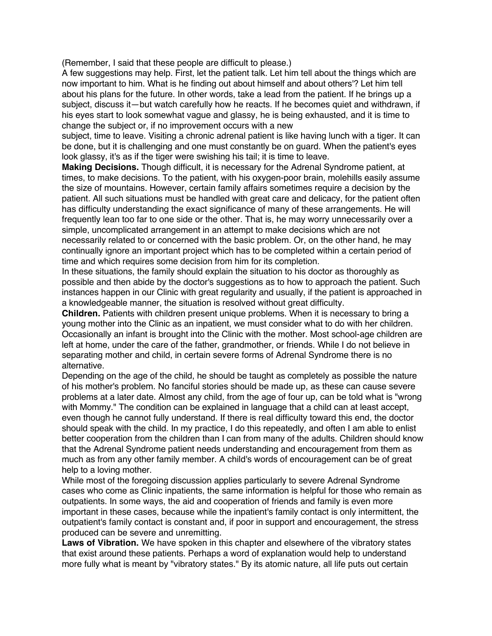(Remember, I said that these people are difficult to please.)

A few suggestions may help. First, let the patient talk. Let him tell about the things which are now important to him. What is he finding out about himself and about others'? Let him tell about his plans for the future. In other words, take a lead from the patient. If he brings up a subject, discuss it—but watch carefully how he reacts. If he becomes quiet and withdrawn, if his eyes start to look somewhat vague and glassy, he is being exhausted, and it is time to change the subject or, if no improvement occurs with a new

subject, time to leave. Visiting a chronic adrenal patient is like having lunch with a tiger. It can be done, but it is challenging and one must constantly be on guard. When the patient's eyes look glassy, it's as if the tiger were swishing his tail; it is time to leave.

**Making Decisions.** Though difficult, it is necessary for the Adrenal Syndrome patient, at times, to make decisions. To the patient, with his oxygen-poor brain, molehills easily assume the size of mountains. However, certain family affairs sometimes require a decision by the patient. All such situations must be handled with great care and delicacy, for the patient often has difficulty understanding the exact significance of many of these arrangements. He will frequently lean too far to one side or the other. That is, he may worry unnecessarily over a simple, uncomplicated arrangement in an attempt to make decisions which are not necessarily related to or concerned with the basic problem. Or, on the other hand, he may continually ignore an important project which has to be completed within a certain period of time and which requires some decision from him for its completion.

In these situations, the family should explain the situation to his doctor as thoroughly as possible and then abide by the doctor's suggestions as to how to approach the patient. Such instances happen in our Clinic with great regularity and usually, if the patient is approached in a knowledgeable manner, the situation is resolved without great difficulty.

**Children.** Patients with children present unique problems. When it is necessary to bring a young mother into the Clinic as an inpatient, we must consider what to do with her children. Occasionally an infant is brought into the Clinic with the mother. Most school-age children are left at home, under the care of the father, grandmother, or friends. While I do not believe in separating mother and child, in certain severe forms of Adrenal Syndrome there is no alternative.

Depending on the age of the child, he should be taught as completely as possible the nature of his mother's problem. No fanciful stories should be made up, as these can cause severe problems at a later date. Almost any child, from the age of four up, can be told what is "wrong with Mommy." The condition can be explained in language that a child can at least accept, even though he cannot fully understand. If there is real difficulty toward this end, the doctor should speak with the child. In my practice, I do this repeatedly, and often I am able to enlist better cooperation from the children than I can from many of the adults. Children should know that the Adrenal Syndrome patient needs understanding and encouragement from them as much as from any other family member. A child's words of encouragement can be of great help to a loving mother.

While most of the foregoing discussion applies particularly to severe Adrenal Syndrome cases who come as Clinic inpatients, the same information is helpful for those who remain as outpatients. In some ways, the aid and cooperation of friends and family is even more important in these cases, because while the inpatient's family contact is only intermittent, the outpatient's family contact is constant and, if poor in support and encouragement, the stress produced can be severe and unremitting.

**Laws of Vibration.** We have spoken in this chapter and elsewhere of the vibratory states that exist around these patients. Perhaps a word of explanation would help to understand more fully what is meant by "vibratory states." By its atomic nature, all life puts out certain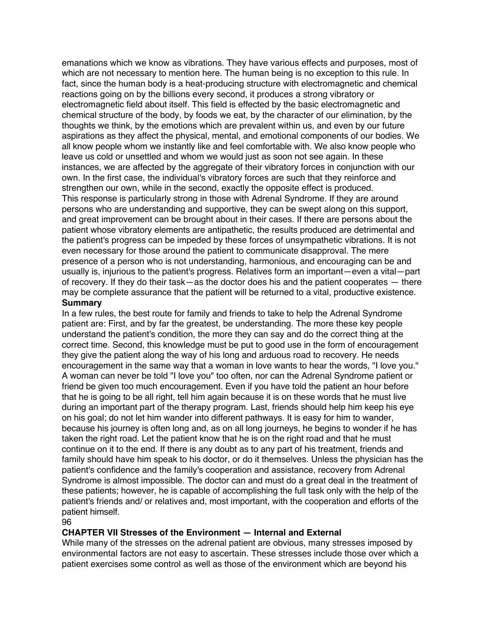emanations which we know as vibrations. They have various effects and purposes, most of which are not necessary to mention here. The human being is no exception to this rule. In fact, since the human body is a heat-producing structure with electromagnetic and chemical reactions going on by the billions every second, it produces a strong vibratory or electromagnetic field about itself. This field is effected by the basic electromagnetic and chemical structure of the body, by foods we eat, by the character of our elimination, by the thoughts we think, by the emotions which are prevalent within us, and even by our future aspirations as they affect the physical, mental, and emotional components of our bodies. We all know people whom we instantly like and feel comfortable with. We also know people who leave us cold or unsettled and whom we would just as soon not see again. In these instances, we are affected by the aggregate of their vibratory forces in conjunction with our own. In the first case, the individual's vibratory forces are such that they reinforce and strengthen our own, while in the second, exactly the opposite effect is produced. This response is particularly strong in those with Adrenal Syndrome. If they are around persons who are understanding and supportive, they can be swept along on this support, and great improvement can be brought about in their cases. If there are persons about the patient whose vibratory elements are antipathetic, the results produced are detrimental and the patient's progress can be impeded by these forces of unsympathetic vibrations. It is not even necessary for those around the patient to communicate disapproval. The mere presence of a person who is not understanding, harmonious, and encouraging can be and usually is, injurious to the patient's progress. Relatives form an important—even a vital—part of recovery. If they do their task—as the doctor does his and the patient cooperates — there may be complete assurance that the patient will be returned to a vital, productive existence. **Summary**

## In a few rules, the best route for family and friends to take to help the Adrenal Syndrome patient are: First, and by far the greatest, be understanding. The more these key people understand the patient's condition, the more they can say and do the correct thing at the correct time. Second, this knowledge must be put to good use in the form of encouragement they give the patient along the way of his long and arduous road to recovery. He needs encouragement in the same way that a woman in love wants to hear the words, "I love you." A woman can never be told "I love you" too often, nor can the Adrenal Syndrome patient or friend be given too much encouragement. Even if you have told the patient an hour before that he is going to be all right, tell him again because it is on these words that he must live during an important part of the therapy program. Last, friends should help him keep his eye on his goal; do not let him wander into different pathways. It is easy for him to wander, because his journey is often long and, as on all long journeys, he begins to wonder if he has taken the right road. Let the patient know that he is on the right road and that he must continue on it to the end. If there is any doubt as to any part of his treatment, friends and family should have him speak to his doctor, or do it themselves. Unless the physician has the patient's confidence and the family's cooperation and assistance, recovery from Adrenal Syndrome is almost impossible. The doctor can and must do a great deal in the treatment of these patients; however, he is capable of accomplishing the full task only with the help of the patient's friends and/ or relatives and, most important, with the cooperation and efforts of the

#### patient himself. 96

## **CHAPTER VII Stresses of the Environment — Internal and External**

While many of the stresses on the adrenal patient are obvious, many stresses imposed by environmental factors are not easy to ascertain. These stresses include those over which a patient exercises some control as well as those of the environment which are beyond his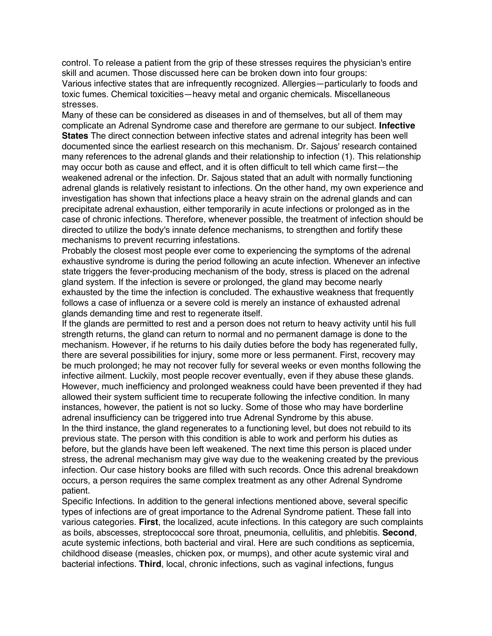control. To release a patient from the grip of these stresses requires the physician's entire skill and acumen. Those discussed here can be broken down into four groups: Various infective states that are infrequently recognized. Allergies—particularly to foods and toxic fumes. Chemical toxicities—heavy metal and organic chemicals. Miscellaneous stresses.

Many of these can be considered as diseases in and of themselves, but all of them may complicate an Adrenal Syndrome case and therefore are germane to our subject. **Infective States** The direct connection between infective states and adrenal integrity has been well documented since the earliest research on this mechanism. Dr. Sajous' research contained many references to the adrenal glands and their relationship to infection (1). This relationship may occur both as cause and effect, and it is often difficult to tell which came first—the weakened adrenal or the infection. Dr. Sajous stated that an adult with normally functioning adrenal glands is relatively resistant to infections. On the other hand, my own experience and investigation has shown that infections place a heavy strain on the adrenal glands and can precipitate adrenal exhaustion, either temporarily in acute infections or prolonged as in the case of chronic infections. Therefore, whenever possible, the treatment of infection should be directed to utilize the body's innate defence mechanisms, to strengthen and fortify these mechanisms to prevent recurring infestations.

Probably the closest most people ever come to experiencing the symptoms of the adrenal exhaustive syndrome is during the period following an acute infection. Whenever an infective state triggers the fever-producing mechanism of the body, stress is placed on the adrenal gland system. If the infection is severe or prolonged, the gland may become nearly exhausted by the time the infection is concluded. The exhaustive weakness that frequently follows a case of influenza or a severe cold is merely an instance of exhausted adrenal glands demanding time and rest to regenerate itself.

If the glands are permitted to rest and a person does not return to heavy activity until his full strength returns, the gland can return to normal and no permanent damage is done to the mechanism. However, if he returns to his daily duties before the body has regenerated fully, there are several possibilities for injury, some more or less permanent. First, recovery may be much prolonged; he may not recover fully for several weeks or even months following the infective ailment. Luckily, most people recover eventually, even if they abuse these glands. However, much inefficiency and prolonged weakness could have been prevented if they had allowed their system sufficient time to recuperate following the infective condition. In many instances, however, the patient is not so lucky. Some of those who may have borderline adrenal insufficiency can be triggered into true Adrenal Syndrome by this abuse. In the third instance, the gland regenerates to a functioning level, but does not rebuild to its previous state. The person with this condition is able to work and perform his duties as before, but the glands have been left weakened. The next time this person is placed under stress, the adrenal mechanism may give way due to the weakening created by the previous infection. Our case history books are filled with such records. Once this adrenal breakdown occurs, a person requires the same complex treatment as any other Adrenal Syndrome patient.

Specific Infections. In addition to the general infections mentioned above, several specific types of infections are of great importance to the Adrenal Syndrome patient. These fall into various categories. **First**, the localized, acute infections. In this category are such complaints as boils, abscesses, streptococcal sore throat, pneumonia, cellulitis, and phlebitis. **Second**, acute systemic infections, both bacterial and viral. Here are such conditions as septicemia, childhood disease (measles, chicken pox, or mumps), and other acute systemic viral and bacterial infections. **Third**, local, chronic infections, such as vaginal infections, fungus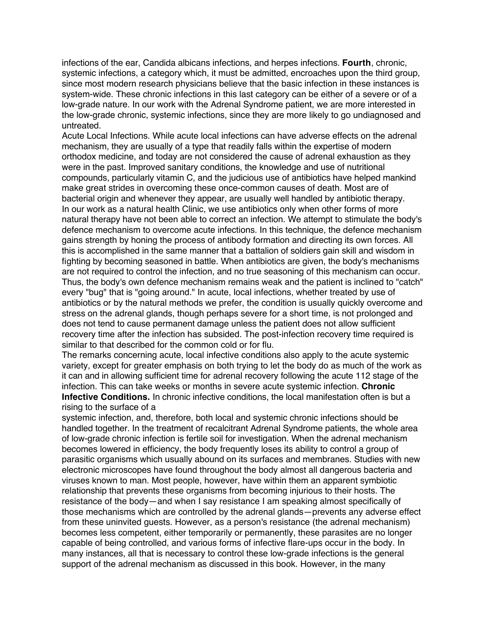infections of the ear, Candida albicans infections, and herpes infections. **Fourth**, chronic, systemic infections, a category which, it must be admitted, encroaches upon the third group, since most modern research physicians believe that the basic infection in these instances is system-wide. These chronic infections in this last category can be either of a severe or of a low-grade nature. In our work with the Adrenal Syndrome patient, we are more interested in the low-grade chronic, systemic infections, since they are more likely to go undiagnosed and untreated.

Acute Local Infections. While acute local infections can have adverse effects on the adrenal mechanism, they are usually of a type that readily falls within the expertise of modern orthodox medicine, and today are not considered the cause of adrenal exhaustion as they were in the past. Improved sanitary conditions, the knowledge and use of nutritional compounds, particularly vitamin C, and the judicious use of antibiotics have helped mankind make great strides in overcoming these once-common causes of death. Most are of bacterial origin and whenever they appear, are usually well handled by antibiotic therapy. In our work as a natural health Clinic, we use antibiotics only when other forms of more natural therapy have not been able to correct an infection. We attempt to stimulate the body's defence mechanism to overcome acute infections. In this technique, the defence mechanism gains strength by honing the process of antibody formation and directing its own forces. All this is accomplished in the same manner that a battalion of soldiers gain skill and wisdom in fighting by becoming seasoned in battle. When antibiotics are given, the body's mechanisms are not required to control the infection, and no true seasoning of this mechanism can occur. Thus, the body's own defence mechanism remains weak and the patient is inclined to "catch" every "bug" that is "going around." In acute, local infections, whether treated by use of antibiotics or by the natural methods we prefer, the condition is usually quickly overcome and stress on the adrenal glands, though perhaps severe for a short time, is not prolonged and does not tend to cause permanent damage unless the patient does not allow sufficient recovery time after the infection has subsided. The post-infection recovery time required is similar to that described for the common cold or for flu.

The remarks concerning acute, local infective conditions also apply to the acute systemic variety, except for greater emphasis on both trying to let the body do as much of the work as it can and in allowing sufficient time for adrenal recovery following the acute 112 stage of the infection. This can take weeks or months in severe acute systemic infection. **Chronic Infective Conditions.** In chronic infective conditions, the local manifestation often is but a rising to the surface of a

systemic infection, and, therefore, both local and systemic chronic infections should be handled together. In the treatment of recalcitrant Adrenal Syndrome patients, the whole area of low-grade chronic infection is fertile soil for investigation. When the adrenal mechanism becomes lowered in efficiency, the body frequently loses its ability to control a group of parasitic organisms which usually abound on its surfaces and membranes. Studies with new electronic microscopes have found throughout the body almost all dangerous bacteria and viruses known to man. Most people, however, have within them an apparent symbiotic relationship that prevents these organisms from becoming injurious to their hosts. The resistance of the body—and when I say resistance I am speaking almost specifically of those mechanisms which are controlled by the adrenal glands—prevents any adverse effect from these uninvited guests. However, as a person's resistance (the adrenal mechanism) becomes less competent, either temporarily or permanently, these parasites are no longer capable of being controlled, and various forms of infective flare-ups occur in the body. In many instances, all that is necessary to control these low-grade infections is the general support of the adrenal mechanism as discussed in this book. However, in the many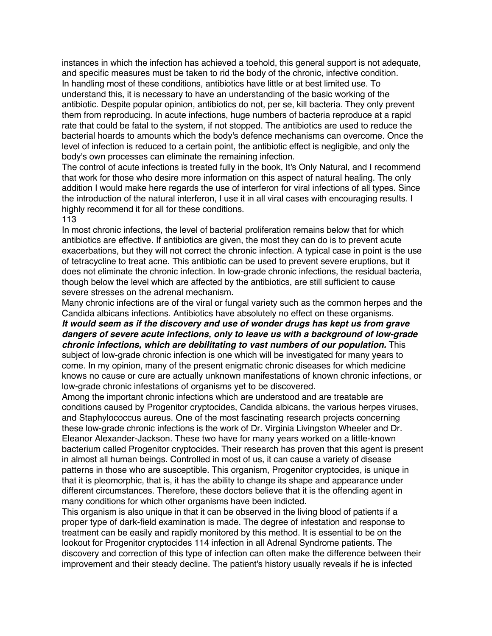instances in which the infection has achieved a toehold, this general support is not adequate, and specific measures must be taken to rid the body of the chronic, infective condition. In handling most of these conditions, antibiotics have little or at best limited use. To understand this, it is necessary to have an understanding of the basic working of the antibiotic. Despite popular opinion, antibiotics do not, per se, kill bacteria. They only prevent them from reproducing. In acute infections, huge numbers of bacteria reproduce at a rapid rate that could be fatal to the system, if not stopped. The antibiotics are used to reduce the bacterial hoards to amounts which the body's defence mechanisms can overcome. Once the level of infection is reduced to a certain point, the antibiotic effect is negligible, and only the body's own processes can eliminate the remaining infection.

The control of acute infections is treated fully in the book, It's Only Natural, and I recommend that work for those who desire more information on this aspect of natural healing. The only addition I would make here regards the use of interferon for viral infections of all types. Since the introduction of the natural interferon, I use it in all viral cases with encouraging results. I highly recommend it for all for these conditions.

### 113

In most chronic infections, the level of bacterial proliferation remains below that for which antibiotics are effective. If antibiotics are given, the most they can do is to prevent acute exacerbations, but they will not correct the chronic infection. A typical case in point is the use of tetracycline to treat acne. This antibiotic can be used to prevent severe eruptions, but it does not eliminate the chronic infection. In low-grade chronic infections, the residual bacteria, though below the level which are affected by the antibiotics, are still sufficient to cause severe stresses on the adrenal mechanism.

Many chronic infections are of the viral or fungal variety such as the common herpes and the Candida albicans infections. Antibiotics have absolutely no effect on these organisms.

# *It would seem as if the discovery and use of wonder drugs has kept us from grave dangers of severe acute infections, only to leave us with a background of low-grade chronic infections, which are debilitating to vast numbers of our population.* This subject of low-grade chronic infection is one which will be investigated for many years to come. In my opinion, many of the present enigmatic chronic diseases for which medicine

knows no cause or cure are actually unknown manifestations of known chronic infections, or low-grade chronic infestations of organisms yet to be discovered.

Among the important chronic infections which are understood and are treatable are conditions caused by Progenitor cryptocides, Candida albicans, the various herpes viruses, and Staphylococcus aureus. One of the most fascinating research projects concerning these low-grade chronic infections is the work of Dr. Virginia Livingston Wheeler and Dr. Eleanor Alexander-Jackson. These two have for many years worked on a little-known bacterium called Progenitor cryptocides. Their research has proven that this agent is present in almost all human beings. Controlled in most of us, it can cause a variety of disease patterns in those who are susceptible. This organism, Progenitor cryptocides, is unique in that it is pleomorphic, that is, it has the ability to change its shape and appearance under different circumstances. Therefore, these doctors believe that it is the offending agent in many conditions for which other organisms have been indicted.

This organism is also unique in that it can be observed in the living blood of patients if a proper type of dark-field examination is made. The degree of infestation and response to treatment can be easily and rapidly monitored by this method. It is essential to be on the lookout for Progenitor cryptocides 114 infection in all Adrenal Syndrome patients. The discovery and correction of this type of infection can often make the difference between their improvement and their steady decline. The patient's history usually reveals if he is infected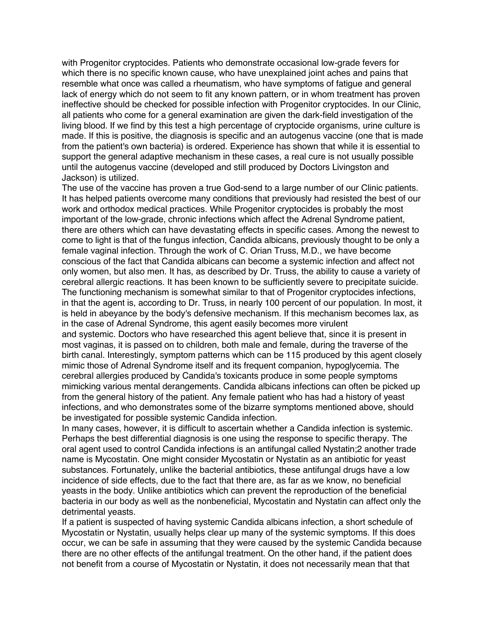with Progenitor cryptocides. Patients who demonstrate occasional low-grade fevers for which there is no specific known cause, who have unexplained joint aches and pains that resemble what once was called a rheumatism, who have symptoms of fatigue and general lack of energy which do not seem to fit any known pattern, or in whom treatment has proven ineffective should be checked for possible infection with Progenitor cryptocides. In our Clinic, all patients who come for a general examination are given the dark-field investigation of the living blood. If we find by this test a high percentage of cryptocide organisms, urine culture is made. If this is positive, the diagnosis is specific and an autogenus vaccine (one that is made from the patient's own bacteria) is ordered. Experience has shown that while it is essential to support the general adaptive mechanism in these cases, a real cure is not usually possible until the autogenus vaccine (developed and still produced by Doctors Livingston and Jackson) is utilized.

The use of the vaccine has proven a true God-send to a large number of our Clinic patients. It has helped patients overcome many conditions that previously had resisted the best of our work and orthodox medical practices. While Progenitor cryptocides is probably the most important of the low-grade, chronic infections which affect the Adrenal Syndrome patient, there are others which can have devastating effects in specific cases. Among the newest to come to light is that of the fungus infection, Candida albicans, previously thought to be only a female vaginal infection. Through the work of C. Orian Truss, M.D., we have become conscious of the fact that Candida albicans can become a systemic infection and affect not only women, but also men. It has, as described by Dr. Truss, the ability to cause a variety of cerebral allergic reactions. It has been known to be sufficiently severe to precipitate suicide. The functioning mechanism is somewhat similar to that of Progenitor cryptocides infections, in that the agent is, according to Dr. Truss, in nearly 100 percent of our population. In most, it is held in abeyance by the body's defensive mechanism. If this mechanism becomes lax, as in the case of Adrenal Syndrome, this agent easily becomes more virulent and systemic. Doctors who have researched this agent believe that, since it is present in most vaginas, it is passed on to children, both male and female, during the traverse of the birth canal. Interestingly, symptom patterns which can be 115 produced by this agent closely mimic those of Adrenal Syndrome itself and its frequent companion, hypoglycemia. The cerebral allergies produced by Candida's toxicants produce in some people symptoms mimicking various mental derangements. Candida albicans infections can often be picked up

from the general history of the patient. Any female patient who has had a history of yeast infections, and who demonstrates some of the bizarre symptoms mentioned above, should be investigated for possible systemic Candida infection.

In many cases, however, it is difficult to ascertain whether a Candida infection is systemic. Perhaps the best differential diagnosis is one using the response to specific therapy. The oral agent used to control Candida infections is an antifungal called Nystatin;2 another trade name is Mycostatin. One might consider Mycostatin or Nystatin as an antibiotic for yeast substances. Fortunately, unlike the bacterial antibiotics, these antifungal drugs have a low incidence of side effects, due to the fact that there are, as far as we know, no beneficial yeasts in the body. Unlike antibiotics which can prevent the reproduction of the beneficial bacteria in our body as well as the nonbeneficial, Mycostatin and Nystatin can affect only the detrimental yeasts.

If a patient is suspected of having systemic Candida albicans infection, a short schedule of Mycostatin or Nystatin, usually helps clear up many of the systemic symptoms. If this does occur, we can be safe in assuming that they were caused by the systemic Candida because there are no other effects of the antifungal treatment. On the other hand, if the patient does not benefit from a course of Mycostatin or Nystatin, it does not necessarily mean that that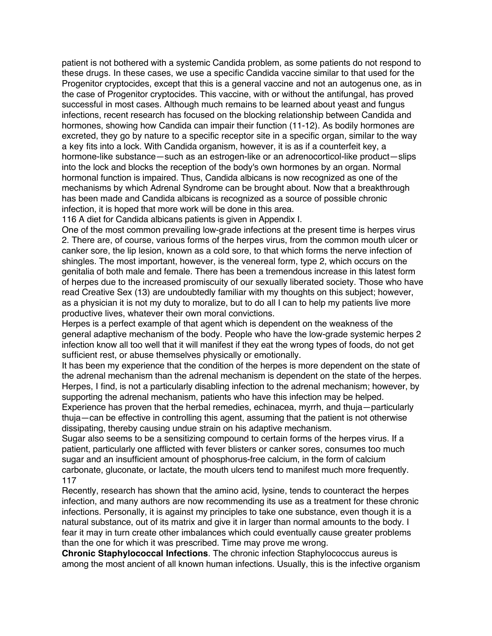patient is not bothered with a systemic Candida problem, as some patients do not respond to these drugs. In these cases, we use a specific Candida vaccine similar to that used for the Progenitor cryptocides, except that this is a general vaccine and not an autogenus one, as in the case of Progenitor cryptocides. This vaccine, with or without the antifungal, has proved successful in most cases. Although much remains to be learned about yeast and fungus infections, recent research has focused on the blocking relationship between Candida and hormones, showing how Candida can impair their function (11-12). As bodily hormones are excreted, they go by nature to a specific receptor site in a specific organ, similar to the way a key fits into a lock. With Candida organism, however, it is as if a counterfeit key, a hormone-like substance—such as an estrogen-like or an adrenocorticol-like product—slips into the lock and blocks the reception of the body's own hormones by an organ. Normal hormonal function is impaired. Thus, Candida albicans is now recognized as one of the mechanisms by which Adrenal Syndrome can be brought about. Now that a breakthrough has been made and Candida albicans is recognized as a source of possible chronic infection, it is hoped that more work will be done in this area.

116 A diet for Candida albicans patients is given in Appendix I.

One of the most common prevailing low-grade infections at the present time is herpes virus 2. There are, of course, various forms of the herpes virus, from the common mouth ulcer or canker sore, the lip lesion, known as a cold sore, to that which forms the nerve infection of shingles. The most important, however, is the venereal form, type 2, which occurs on the genitalia of both male and female. There has been a tremendous increase in this latest form of herpes due to the increased promiscuity of our sexually liberated society. Those who have read Creative Sex (13) are undoubtedly familiar with my thoughts on this subject; however, as a physician it is not my duty to moralize, but to do all I can to help my patients live more productive lives, whatever their own moral convictions.

Herpes is a perfect example of that agent which is dependent on the weakness of the general adaptive mechanism of the body. People who have the low-grade systemic herpes 2 infection know all too well that it will manifest if they eat the wrong types of foods, do not get sufficient rest, or abuse themselves physically or emotionally.

It has been my experience that the condition of the herpes is more dependent on the state of the adrenal mechanism than the adrenal mechanism is dependent on the state of the herpes. Herpes, I find, is not a particularly disabling infection to the adrenal mechanism; however, by supporting the adrenal mechanism, patients who have this infection may be helped.

Experience has proven that the herbal remedies, echinacea, myrrh, and thuja—particularly thuja—can be effective in controlling this agent, assuming that the patient is not otherwise dissipating, thereby causing undue strain on his adaptive mechanism.

Sugar also seems to be a sensitizing compound to certain forms of the herpes virus. If a patient, particularly one afflicted with fever blisters or canker sores, consumes too much sugar and an insufficient amount of phosphorus-free calcium, in the form of calcium carbonate, gluconate, or lactate, the mouth ulcers tend to manifest much more frequently. 117

Recently, research has shown that the amino acid, lysine, tends to counteract the herpes infection, and many authors are now recommending its use as a treatment for these chronic infections. Personally, it is against my principles to take one substance, even though it is a natural substance, out of its matrix and give it in larger than normal amounts to the body. I fear it may in turn create other imbalances which could eventually cause greater problems than the one for which it was prescribed. Time may prove me wrong.

**Chronic Staphylococcal Infections**. The chronic infection Staphylococcus aureus is among the most ancient of all known human infections. Usually, this is the infective organism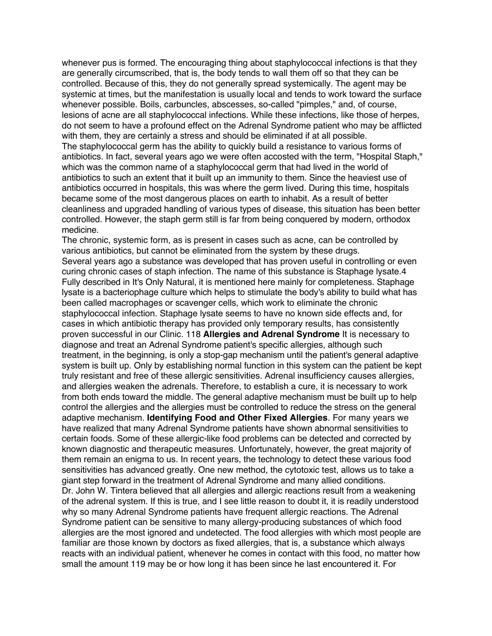whenever pus is formed. The encouraging thing about staphylococcal infections is that they are generally circumscribed, that is, the body tends to wall them off so that they can be controlled. Because of this, they do not generally spread systemically. The agent may be systemic at times, but the manifestation is usually local and tends to work toward the surface whenever possible. Boils, carbuncles, abscesses, so-called "pimples," and, of course, lesions of acne are all staphylococcal infections. While these infections, like those of herpes, do not seem to have a profound effect on the Adrenal Syndrome patient who may be afflicted with them, they are certainly a stress and should be eliminated if at all possible. The staphylococcal germ has the ability to quickly build a resistance to various forms of antibiotics. In fact, several years ago we were often accosted with the term, "Hospital Staph," which was the common name of a staphylococcal germ that had lived in the world of antibiotics to such an extent that it built up an immunity to them. Since the heaviest use of antibiotics occurred in hospitals, this was where the germ lived. During this time, hospitals became some of the most dangerous places on earth to inhabit. As a result of better cleanliness and upgraded handling of various types of disease, this situation has been better controlled. However, the staph germ still is far from being conquered by modern, orthodox medicine.

The chronic, systemic form, as is present in cases such as acne, can be controlled by various antibiotics, but cannot be eliminated from the system by these drugs. Several years ago a substance was developed that has proven useful in controlling or even curing chronic cases of staph infection. The name of this substance is Staphage lysate.4 Fully described in It's Only Natural, it is mentioned here mainly for completeness. Staphage lysate is a bacteriophage culture which helps to stimulate the body's ability to build what has been called macrophages or scavenger cells, which work to eliminate the chronic staphylococcal infection. Staphage lysate seems to have no known side effects and, for cases in which antibiotic therapy has provided only temporary results, has consistently proven successful in our Clinic. 118 **Allergies and Adrenal Syndrome** It is necessary to diagnose and treat an Adrenal Syndrome patient's specific allergies, although such treatment, in the beginning, is only a stop-gap mechanism until the patient's general adaptive system is built up. Only by establishing normal function in this system can the patient be kept truly resistant and free of these allergic sensitivities. Adrenal insufficiency causes allergies, and allergies weaken the adrenals. Therefore, to establish a cure, it is necessary to work from both ends toward the middle. The general adaptive mechanism must be built up to help control the allergies and the allergies must be controlled to reduce the stress on the general adaptive mechanism. **Identifying Food and Other Fixed Allergies**. For many years we have realized that many Adrenal Syndrome patients have shown abnormal sensitivities to certain foods. Some of these allergic-like food problems can be detected and corrected by known diagnostic and therapeutic measures. Unfortunately, however, the great majority of them remain an enigma to us. In recent years, the technology to detect these various food sensitivities has advanced greatly. One new method, the cytotoxic test, allows us to take a giant step forward in the treatment of Adrenal Syndrome and many allied conditions. Dr. John W. Tintera believed that all allergies and allergic reactions result from a weakening of the adrenal system. If this is true, and I see little reason to doubt it, it is readily understood why so many Adrenal Syndrome patients have frequent allergic reactions. The Adrenal Syndrome patient can be sensitive to many allergy-producing substances of which food allergies are the most ignored and undetected. The food allergies with which most people are familiar are those known by doctors as fixed allergies, that is, a substance which always reacts with an individual patient, whenever he comes in contact with this food, no matter how small the amount 119 may be or how long it has been since he last encountered it. For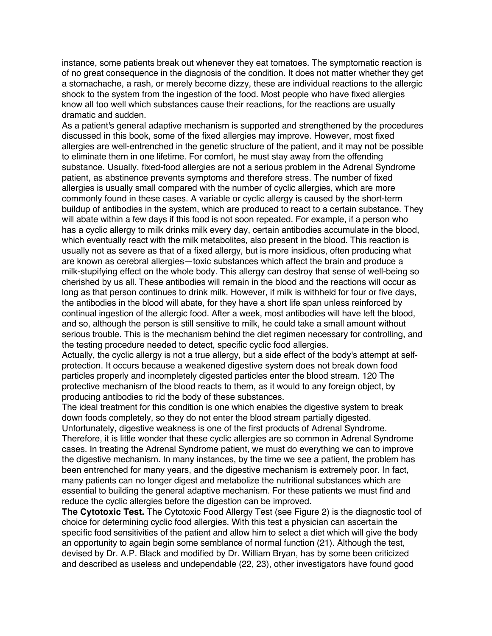instance, some patients break out whenever they eat tomatoes. The symptomatic reaction is of no great consequence in the diagnosis of the condition. It does not matter whether they get a stomachache, a rash, or merely become dizzy, these are individual reactions to the allergic shock to the system from the ingestion of the food. Most people who have fixed allergies know all too well which substances cause their reactions, for the reactions are usually dramatic and sudden.

As a patient's general adaptive mechanism is supported and strengthened by the procedures discussed in this book, some of the fixed allergies may improve. However, most fixed allergies are well-entrenched in the genetic structure of the patient, and it may not be possible to eliminate them in one lifetime. For comfort, he must stay away from the offending substance. Usually, fixed-food allergies are not a serious problem in the Adrenal Syndrome patient, as abstinence prevents symptoms and therefore stress. The number of fixed allergies is usually small compared with the number of cyclic allergies, which are more commonly found in these cases. A variable or cyclic allergy is caused by the short-term buildup of antibodies in the system, which are produced to react to a certain substance. They will abate within a few days if this food is not soon repeated. For example, if a person who has a cyclic allergy to milk drinks milk every day, certain antibodies accumulate in the blood, which eventually react with the milk metabolites, also present in the blood. This reaction is usually not as severe as that of a fixed allergy, but is more insidious, often producing what are known as cerebral allergies—toxic substances which affect the brain and produce a milk-stupifying effect on the whole body. This allergy can destroy that sense of well-being so cherished by us all. These antibodies will remain in the blood and the reactions will occur as long as that person continues to drink milk. However, if milk is withheld for four or five days, the antibodies in the blood will abate, for they have a short life span unless reinforced by continual ingestion of the allergic food. After a week, most antibodies will have left the blood, and so, although the person is still sensitive to milk, he could take a small amount without serious trouble. This is the mechanism behind the diet regimen necessary for controlling, and the testing procedure needed to detect, specific cyclic food allergies.

Actually, the cyclic allergy is not a true allergy, but a side effect of the body's attempt at selfprotection. It occurs because a weakened digestive system does not break down food particles properly and incompletely digested particles enter the blood stream. 120 The protective mechanism of the blood reacts to them, as it would to any foreign object, by producing antibodies to rid the body of these substances.

The ideal treatment for this condition is one which enables the digestive system to break down foods completely, so they do not enter the blood stream partially digested.

Unfortunately, digestive weakness is one of the first products of Adrenal Syndrome. Therefore, it is little wonder that these cyclic allergies are so common in Adrenal Syndrome cases. In treating the Adrenal Syndrome patient, we must do everything we can to improve the digestive mechanism. In many instances, by the time we see a patient, the problem has been entrenched for many years, and the digestive mechanism is extremely poor. In fact, many patients can no longer digest and metabolize the nutritional substances which are essential to building the general adaptive mechanism. For these patients we must find and reduce the cyclic allergies before the digestion can be improved.

**The Cytotoxic Test.** The Cytotoxic Food Allergy Test (see Figure 2) is the diagnostic tool of choice for determining cyclic food allergies. With this test a physician can ascertain the specific food sensitivities of the patient and allow him to select a diet which will give the body an opportunity to again begin some semblance of normal function (21). Although the test, devised by Dr. A.P. Black and modified by Dr. William Bryan, has by some been criticized and described as useless and undependable (22, 23), other investigators have found good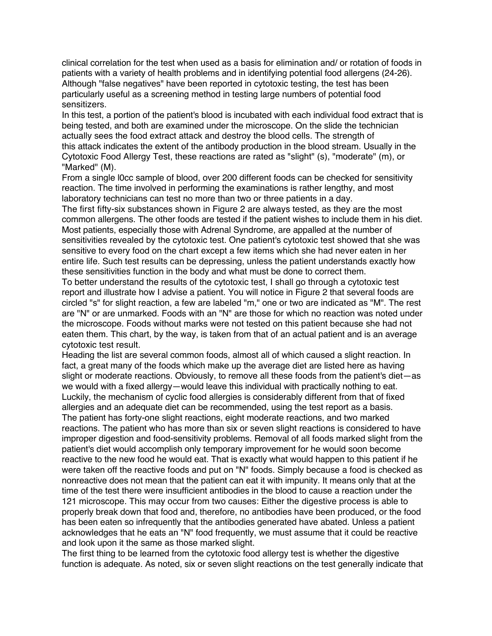clinical correlation for the test when used as a basis for elimination and/ or rotation of foods in patients with a variety of health problems and in identifying potential food allergens (24-26). Although "false negatives" have been reported in cytotoxic testing, the test has been particularly useful as a screening method in testing large numbers of potential food sensitizers.

In this test, a portion of the patient's blood is incubated with each individual food extract that is being tested, and both are examined under the microscope. On the slide the technician actually sees the food extract attack and destroy the blood cells. The strength of this attack indicates the extent of the antibody production in the blood stream. Usually in the Cytotoxic Food Allergy Test, these reactions are rated as "slight" (s), "moderate" (m), or "Marked" (M).

From a single l0cc sample of blood, over 200 different foods can be checked for sensitivity reaction. The time involved in performing the examinations is rather lengthy, and most laboratory technicians can test no more than two or three patients in a day.

The first fifty-six substances shown in Figure 2 are always tested, as they are the most common allergens. The other foods are tested if the patient wishes to include them in his diet. Most patients, especially those with Adrenal Syndrome, are appalled at the number of sensitivities revealed by the cytotoxic test. One patient's cytotoxic test showed that she was sensitive to every food on the chart except a few items which she had never eaten in her entire life. Such test results can be depressing, unless the patient understands exactly how these sensitivities function in the body and what must be done to correct them.

To better understand the results of the cytotoxic test, I shall go through a cytotoxic test report and illustrate how I advise a patient. You will notice in Figure 2 that several foods are circled "s" for slight reaction, a few are labeled "m," one or two are indicated as "M". The rest are "N" or are unmarked. Foods with an "N" are those for which no reaction was noted under the microscope. Foods without marks were not tested on this patient because she had not eaten them. This chart, by the way, is taken from that of an actual patient and is an average cytotoxic test result.

Heading the list are several common foods, almost all of which caused a slight reaction. In fact, a great many of the foods which make up the average diet are listed here as having slight or moderate reactions. Obviously, to remove all these foods from the patient's diet—as we would with a fixed allergy—would leave this individual with practically nothing to eat. Luckily, the mechanism of cyclic food allergies is considerably different from that of fixed allergies and an adequate diet can be recommended, using the test report as a basis. The patient has forty-one slight reactions, eight moderate reactions, and two marked reactions. The patient who has more than six or seven slight reactions is considered to have improper digestion and food-sensitivity problems. Removal of all foods marked slight from the patient's diet would accomplish only temporary improvement for he would soon become reactive to the new food he would eat. That is exactly what would happen to this patient if he were taken off the reactive foods and put on "N" foods. Simply because a food is checked as nonreactive does not mean that the patient can eat it with impunity. It means only that at the time of the test there were insufficient antibodies in the blood to cause a reaction under the 121 microscope. This may occur from two causes: Either the digestive process is able to properly break down that food and, therefore, no antibodies have been produced, or the food has been eaten so infrequently that the antibodies generated have abated. Unless a patient acknowledges that he eats an "N" food frequently, we must assume that it could be reactive and look upon it the same as those marked slight.

The first thing to be learned from the cytotoxic food allergy test is whether the digestive function is adequate. As noted, six or seven slight reactions on the test generally indicate that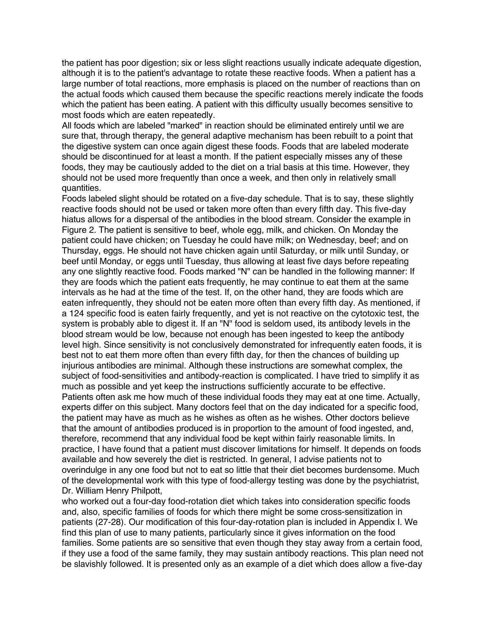the patient has poor digestion; six or less slight reactions usually indicate adequate digestion, although it is to the patient's advantage to rotate these reactive foods. When a patient has a large number of total reactions, more emphasis is placed on the number of reactions than on the actual foods which caused them because the specific reactions merely indicate the foods which the patient has been eating. A patient with this difficulty usually becomes sensitive to most foods which are eaten repeatedly.

All foods which are labeled "marked" in reaction should be eliminated entirely until we are sure that, through therapy, the general adaptive mechanism has been rebuilt to a point that the digestive system can once again digest these foods. Foods that are labeled moderate should be discontinued for at least a month. If the patient especially misses any of these foods, they may be cautiously added to the diet on a trial basis at this time. However, they should not be used more frequently than once a week, and then only in relatively small quantities.

Foods labeled slight should be rotated on a five-day schedule. That is to say, these slightly reactive foods should not be used or taken more often than every fifth day. This five-day hiatus allows for a dispersal of the antibodies in the blood stream. Consider the example in Figure 2. The patient is sensitive to beef, whole egg, milk, and chicken. On Monday the patient could have chicken; on Tuesday he could have milk; on Wednesday, beef; and on Thursday, eggs. He should not have chicken again until Saturday, or milk until Sunday, or beef until Monday, or eggs until Tuesday, thus allowing at least five days before repeating any one slightly reactive food. Foods marked "N" can be handled in the following manner: If they are foods which the patient eats frequently, he may continue to eat them at the same intervals as he had at the time of the test. If, on the other hand, they are foods which are eaten infrequently, they should not be eaten more often than every fifth day. As mentioned, if a 124 specific food is eaten fairly frequently, and yet is not reactive on the cytotoxic test, the system is probably able to digest it. If an "N" food is seldom used, its antibody levels in the blood stream would be low, because not enough has been ingested to keep the antibody level high. Since sensitivity is not conclusively demonstrated for infrequently eaten foods, it is best not to eat them more often than every fifth day, for then the chances of building up injurious antibodies are minimal. Although these instructions are somewhat complex, the subject of food-sensitivities and antibody-reaction is complicated. I have tried to simplify it as much as possible and yet keep the instructions sufficiently accurate to be effective. Patients often ask me how much of these individual foods they may eat at one time. Actually, experts differ on this subject. Many doctors feel that on the day indicated for a specific food, the patient may have as much as he wishes as often as he wishes. Other doctors believe that the amount of antibodies produced is in proportion to the amount of food ingested, and, therefore, recommend that any individual food be kept within fairly reasonable limits. In practice, I have found that a patient must discover limitations for himself. It depends on foods available and how severely the diet is restricted. In general, I advise patients not to overindulge in any one food but not to eat so little that their diet becomes burdensome. Much of the developmental work with this type of food-allergy testing was done by the psychiatrist, Dr. William Henry Philpott,

who worked out a four-day food-rotation diet which takes into consideration specific foods and, also, specific families of foods for which there might be some cross-sensitization in patients (27-28). Our modification of this four-day-rotation plan is included in Appendix I. We find this plan of use to many patients, particularly since it gives information on the food families. Some patients are so sensitive that even though they stay away from a certain food, if they use a food of the same family, they may sustain antibody reactions. This plan need not be slavishly followed. It is presented only as an example of a diet which does allow a five-day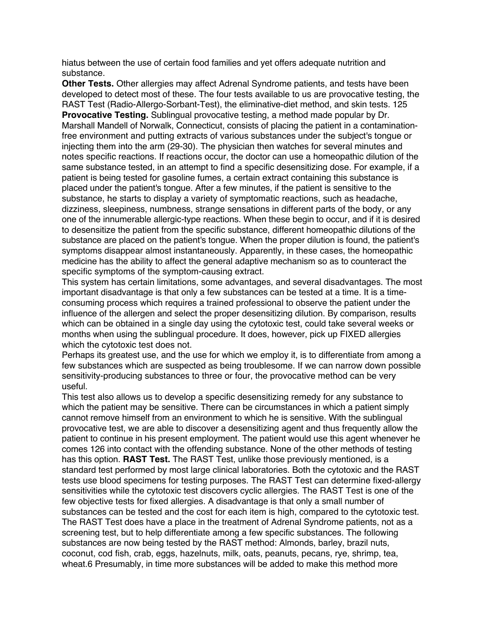hiatus between the use of certain food families and yet offers adequate nutrition and substance.

**Other Tests.** Other allergies may affect Adrenal Syndrome patients, and tests have been developed to detect most of these. The four tests available to us are provocative testing, the RAST Test (Radio-Allergo-Sorbant-Test), the eliminative-diet method, and skin tests. 125 **Provocative Testing.** Sublingual provocative testing, a method made popular by Dr. Marshall Mandell of Norwalk, Connecticut, consists of placing the patient in a contaminationfree environment and putting extracts of various substances under the subject's tongue or injecting them into the arm (29-30). The physician then watches for several minutes and notes specific reactions. If reactions occur, the doctor can use a homeopathic dilution of the same substance tested, in an attempt to find a specific desensitizing dose. For example, if a patient is being tested for gasoline fumes, a certain extract containing this substance is placed under the patient's tongue. After a few minutes, if the patient is sensitive to the substance, he starts to display a variety of symptomatic reactions, such as headache, dizziness, sleepiness, numbness, strange sensations in different parts of the body, or any one of the innumerable allergic-type reactions. When these begin to occur, and if it is desired to desensitize the patient from the specific substance, different homeopathic dilutions of the substance are placed on the patient's tongue. When the proper dilution is found, the patient's symptoms disappear almost instantaneously. Apparently, in these cases, the homeopathic medicine has the ability to affect the general adaptive mechanism so as to counteract the specific symptoms of the symptom-causing extract.

This system has certain limitations, some advantages, and several disadvantages. The most important disadvantage is that only a few substances can be tested at a time. It is a timeconsuming process which requires a trained professional to observe the patient under the influence of the allergen and select the proper desensitizing dilution. By comparison, results which can be obtained in a single day using the cytotoxic test, could take several weeks or months when using the sublingual procedure. It does, however, pick up FIXED allergies which the cytotoxic test does not.

Perhaps its greatest use, and the use for which we employ it, is to differentiate from among a few substances which are suspected as being troublesome. If we can narrow down possible sensitivity-producing substances to three or four, the provocative method can be very useful.

This test also allows us to develop a specific desensitizing remedy for any substance to which the patient may be sensitive. There can be circumstances in which a patient simply cannot remove himself from an environment to which he is sensitive. With the sublingual provocative test, we are able to discover a desensitizing agent and thus frequently allow the patient to continue in his present employment. The patient would use this agent whenever he comes 126 into contact with the offending substance. None of the other methods of testing has this option. **RAST Test.** The RAST Test, unlike those previously mentioned, is a standard test performed by most large clinical laboratories. Both the cytotoxic and the RAST tests use blood specimens for testing purposes. The RAST Test can determine fixed-allergy sensitivities while the cytotoxic test discovers cyclic allergies. The RAST Test is one of the few objective tests for fixed allergies. A disadvantage is that only a small number of substances can be tested and the cost for each item is high, compared to the cytotoxic test. The RAST Test does have a place in the treatment of Adrenal Syndrome patients, not as a screening test, but to help differentiate among a few specific substances. The following substances are now being tested by the RAST method: Almonds, barley, brazil nuts, coconut, cod fish, crab, eggs, hazelnuts, milk, oats, peanuts, pecans, rye, shrimp, tea, wheat.6 Presumably, in time more substances will be added to make this method more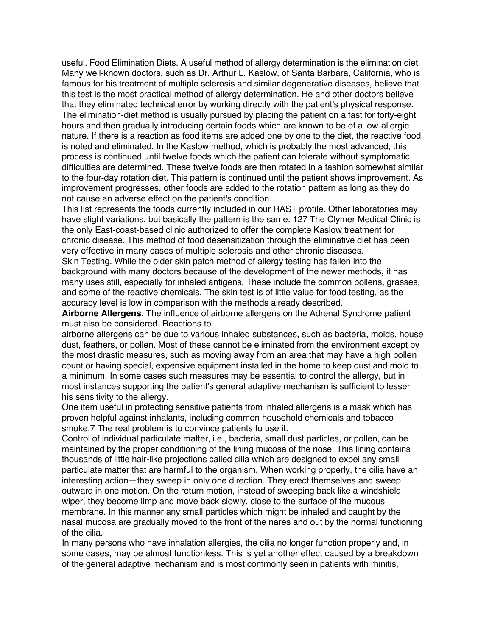useful. Food Elimination Diets. A useful method of allergy determination is the elimination diet. Many well-known doctors, such as Dr. Arthur L. Kaslow, of Santa Barbara, California, who is famous for his treatment of multiple sclerosis and similar degenerative diseases, believe that this test is the most practical method of allergy determination. He and other doctors believe that they eliminated technical error by working directly with the patient's physical response. The elimination-diet method is usually pursued by placing the patient on a fast for forty-eight hours and then gradually introducing certain foods which are known to be of a low-allergic nature. If there is a reaction as food items are added one by one to the diet, the reactive food is noted and eliminated. In the Kaslow method, which is probably the most advanced, this process is continued until twelve foods which the patient can tolerate without symptomatic difficulties are determined. These twelve foods are then rotated in a fashion somewhat similar to the four-day rotation diet. This pattern is continued until the patient shows improvement. As improvement progresses, other foods are added to the rotation pattern as long as they do not cause an adverse effect on the patient's condition.

This list represents the foods currently included in our RAST profile. Other laboratories may have slight variations, but basically the pattern is the same. 127 The Clymer Medical Clinic is the only East-coast-based clinic authorized to offer the complete Kaslow treatment for chronic disease. This method of food desensitization through the eliminative diet has been very effective in many cases of multiple sclerosis and other chronic diseases. Skin Testing. While the older skin patch method of allergy testing has fallen into the background with many doctors because of the development of the newer methods, it has many uses still, especially for inhaled antigens. These include the common pollens, grasses,

and some of the reactive chemicals. The skin test is of little value for food testing, as the accuracy level is low in comparison with the methods already described.

**Airborne Allergens.** The influence of airborne allergens on the Adrenal Syndrome patient must also be considered. Reactions to

airborne allergens can be due to various inhaled substances, such as bacteria, molds, house dust, feathers, or pollen. Most of these cannot be eliminated from the environment except by the most drastic measures, such as moving away from an area that may have a high pollen count or having special, expensive equipment installed in the home to keep dust and mold to a minimum. In some cases such measures may be essential to control the allergy, but in most instances supporting the patient's general adaptive mechanism is sufficient to lessen his sensitivity to the allergy.

One item useful in protecting sensitive patients from inhaled allergens is a mask which has proven helpful against inhalants, including common household chemicals and tobacco smoke.7 The real problem is to convince patients to use it.

Control of individual particulate matter, i.e., bacteria, small dust particles, or pollen, can be maintained by the proper conditioning of the lining mucosa of the nose. This lining contains thousands of little hair-like projections called cilia which are designed to expel any small particulate matter that are harmful to the organism. When working properly, the cilia have an interesting action—they sweep in only one direction. They erect themselves and sweep outward in one motion. On the return motion, instead of sweeping back like a windshield wiper, they become limp and move back slowly, close to the surface of the mucous membrane. In this manner any small particles which might be inhaled and caught by the nasal mucosa are gradually moved to the front of the nares and out by the normal functioning of the cilia.

In many persons who have inhalation allergies, the cilia no longer function properly and, in some cases, may be almost functionless. This is yet another effect caused by a breakdown of the general adaptive mechanism and is most commonly seen in patients with rhinitis,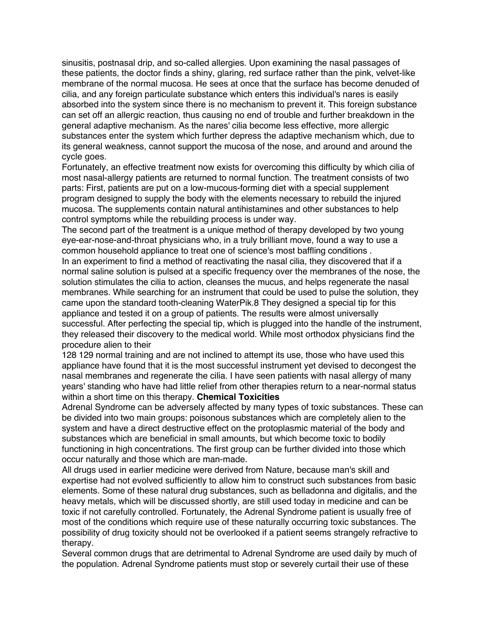sinusitis, postnasal drip, and so-called allergies. Upon examining the nasal passages of these patients, the doctor finds a shiny, glaring, red surface rather than the pink, velvet-like membrane of the normal mucosa. He sees at once that the surface has become denuded of cilia, and any foreign particulate substance which enters this individual's nares is easily absorbed into the system since there is no mechanism to prevent it. This foreign substance can set off an allergic reaction, thus causing no end of trouble and further breakdown in the general adaptive mechanism. As the nares' cilia become less effective, more allergic substances enter the system which further depress the adaptive mechanism which, due to its general weakness, cannot support the mucosa of the nose, and around and around the cycle goes.

Fortunately, an effective treatment now exists for overcoming this difficulty by which cilia of most nasal-allergy patients are returned to normal function. The treatment consists of two parts: First, patients are put on a low-mucous-forming diet with a special supplement program designed to supply the body with the elements necessary to rebuild the injured mucosa. The supplements contain natural antihistamines and other substances to help control symptoms while the rebuilding process is under way.

The second part of the treatment is a unique method of therapy developed by two young eye-ear-nose-and-throat physicians who, in a truly brilliant move, found a way to use a common household appliance to treat one of science's most baffling conditions . In an experiment to find a method of reactivating the nasal cilia, they discovered that if a normal saline solution is pulsed at a specific frequency over the membranes of the nose, the solution stimulates the cilia to action, cleanses the mucus, and helps regenerate the nasal membranes. While searching for an instrument that could be used to pulse the solution, they came upon the standard tooth-cleaning WaterPik.8 They designed a special tip for this appliance and tested it on a group of patients. The results were almost universally successful. After perfecting the special tip, which is plugged into the handle of the instrument, they released their discovery to the medical world. While most orthodox physicians find the procedure alien to their

128 129 normal training and are not inclined to attempt its use, those who have used this appliance have found that it is the most successful instrument yet devised to decongest the nasal membranes and regenerate the cilia. I have seen patients with nasal allergy of many years' standing who have had little relief from other therapies return to a near-normal status within a short time on this therapy. **Chemical Toxicities**

Adrenal Syndrome can be adversely affected by many types of toxic substances. These can be divided into two main groups: poisonous substances which are completely alien to the system and have a direct destructive effect on the protoplasmic material of the body and substances which are beneficial in small amounts, but which become toxic to bodily functioning in high concentrations. The first group can be further divided into those which occur naturally and those which are man-made.

All drugs used in earlier medicine were derived from Nature, because man's skill and expertise had not evolved sufficiently to allow him to construct such substances from basic elements. Some of these natural drug substances, such as belladonna and digitalis, and the heavy metals, which will be discussed shortly, are still used today in medicine and can be toxic if not carefully controlled. Fortunately, the Adrenal Syndrome patient is usually free of most of the conditions which require use of these naturally occurring toxic substances. The possibility of drug toxicity should not be overlooked if a patient seems strangely refractive to therapy.

Several common drugs that are detrimental to Adrenal Syndrome are used daily by much of the population. Adrenal Syndrome patients must stop or severely curtail their use of these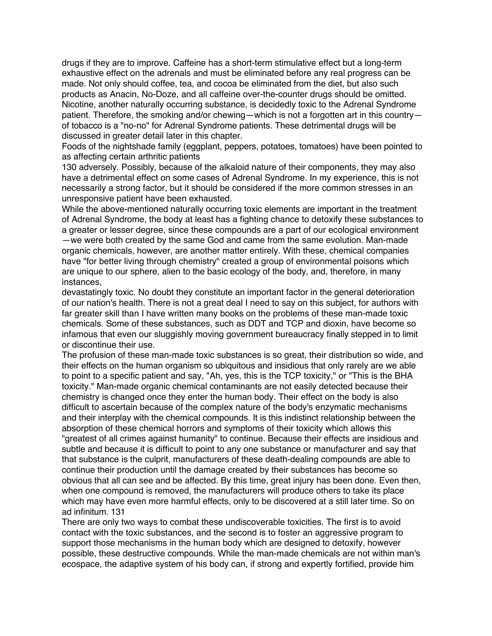drugs if they are to improve. Caffeine has a short-term stimulative effect but a long-term exhaustive effect on the adrenals and must be eliminated before any real progress can be made. Not only should coffee, tea, and cocoa be eliminated from the diet, but also such products as Anacin, No-Doze, and all caffeine over-the-counter drugs should be omitted. Nicotine, another naturally occurring substance, is decidedly toxic to the Adrenal Syndrome patient. Therefore, the smoking and/or chewing—which is not a forgotten art in this country of tobacco is a "no-no" for Adrenal Syndrome patients. These detrimental drugs will be discussed in greater detail later in this chapter.

Foods of the nightshade family (eggplant, peppers, potatoes, tomatoes) have been pointed to as affecting certain arthritic patients

130 adversely. Possibly, because of the alkaloid nature of their components, they may also have a detrimental effect on some cases of Adrenal Syndrome. In my experience, this is not necessarily a strong factor, but it should be considered if the more common stresses in an unresponsive patient have been exhausted.

While the above-mentioned naturally occurring toxic elements are important in the treatment of Adrenal Syndrome, the body at least has a fighting chance to detoxify these substances to a greater or lesser degree, since these compounds are a part of our ecological environment —we were both created by the same God and came from the same evolution. Man-made organic chemicals, however, are another matter entirely. With these, chemical companies have "for better living through chemistry" created a group of environmental poisons which are unique to our sphere, alien to the basic ecology of the body, and, therefore, in many instances,

devastatingly toxic. No doubt they constitute an important factor in the general deterioration of our nation's health. There is not a great deal I need to say on this subject, for authors with far greater skill than I have written many books on the problems of these man-made toxic chemicals. Some of these substances, such as DDT and TCP and dioxin, have become so infamous that even our sluggishly moving government bureaucracy finally stepped in to limit or discontinue their use.

The profusion of these man-made toxic substances is so great, their distribution so wide, and their effects on the human organism so ubiquitous and insidious that only rarely are we able to point to a specific patient and say, "Ah, yes, this is the TCP toxicity," or "This is the BHA toxicity." Man-made organic chemical contaminants are not easily detected because their chemistry is changed once they enter the human body. Their effect on the body is also difficult to ascertain because of the complex nature of the body's enzymatic mechanisms and their interplay with the chemical compounds. It is this indistinct relationship between the absorption of these chemical horrors and symptoms of their toxicity which allows this "greatest of all crimes against humanity" to continue. Because their effects are insidious and subtle and because it is difficult to point to any one substance or manufacturer and say that that substance is the culprit, manufacturers of these death-dealing compounds are able to continue their production until the damage created by their substances has become so obvious that all can see and be affected. By this time, great injury has been done. Even then, when one compound is removed, the manufacturers will produce others to take its place which may have even more harmful effects, only to be discovered at a still later time. So on ad infinitum. 131

There are only two ways to combat these undiscoverable toxicities. The first is to avoid contact with the toxic substances, and the second is to foster an aggressive program to support those mechanisms in the human body which are designed to detoxify, however possible, these destructive compounds. While the man-made chemicals are not within man's ecospace, the adaptive system of his body can, if strong and expertly fortified, provide him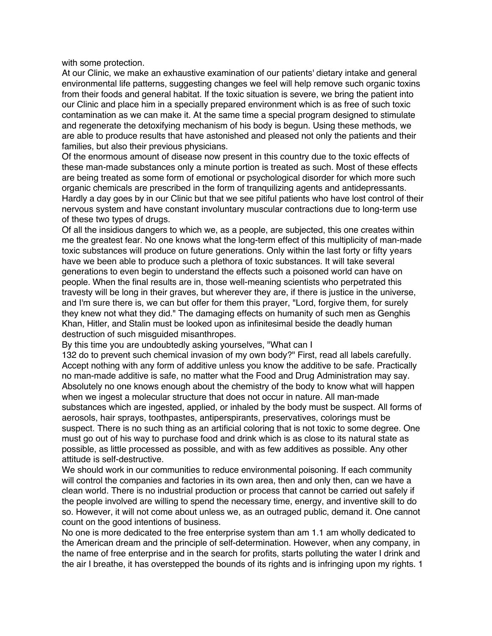with some protection.

At our Clinic, we make an exhaustive examination of our patients' dietary intake and general environmental life patterns, suggesting changes we feel will help remove such organic toxins from their foods and general habitat. If the toxic situation is severe, we bring the patient into our Clinic and place him in a specially prepared environment which is as free of such toxic contamination as we can make it. At the same time a special program designed to stimulate and regenerate the detoxifying mechanism of his body is begun. Using these methods, we are able to produce results that have astonished and pleased not only the patients and their families, but also their previous physicians.

Of the enormous amount of disease now present in this country due to the toxic effects of these man-made substances only a minute portion is treated as such. Most of these effects are being treated as some form of emotional or psychological disorder for which more such organic chemicals are prescribed in the form of tranquilizing agents and antidepressants. Hardly a day goes by in our Clinic but that we see pitiful patients who have lost control of their nervous system and have constant involuntary muscular contractions due to long-term use of these two types of drugs.

Of all the insidious dangers to which we, as a people, are subjected, this one creates within me the greatest fear. No one knows what the long-term effect of this multiplicity of man-made toxic substances will produce on future generations. Only within the last forty or fifty years have we been able to produce such a plethora of toxic substances. It will take several generations to even begin to understand the effects such a poisoned world can have on people. When the final results are in, those well-meaning scientists who perpetrated this travesty will be long in their graves, but wherever they are, if there is justice in the universe, and I'm sure there is, we can but offer for them this prayer, "Lord, forgive them, for surely they knew not what they did." The damaging effects on humanity of such men as Genghis Khan, Hitler, and Stalin must be looked upon as infinitesimal beside the deadly human destruction of such misguided misanthropes.

By this time you are undoubtedly asking yourselves, "What can I

132 do to prevent such chemical invasion of my own body?" First, read all labels carefully. Accept nothing with any form of additive unless you know the additive to be safe. Practically no man-made additive is safe, no matter what the Food and Drug Administration may say. Absolutely no one knows enough about the chemistry of the body to know what will happen when we ingest a molecular structure that does not occur in nature. All man-made substances which are ingested, applied, or inhaled by the body must be suspect. All forms of aerosols, hair sprays, toothpastes, antiperspirants, preservatives, colorings must be suspect. There is no such thing as an artificial coloring that is not toxic to some degree. One must go out of his way to purchase food and drink which is as close to its natural state as possible, as little processed as possible, and with as few additives as possible. Any other attitude is self-destructive.

We should work in our communities to reduce environmental poisoning. If each community will control the companies and factories in its own area, then and only then, can we have a clean world. There is no industrial production or process that cannot be carried out safely if the people involved are willing to spend the necessary time, energy, and inventive skill to do so. However, it will not come about unless we, as an outraged public, demand it. One cannot count on the good intentions of business.

No one is more dedicated to the free enterprise system than am 1.1 am wholly dedicated to the American dream and the principle of self-determination. However, when any company, in the name of free enterprise and in the search for profits, starts polluting the water I drink and the air I breathe, it has overstepped the bounds of its rights and is infringing upon my rights. 1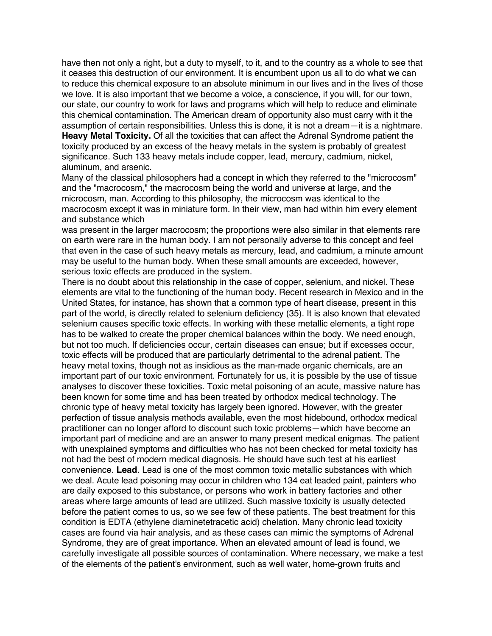have then not only a right, but a duty to myself, to it, and to the country as a whole to see that it ceases this destruction of our environment. It is encumbent upon us all to do what we can to reduce this chemical exposure to an absolute minimum in our lives and in the lives of those we love. It is also important that we become a voice, a conscience, if you will, for our town, our state, our country to work for laws and programs which will help to reduce and eliminate this chemical contamination. The American dream of opportunity also must carry with it the assumption of certain responsibilities. Unless this is done, it is not a dream—it is a nightmare. **Heavy Metal Toxicity.** Of all the toxicities that can affect the Adrenal Syndrome patient the

toxicity produced by an excess of the heavy metals in the system is probably of greatest significance. Such 133 heavy metals include copper, lead, mercury, cadmium, nickel, aluminum, and arsenic.

Many of the classical philosophers had a concept in which they referred to the "microcosm" and the "macrocosm," the macrocosm being the world and universe at large, and the microcosm, man. According to this philosophy, the microcosm was identical to the macrocosm except it was in miniature form. In their view, man had within him every element and substance which

was present in the larger macrocosm; the proportions were also similar in that elements rare on earth were rare in the human body. I am not personally adverse to this concept and feel that even in the case of such heavy metals as mercury, lead, and cadmium, a minute amount may be useful to the human body. When these small amounts are exceeded, however, serious toxic effects are produced in the system.

There is no doubt about this relationship in the case of copper, selenium, and nickel. These elements are vital to the functioning of the human body. Recent research in Mexico and in the United States, for instance, has shown that a common type of heart disease, present in this part of the world, is directly related to selenium deficiency (35). It is also known that elevated selenium causes specific toxic effects. In working with these metallic elements, a tight rope has to be walked to create the proper chemical balances within the body. We need enough, but not too much. If deficiencies occur, certain diseases can ensue; but if excesses occur, toxic effects will be produced that are particularly detrimental to the adrenal patient. The heavy metal toxins, though not as insidious as the man-made organic chemicals, are an important part of our toxic environment. Fortunately for us, it is possible by the use of tissue analyses to discover these toxicities. Toxic metal poisoning of an acute, massive nature has been known for some time and has been treated by orthodox medical technology. The chronic type of heavy metal toxicity has largely been ignored. However, with the greater perfection of tissue analysis methods available, even the most hidebound, orthodox medical practitioner can no longer afford to discount such toxic problems—which have become an important part of medicine and are an answer to many present medical enigmas. The patient with unexplained symptoms and difficulties who has not been checked for metal toxicity has not had the best of modern medical diagnosis. He should have such test at his earliest convenience. **Lead**. Lead is one of the most common toxic metallic substances with which we deal. Acute lead poisoning may occur in children who 134 eat leaded paint, painters who are daily exposed to this substance, or persons who work in battery factories and other areas where large amounts of lead are utilized. Such massive toxicity is usually detected before the patient comes to us, so we see few of these patients. The best treatment for this condition is EDTA (ethylene diaminetetracetic acid) chelation. Many chronic lead toxicity cases are found via hair analysis, and as these cases can mimic the symptoms of Adrenal Syndrome, they are of great importance. When an elevated amount of lead is found, we carefully investigate all possible sources of contamination. Where necessary, we make a test of the elements of the patient's environment, such as well water, home-grown fruits and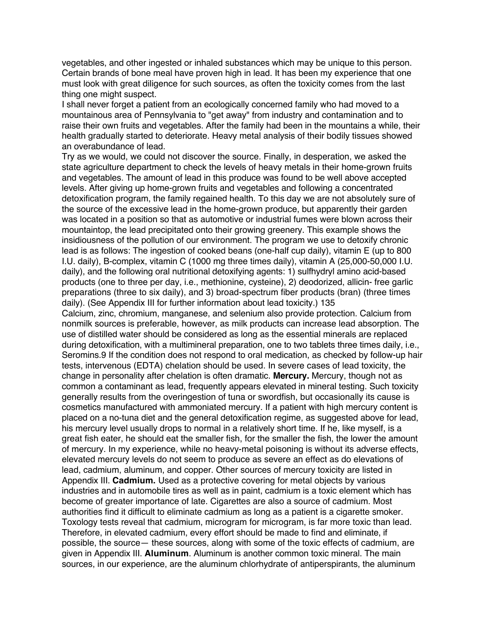vegetables, and other ingested or inhaled substances which may be unique to this person. Certain brands of bone meal have proven high in lead. It has been my experience that one must look with great diligence for such sources, as often the toxicity comes from the last thing one might suspect.

I shall never forget a patient from an ecologically concerned family who had moved to a mountainous area of Pennsylvania to "get away" from industry and contamination and to raise their own fruits and vegetables. After the family had been in the mountains a while, their health gradually started to deteriorate. Heavy metal analysis of their bodily tissues showed an overabundance of lead.

Try as we would, we could not discover the source. Finally, in desperation, we asked the state agriculture department to check the levels of heavy metals in their home-grown fruits and vegetables. The amount of lead in this produce was found to be well above accepted levels. After giving up home-grown fruits and vegetables and following a concentrated detoxification program, the family regained health. To this day we are not absolutely sure of the source of the excessive lead in the home-grown produce, but apparently their garden was located in a position so that as automotive or industrial fumes were blown across their mountaintop, the lead precipitated onto their growing greenery. This example shows the insidiousness of the pollution of our environment. The program we use to detoxify chronic lead is as follows: The ingestion of cooked beans (one-half cup daily), vitamin E (up to 800 I.U. daily), B-complex, vitamin C (1000 mg three times daily), vitamin A (25,000-50,000 I.U. daily), and the following oral nutritional detoxifying agents: 1) sulfhydryl amino acid-based products (one to three per day, i.e., methionine, cysteine), 2) deodorized, allicin- free garlic preparations (three to six daily), and 3) broad-spectrum fiber products (bran) (three times daily). (See Appendix III for further information about lead toxicity.) 135

Calcium, zinc, chromium, manganese, and selenium also provide protection. Calcium from nonmilk sources is preferable, however, as milk products can increase lead absorption. The use of distilled water should be considered as long as the essential minerals are replaced during detoxification, with a multimineral preparation, one to two tablets three times daily, i.e., Seromins.9 If the condition does not respond to oral medication, as checked by follow-up hair tests, intervenous (EDTA) chelation should be used. In severe cases of lead toxicity, the change in personality after chelation is often dramatic. **Mercury.** Mercury, though not as common a contaminant as lead, frequently appears elevated in mineral testing. Such toxicity generally results from the overingestion of tuna or swordfish, but occasionally its cause is cosmetics manufactured with ammoniated mercury. If a patient with high mercury content is placed on a no-tuna diet and the general detoxification regime, as suggested above for lead, his mercury level usually drops to normal in a relatively short time. If he, like myself, is a great fish eater, he should eat the smaller fish, for the smaller the fish, the lower the amount of mercury. In my experience, while no heavy-metal poisoning is without its adverse effects, elevated mercury levels do not seem to produce as severe an effect as do elevations of lead, cadmium, aluminum, and copper. Other sources of mercury toxicity are listed in Appendix III. **Cadmium.** Used as a protective covering for metal objects by various industries and in automobile tires as well as in paint, cadmium is a toxic element which has become of greater importance of late. Cigarettes are also a source of cadmium. Most authorities find it difficult to eliminate cadmium as long as a patient is a cigarette smoker. Toxology tests reveal that cadmium, microgram for microgram, is far more toxic than lead. Therefore, in elevated cadmium, every effort should be made to find and eliminate, if possible, the source— these sources, along with some of the toxic effects of cadmium, are given in Appendix III. **Aluminum**. Aluminum is another common toxic mineral. The main sources, in our experience, are the aluminum chlorhydrate of antiperspirants, the aluminum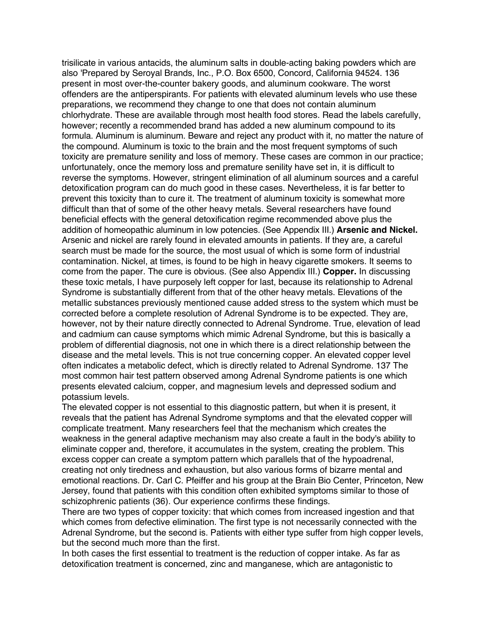trisilicate in various antacids, the aluminum salts in double-acting baking powders which are also 'Prepared by Seroyal Brands, Inc., P.O. Box 6500, Concord, California 94524. 136 present in most over-the-counter bakery goods, and aluminum cookware. The worst offenders are the antiperspirants. For patients with elevated aluminum levels who use these preparations, we recommend they change to one that does not contain aluminum chlorhydrate. These are available through most health food stores. Read the labels carefully, however; recently a recommended brand has added a new aluminum compound to its formula. Aluminum is aluminum. Beware and reject any product with it, no matter the nature of the compound. Aluminum is toxic to the brain and the most frequent symptoms of such toxicity are premature senility and loss of memory. These cases are common in our practice; unfortunately, once the memory loss and premature senility have set in, it is difficult to reverse the symptoms. However, stringent elimination of all aluminum sources and a careful detoxification program can do much good in these cases. Nevertheless, it is far better to prevent this toxicity than to cure it. The treatment of aluminum toxicity is somewhat more difficult than that of some of the other heavy metals. Several researchers have found beneficial effects with the general detoxification regime recommended above plus the addition of homeopathic aluminum in low potencies. (See Appendix III.) **Arsenic and Nickel.**  Arsenic and nickel are rarely found in elevated amounts in patients. If they are, a careful search must be made for the source, the most usual of which is some form of industrial contamination. Nickel, at times, is found to be high in heavy cigarette smokers. It seems to come from the paper. The cure is obvious. (See also Appendix III.) **Copper.** In discussing these toxic metals, I have purposely left copper for last, because its relationship to Adrenal Syndrome is substantially different from that of the other heavy metals. Elevations of the metallic substances previously mentioned cause added stress to the system which must be corrected before a complete resolution of Adrenal Syndrome is to be expected. They are, however, not by their nature directly connected to Adrenal Syndrome. True, elevation of lead and cadmium can cause symptoms which mimic Adrenal Syndrome, but this is basically a problem of differential diagnosis, not one in which there is a direct relationship between the disease and the metal levels. This is not true concerning copper. An elevated copper level often indicates a metabolic defect, which is directly related to Adrenal Syndrome. 137 The most common hair test pattern observed among Adrenal Syndrome patients is one which presents elevated calcium, copper, and magnesium levels and depressed sodium and potassium levels.

The elevated copper is not essential to this diagnostic pattern, but when it is present, it reveals that the patient has Adrenal Syndrome symptoms and that the elevated copper will complicate treatment. Many researchers feel that the mechanism which creates the weakness in the general adaptive mechanism may also create a fault in the body's ability to eliminate copper and, therefore, it accumulates in the system, creating the problem. This excess copper can create a symptom pattern which parallels that of the hypoadrenal, creating not only tiredness and exhaustion, but also various forms of bizarre mental and emotional reactions. Dr. Carl C. Pfeiffer and his group at the Brain Bio Center, Princeton, New Jersey, found that patients with this condition often exhibited symptoms similar to those of schizophrenic patients (36). Our experience confirms these findings.

There are two types of copper toxicity: that which comes from increased ingestion and that which comes from defective elimination. The first type is not necessarily connected with the Adrenal Syndrome, but the second is. Patients with either type suffer from high copper levels, but the second much more than the first.

In both cases the first essential to treatment is the reduction of copper intake. As far as detoxification treatment is concerned, zinc and manganese, which are antagonistic to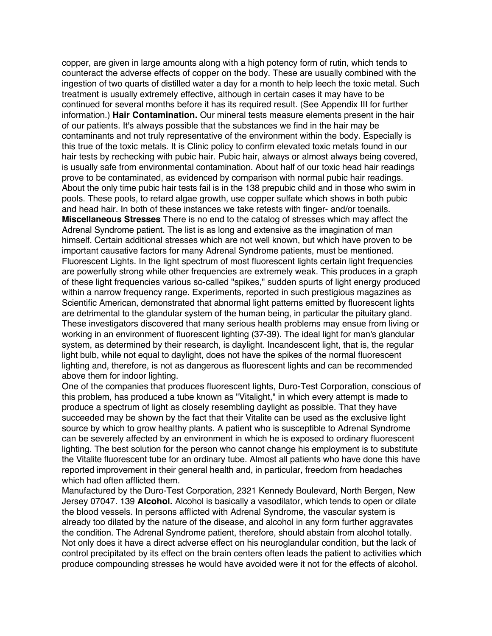copper, are given in large amounts along with a high potency form of rutin, which tends to counteract the adverse effects of copper on the body. These are usually combined with the ingestion of two quarts of distilled water a day for a month to help leech the toxic metal. Such treatment is usually extremely effective, although in certain cases it may have to be continued for several months before it has its required result. (See Appendix III for further information.) **Hair Contamination.** Our mineral tests measure elements present in the hair of our patients. It's always possible that the substances we find in the hair may be contaminants and not truly representative of the environment within the body. Especially is this true of the toxic metals. It is Clinic policy to confirm elevated toxic metals found in our hair tests by rechecking with pubic hair. Pubic hair, always or almost always being covered, is usually safe from environmental contamination. About half of our toxic head hair readings prove to be contaminated, as evidenced by comparison with normal pubic hair readings. About the only time pubic hair tests fail is in the 138 prepubic child and in those who swim in pools. These pools, to retard algae growth, use copper sulfate which shows in both pubic and head hair. In both of these instances we take retests with finger- and/or toenails. **Miscellaneous Stresses** There is no end to the catalog of stresses which may affect the Adrenal Syndrome patient. The list is as long and extensive as the imagination of man himself. Certain additional stresses which are not well known, but which have proven to be important causative factors for many Adrenal Syndrome patients, must be mentioned. Fluorescent Lights. In the light spectrum of most fluorescent lights certain light frequencies are powerfully strong while other frequencies are extremely weak. This produces in a graph of these light frequencies various so-called "spikes," sudden spurts of light energy produced within a narrow frequency range. Experiments, reported in such prestigious magazines as Scientific American, demonstrated that abnormal light patterns emitted by fluorescent lights are detrimental to the glandular system of the human being, in particular the pituitary gland. These investigators discovered that many serious health problems may ensue from living or working in an environment of fluorescent lighting (37-39). The ideal light for man's glandular system, as determined by their research, is daylight. Incandescent light, that is, the regular light bulb, while not equal to daylight, does not have the spikes of the normal fluorescent lighting and, therefore, is not as dangerous as fluorescent lights and can be recommended above them for indoor lighting.

One of the companies that produces fluorescent lights, Duro-Test Corporation, conscious of this problem, has produced a tube known as "Vitalight," in which every attempt is made to produce a spectrum of light as closely resembling daylight as possible. That they have succeeded may be shown by the fact that their Vitalite can be used as the exclusive light source by which to grow healthy plants. A patient who is susceptible to Adrenal Syndrome can be severely affected by an environment in which he is exposed to ordinary fluorescent lighting. The best solution for the person who cannot change his employment is to substitute the Vitalite fluorescent tube for an ordinary tube. Almost all patients who have done this have reported improvement in their general health and, in particular, freedom from headaches which had often afflicted them.

Manufactured by the Duro-Test Corporation, 2321 Kennedy Boulevard, North Bergen, New Jersey 07047. 139 **Alcohol.** Alcohol is basically a vasodilator, which tends to open or dilate the blood vessels. In persons afflicted with Adrenal Syndrome, the vascular system is already too dilated by the nature of the disease, and alcohol in any form further aggravates the condition. The Adrenal Syndrome patient, therefore, should abstain from alcohol totally. Not only does it have a direct adverse effect on his neuroglandular condition, but the lack of control precipitated by its effect on the brain centers often leads the patient to activities which produce compounding stresses he would have avoided were it not for the effects of alcohol.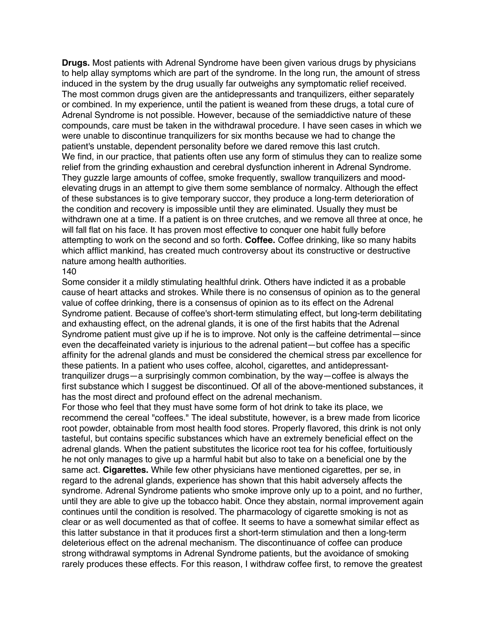**Drugs.** Most patients with Adrenal Syndrome have been given various drugs by physicians to help allay symptoms which are part of the syndrome. In the long run, the amount of stress induced in the system by the drug usually far outweighs any symptomatic relief received. The most common drugs given are the antidepressants and tranquilizers, either separately or combined. In my experience, until the patient is weaned from these drugs, a total cure of Adrenal Syndrome is not possible. However, because of the semiaddictive nature of these compounds, care must be taken in the withdrawal procedure. I have seen cases in which we were unable to discontinue tranquilizers for six months because we had to change the patient's unstable, dependent personality before we dared remove this last crutch. We find, in our practice, that patients often use any form of stimulus they can to realize some relief from the grinding exhaustion and cerebral dysfunction inherent in Adrenal Syndrome. They guzzle large amounts of coffee, smoke frequently, swallow tranquilizers and moodelevating drugs in an attempt to give them some semblance of normalcy. Although the effect of these substances is to give temporary succor, they produce a long-term deterioration of the condition and recovery is impossible until they are eliminated. Usually they must be withdrawn one at a time. If a patient is on three crutches, and we remove all three at once, he will fall flat on his face. It has proven most effective to conquer one habit fully before attempting to work on the second and so forth. **Coffee.** Coffee drinking, like so many habits which afflict mankind, has created much controversy about its constructive or destructive nature among health authorities.

## 140

Some consider it a mildly stimulating healthful drink. Others have indicted it as a probable cause of heart attacks and strokes. While there is no consensus of opinion as to the general value of coffee drinking, there is a consensus of opinion as to its effect on the Adrenal Syndrome patient. Because of coffee's short-term stimulating effect, but long-term debilitating and exhausting effect, on the adrenal glands, it is one of the first habits that the Adrenal Syndrome patient must give up if he is to improve. Not only is the caffeine detrimental—since even the decaffeinated variety is injurious to the adrenal patient—but coffee has a specific affinity for the adrenal glands and must be considered the chemical stress par excellence for these patients. In a patient who uses coffee, alcohol, cigarettes, and antidepressanttranquilizer drugs—a surprisingly common combination, by the way—coffee is always the first substance which I suggest be discontinued. Of all of the above-mentioned substances, it has the most direct and profound effect on the adrenal mechanism.

For those who feel that they must have some form of hot drink to take its place, we recommend the cereal "coffees." The ideal substitute, however, is a brew made from licorice root powder, obtainable from most health food stores. Properly flavored, this drink is not only tasteful, but contains specific substances which have an extremely beneficial effect on the adrenal glands. When the patient substitutes the licorice root tea for his coffee, fortuitiously he not only manages to give up a harmful habit but also to take on a beneficial one by the same act. **Cigarettes.** While few other physicians have mentioned cigarettes, per se, in regard to the adrenal glands, experience has shown that this habit adversely affects the syndrome. Adrenal Syndrome patients who smoke improve only up to a point, and no further, until they are able to give up the tobacco habit. Once they abstain, normal improvement again continues until the condition is resolved. The pharmacology of cigarette smoking is not as clear or as well documented as that of coffee. It seems to have a somewhat similar effect as this latter substance in that it produces first a short-term stimulation and then a long-term deleterious effect on the adrenal mechanism. The discontinuance of coffee can produce strong withdrawal symptoms in Adrenal Syndrome patients, but the avoidance of smoking rarely produces these effects. For this reason, I withdraw coffee first, to remove the greatest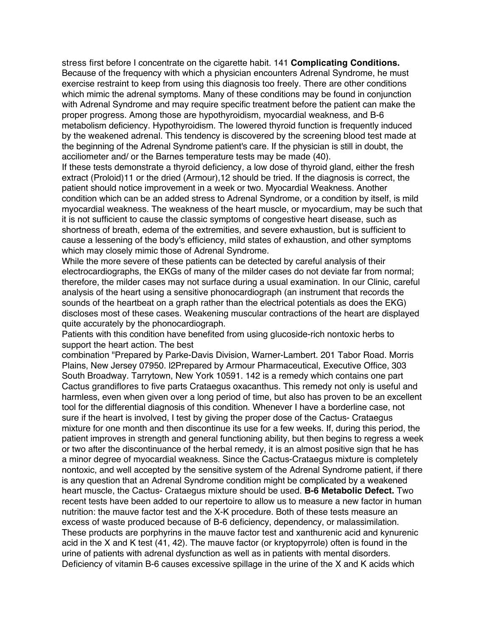stress first before I concentrate on the cigarette habit. 141 **Complicating Conditions.**  Because of the frequency with which a physician encounters Adrenal Syndrome, he must exercise restraint to keep from using this diagnosis too freely. There are other conditions which mimic the adrenal symptoms. Many of these conditions may be found in conjunction with Adrenal Syndrome and may require specific treatment before the patient can make the proper progress. Among those are hypothyroidism, myocardial weakness, and B-6 metabolism deficiency. Hypothyroidism. The lowered thyroid function is frequently induced by the weakened adrenal. This tendency is discovered by the screening blood test made at the beginning of the Adrenal Syndrome patient's care. If the physician is still in doubt, the acciliometer and/ or the Barnes temperature tests may be made (40).

If these tests demonstrate a thyroid deficiency, a low dose of thyroid gland, either the fresh extract (Proloid)11 or the dried (Armour),12 should be tried. If the diagnosis is correct, the patient should notice improvement in a week or two. Myocardial Weakness. Another condition which can be an added stress to Adrenal Syndrome, or a condition by itself, is mild myocardial weakness. The weakness of the heart muscle, or myocardium, may be such that it is not sufficient to cause the classic symptoms of congestive heart disease, such as shortness of breath, edema of the extremities, and severe exhaustion, but is sufficient to cause a lessening of the body's efficiency, mild states of exhaustion, and other symptoms which may closely mimic those of Adrenal Syndrome.

While the more severe of these patients can be detected by careful analysis of their electrocardiographs, the EKGs of many of the milder cases do not deviate far from normal; therefore, the milder cases may not surface during a usual examination. In our Clinic, careful analysis of the heart using a sensitive phonocardiograph (an instrument that records the sounds of the heartbeat on a graph rather than the electrical potentials as does the EKG) discloses most of these cases. Weakening muscular contractions of the heart are displayed quite accurately by the phonocardiograph.

Patients with this condition have benefited from using glucoside-rich nontoxic herbs to support the heart action. The best

combination "Prepared by Parke-Davis Division, Warner-Lambert. 201 Tabor Road. Morris Plains, New Jersey 07950. l2Prepared by Armour Pharmaceutical, Executive Office, 303 South Broadway. Tarrytown, New York 10591. 142 is a remedy which contains one part Cactus grandiflores to five parts Crataegus oxacanthus. This remedy not only is useful and harmless, even when given over a long period of time, but also has proven to be an excellent tool for the differential diagnosis of this condition. Whenever I have a borderline case, not sure if the heart is involved, I test by giving the proper dose of the Cactus- Crataegus mixture for one month and then discontinue its use for a few weeks. If, during this period, the patient improves in strength and general functioning ability, but then begins to regress a week or two after the discontinuance of the herbal remedy, it is an almost positive sign that he has a minor degree of myocardial weakness. Since the Cactus-Crataegus mixture is completely nontoxic, and well accepted by the sensitive system of the Adrenal Syndrome patient, if there is any question that an Adrenal Syndrome condition might be complicated by a weakened heart muscle, the Cactus- Crataegus mixture should be used. **B-6 Metabolic Defect.** Two recent tests have been added to our repertoire to allow us to measure a new factor in human nutrition: the mauve factor test and the X-K procedure. Both of these tests measure an excess of waste produced because of B-6 deficiency, dependency, or malassimilation. These products are porphyrins in the mauve factor test and xanthurenic acid and kynurenic acid in the X and K test (41, 42). The mauve factor (or kryptopyrrole) often is found in the urine of patients with adrenal dysfunction as well as in patients with mental disorders. Deficiency of vitamin B-6 causes excessive spillage in the urine of the X and K acids which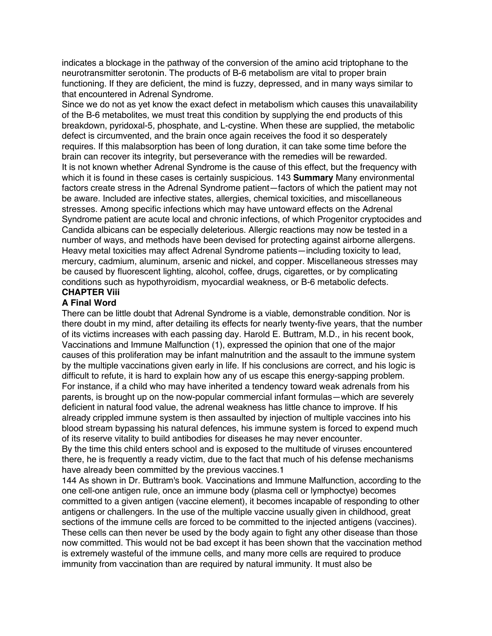indicates a blockage in the pathway of the conversion of the amino acid triptophane to the neurotransmitter serotonin. The products of B-6 metabolism are vital to proper brain functioning. If they are deficient, the mind is fuzzy, depressed, and in many ways similar to that encountered in Adrenal Syndrome.

Since we do not as yet know the exact defect in metabolism which causes this unavailability of the B-6 metabolites, we must treat this condition by supplying the end products of this breakdown, pyridoxal-5, phosphate, and L-cystine. When these are supplied, the metabolic defect is circumvented, and the brain once again receives the food it so desperately requires. If this malabsorption has been of long duration, it can take some time before the brain can recover its integrity, but perseverance with the remedies will be rewarded. It is not known whether Adrenal Syndrome is the cause of this effect, but the frequency with which it is found in these cases is certainly suspicious. 143 **Summary** Many environmental factors create stress in the Adrenal Syndrome patient—factors of which the patient may not be aware. Included are infective states, allergies, chemical toxicities, and miscellaneous stresses. Among specific infections which may have untoward effects on the Adrenal Syndrome patient are acute local and chronic infections, of which Progenitor cryptocides and Candida albicans can be especially deleterious. Allergic reactions may now be tested in a number of ways, and methods have been devised for protecting against airborne allergens. Heavy metal toxicities may affect Adrenal Syndrome patients—including toxicity to lead, mercury, cadmium, aluminum, arsenic and nickel, and copper. Miscellaneous stresses may be caused by fluorescent lighting, alcohol, coffee, drugs, cigarettes, or by complicating conditions such as hypothyroidism, myocardial weakness, or B-6 metabolic defects. **CHAPTER Viii**

## **A Final Word**

There can be little doubt that Adrenal Syndrome is a viable, demonstrable condition. Nor is there doubt in my mind, after detailing its effects for nearly twenty-five years, that the number of its victims increases with each passing day. Harold E. Buttram, M.D., in his recent book, Vaccinations and Immune Malfunction (1), expressed the opinion that one of the major causes of this proliferation may be infant malnutrition and the assault to the immune system by the multiple vaccinations given early in life. If his conclusions are correct, and his logic is difficult to refute, it is hard to explain how any of us escape this energy-sapping problem. For instance, if a child who may have inherited a tendency toward weak adrenals from his parents, is brought up on the now-popular commercial infant formulas—which are severely deficient in natural food value, the adrenal weakness has little chance to improve. If his already crippled immune system is then assaulted by injection of multiple vaccines into his blood stream bypassing his natural defences, his immune system is forced to expend much of its reserve vitality to build antibodies for diseases he may never encounter.

By the time this child enters school and is exposed to the multitude of viruses encountered there, he is frequently a ready victim, due to the fact that much of his defense mechanisms have already been committed by the previous vaccines.1

144 As shown in Dr. Buttram's book. Vaccinations and Immune Malfunction, according to the one cell-one antigen rule, once an immune body (plasma cell or lymphoctye) becomes committed to a given antigen (vaccine element), it becomes incapable of responding to other antigens or challengers. In the use of the multiple vaccine usually given in childhood, great sections of the immune cells are forced to be committed to the injected antigens (vaccines). These cells can then never be used by the body again to fight any other disease than those now committed. This would not be bad except it has been shown that the vaccination method is extremely wasteful of the immune cells, and many more cells are required to produce immunity from vaccination than are required by natural immunity. It must also be